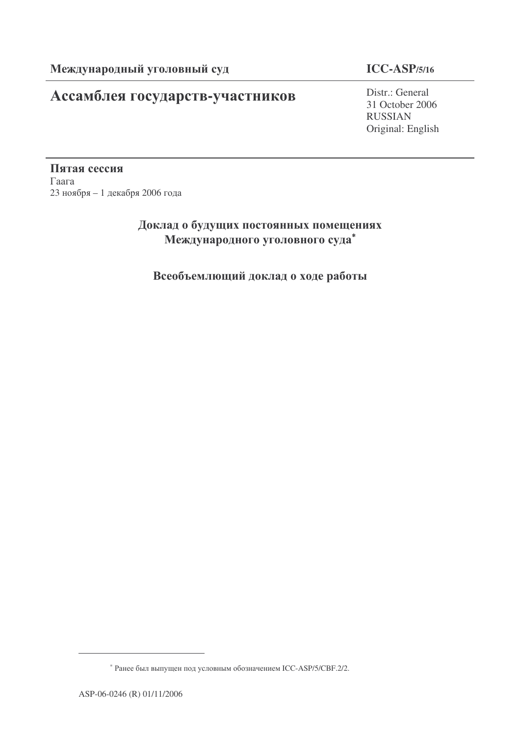# Ассамблея государств-участников

## **ICC-ASP/5/16**

Distr.: General 31 October 2006 RUSSIAN Original: English

Пятая сессия Гаага 23 ноября – 1 декабря 2006 года

## Доклад о будущих постоянных помещениях Международного уголовного суда<sup>\*</sup>

Всеобъемлющий доклад о ходе работы

<sup>\*</sup> Ранее был выпущен под условным обозначением ICC-ASP/5/CBF.2/2.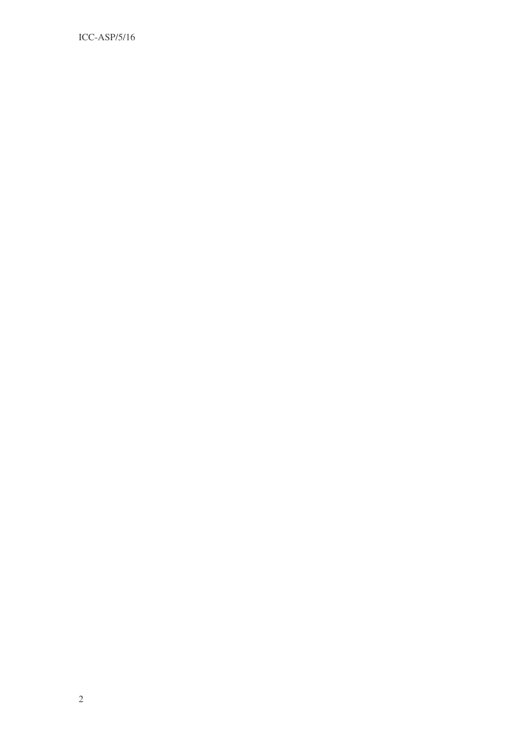ICC-ASP/5/16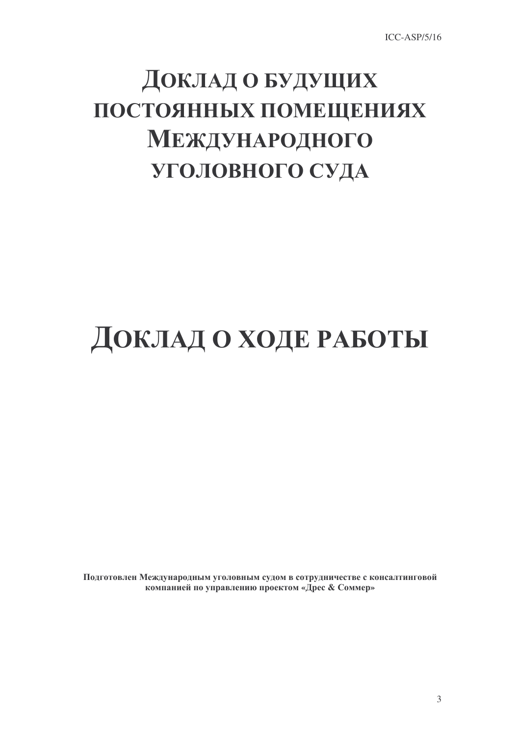# ДОКЛАД О БУДУЩИХ ПОСТОЯННЫХ ПОМЕЩЕНИЯХ МЕЖДУНАРОДНОГО УГОЛОВНОГО СУДА

# ДОКЛАД О ХОДЕ РАБОТЫ

Подготовлен Международным уголовным судом в сотрудничестве с консалтинговой компанией по управлению проектом «Дрес & Соммер»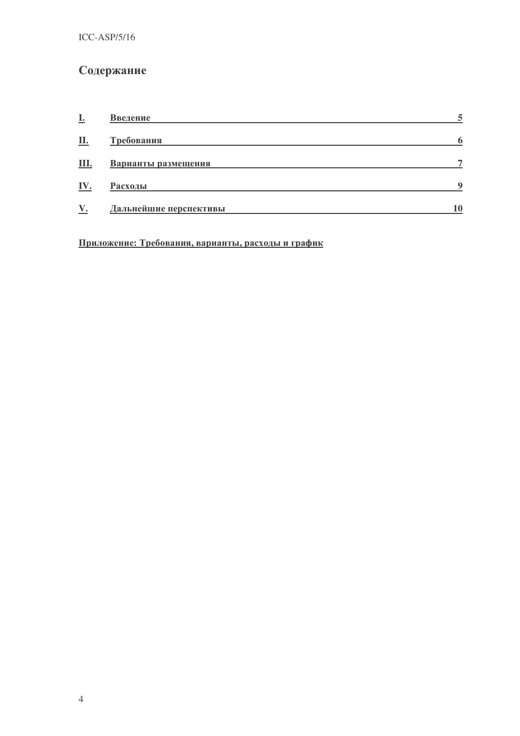# Содержание

| <u>I.</u> | <b>Введение</b>        |              |
|-----------|------------------------|--------------|
| <u>П.</u> | Требования             |              |
| Ш.        | Варианты размещения    | $\mathbf{r}$ |
| IV.       | Расходы                | $\Omega$     |
| V.        | Дальнейшие перспективы | 10           |

Приложение: Требования, варианты, расходы и график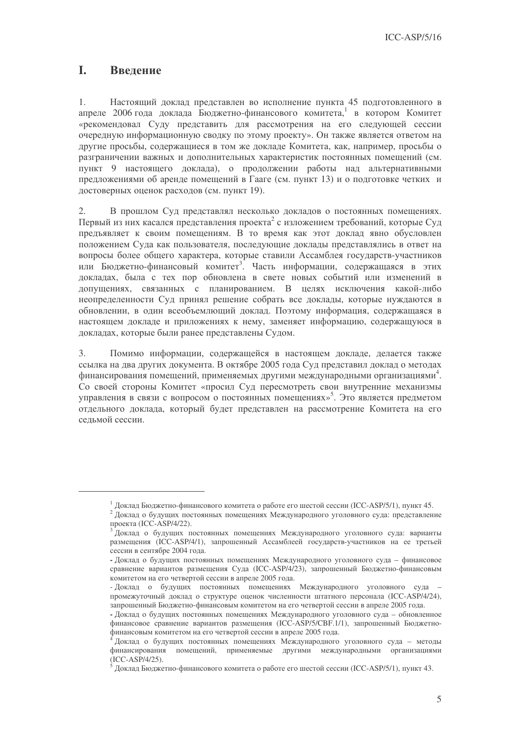$ICC-ASP/5/16$ 

#### $\mathbf{L}$ Ввеление

Настоящий доклад представлен во исполнение пункта 45 подготовленного в  $1<sub>1</sub>$ апреле 2006 года доклада Бюджетно-финансового комитета, в котором Комитет «рекомендовал Суду представить для рассмотрения на его следующей сессии очередную информационную сводку по этому проекту». Он также является ответом на другие просьбы, содержащиеся в том же докладе Комитета, как, например, просьбы о разграничении важных и дополнительных характеристик постоянных помещений (см. пункт 9 настоящего доклада), о продолжении работы над альтернативными предложениями об аренде помещений в Гааге (см. пункт 13) и о подготовке четких и лостоверных оценок расходов (см. пункт 19).

 $2.$ В прошлом Суд представлял несколько докладов о постоянных помещениях. Первый из них касался представления проекта<sup>2</sup> с изложением требований, которые Суд предъявляет к своим помещениям. В то время как этот доклад явно обусловлен положением Суда как пользователя, последующие доклады представлялись в ответ на вопросы более обшего характера, которые ставили Ассамблея государств-участников или Бюджетно-финансовый комитет<sup>3</sup>. Часть информации, содержащаяся в этих докладах, была с тех пор обновлена в свете новых событий или изменений в допущениях, связанных с планированием. В целях исключения какой-либо неопределенности Суд принял решение собрать все доклады, которые нуждаются в обновлении, в один всеобъемлющий доклад. Поэтому информация, содержащаяся в настоящем докладе и приложениях к нему, заменяет информацию, содержащуюся в докладах, которые были ранее представлены Судом.

 $\mathfrak{Z}$ . Помимо информации, содержащейся в настоящем докладе, делается также ссылка на два других документа. В октябре 2005 года Суд представил доклад о методах финансирования помещений, применяемых другими международными организациями<sup>4</sup>. Со своей стороны Комитет «просил Суд пересмотреть свои внутренние механизмы управления в связи с вопросом о постоянных помещениях»<sup>5</sup>. Это является предметом отдельного доклада, который будет представлен на рассмотрение Комитета на его сельмой сессии.

<sup>&</sup>lt;sup>1</sup> Доклад Бюджетно-финансового комитета о работе его шестой сессии (ICC-ASP/5/1), пункт 45. 2 Доклад о будущих постоянных помещениях Международного уголовного суда: представление

проекта (ICC-ASP/4/22).

<sup>&</sup>lt;sup>3</sup> Локлал о булуших постоянных помешениях Межлунаролного уголовного сула: варианты размещения (ICC-ASP/4/1), запрошенный Ассамблеей государств-участников на ее третьей сессии в сентябре 2004 года.

<sup>-</sup> Доклад о будущих постоянных помещениях Международного уголовного суда - финансовое сравнение вариантов размещения Суда (ICC-ASP/4/23), запрошенный Бюджетно-финансовым комитетом на его четвертой сессии в апреле 2005 года.

<sup>-</sup> Доклад о будущих постоянных помещениях Международного уголовного суда промежуточный доклад о структуре оценок численности штатного персонала (ICC-ASP/4/24), запрошенный Бюджетно-финансовым комитетом на его четвертой сессии в апреле 2005 года.

<sup>-</sup> Доклад о будущих постоянных помещениях Международного уголовного суда - обновленное финансовое сравнение вариантов размещения (ICC-ASP/5/CBF.1/1), запрошенный Бюджетнофинансовым комитетом на его четвертой сессии в апреле 2005 года.

Доклад о будущих постоянных помещениях Международного уголовного суда - методы финансирования помещений, применяемые другими международными организациями  $(ICC-ASP/4/25).$ 

<sup>&</sup>lt;sup>5</sup> Доклад Бюджетно-финансового комитета о работе его шестой сессии (ICC-ASP/5/1), пункт 43.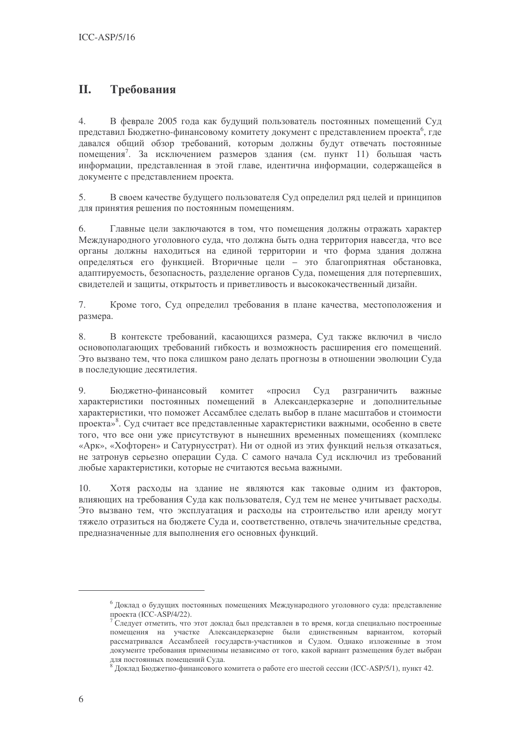#### II. Требования

 $\overline{4}$ . В феврале 2005 года как будущий пользователь постоянных помещений Суд представил Бюджетно-финансовому комитету документ с представлением проекта<sup>6</sup>, где давался общий обзор требований, которым должны будут отвечать постоянные помешения<sup>7</sup>. За исключением размеров злания (см. пункт 11) большая часть информации, представленная в этой главе, идентична информации, содержащейся в документе с представлением проекта.

В своем качестве будущего пользователя Суд определил ряд целей и принципов 5. для принятия решения по постоянным помещениям.

6. Главные цели заключаются в том, что помещения должны отражать характер Международного уголовного суда, что должна быть одна территория навсегда, что все органы должны находиться на единой территории и что форма здания должна определяться его функцией. Вторичные цели - это благоприятная обстановка, адаптируемость, безопасность, разделение органов Суда, помещения для потерпевших, свидетелей и зашиты, открытость и приветливость и высококачественный дизайн.

 $7.$ Кроме того, Суд определил требования в плане качества, местоположения и размера.

В контексте требований, касающихся размера, Суд также включил в число 8. основополагающих требований гибкость и возможность расширения его помещений. Это вызвано тем, что пока слишком рано делать прогнозы в отношении эволюции Суда в последующие десятилетия.

 $\overline{Q}$ Бюджетно-финансовый комитет «просил Суд разграничить важные характеристики постоянных помещений в Александерказерне и дополнительные характеристики, что поможет Ассамблее сделать выбор в плане масштабов и стоимости проекта»<sup>8</sup>. Суд считает все представленные характеристики важными, особенно в свете того, что все они уже присутствуют в нынешних временных помещениях (комплекс «Арк», «Хофторен» и Сатурнусстрат). Ни от одной из этих функций нельзя отказаться, не затронув серьезно операции Суда. С самого начала Суд исключил из требований любые характеристики, которые не считаются весьма важными.

Хотя расходы на здание не являются как таковые одним из факторов,  $10.$ влияющих на требования Суда как пользователя, Суд тем не менее учитывает расходы. Это вызвано тем, что эксплуатация и расходы на строительство или аренду могут тяжело отразиться на бюджете Суда и, соответственно, отвлечь значительные средства, предназначенные для выполнения его основных функций.

<sup>&</sup>lt;sup>6</sup> Доклад о будущих постоянных помещениях Международного уголовного суда: представление проекта (ICC-ASP/4/22).

<sup>&</sup>lt;sup>7</sup> Следует отметить, что этот доклад был представлен в то время, когда специально построенные помещения на участке Александерказерне были единственным вариантом, который рассматривался Ассамблеей государств-участников и Судом. Однако изложенные в этом документе требования применимы независимо от того, какой вариант размещения будет выбран для постоянных помещений Суда.

 $8\,$ Доклад Бюджетно-финансового комитета о работе его шестой сессии (ICC-ASP/5/1), пункт 42.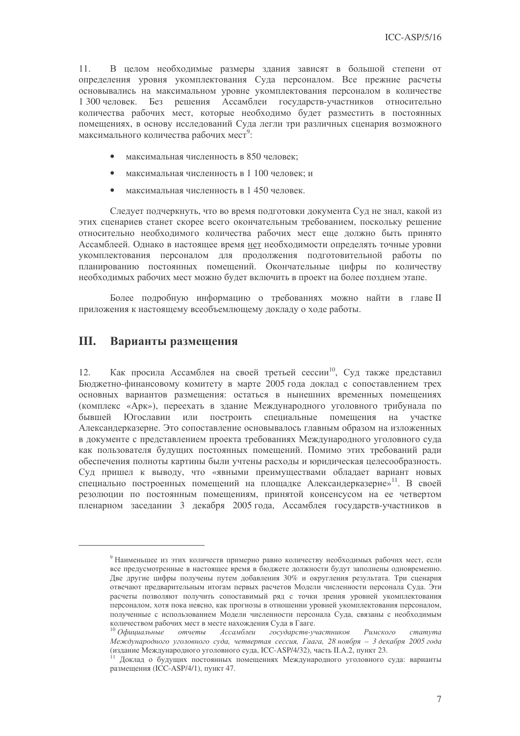В целом необходимые размеры здания зависят в большой степени от 11. определения уровня укомплектования Суда персоналом. Все прежние расчеты основывались на максимальном уровне укомплектования персоналом в количестве 1 300 человек. Без решения Ассамблеи государств-участников относительно количества рабочих мест, которые необходимо будет разместить в постоянных помещениях, в основу исследований Суда легли три различных сценария возможного максимального количества рабочих мест<sup>9</sup>:

- максимальная численность в 850 человек;
- максимальная численность в 1 100 человек; и  $\blacksquare$
- максимальная численность в 1 450 человек.  $\bullet$

Следует подчеркнуть, что во время подготовки документа Суд не знал, какой из этих сценариев станет скорее всего окончательным требованием, поскольку решение относительно необходимого количества рабочих мест еще должно быть принято Ассамблеей. Однако в настоящее время нет необходимости определять точные уровни укомплектования персоналом для продолжения подготовительной работы по планированию постоянных помещений. Окончательные цифры по количеству необходимых рабочих мест можно будет включить в проект на более позднем этапе.

Более подробную информацию о требованиях можно найти в главе II приложения к настоящему всеобъемлющему докладу о ходе работы.

#### III. Варианты размешения

Как просила Ассамблея на своей третьей сессии<sup>10</sup>, Суд также представил  $12.$ Бюджетно-финансовому комитету в марте 2005 года доклад с сопоставлением трех основных вариантов размещения: остаться в нынешних временных помещениях (комплекс «Арк»), переехать в здание Международного уголовного трибунала по бывшей Югославии или построить специальные помешения на участке Александерказерне. Это сопоставление основывалось главным образом на изложенных в документе с представлением проекта требованиях Международного уголовного суда как пользователя будущих постоянных помещений. Помимо этих требований ради обеспечения полноты картины были учтены расходы и юридическая целесообразность. Суд пришел к выводу, что «явными преимуществами обладает вариант новых специально построенных помещений на площадке Александерказерне»<sup>11</sup>. В своей резолюции по постоянным помещениям, принятой консенсусом на ее четвертом пленарном заседании 3 декабря 2005 года, Ассамблея государств-участников в

<sup>&</sup>lt;sup>9</sup> Наименьшее из этих количеств примерно равно количеству необходимых рабочих мест, если все предусмотренные в настоящее время в бюджете должности будут заполнены одновременно. Две другие цифры получены путем добавления 30% и округления результата. Три сценария отвечают предварительным итогам первых расчетов Модели численности персонала Суда. Эти расчеты позволяют получить сопоставимый ряд с точки зрения уровней укомплектования персоналом, хотя пока неясно, как прогнозы в отношении уровней укомплектования персоналом, полученные с использованием Модели численности персонала Суда, связаны с необходимым количеством рабочих мест в месте нахождения Суда в Гааге.

 $^{10}$ Официальные отчеты Ассамблеи государств-участников Римского cmamyma Международного уголовного суда, четвертая сессия, Гаага, 28 ноября - 3 декабря 2005 года (издание Международного уголовного суда, ICC-ASP/4/32), часть II.A.2, пункт 23.

<sup>11</sup> Доклад о будущих постоянных помещениях Международного уголовного суда: варианты размещения (ICC-ASP/4/1), пункт 47.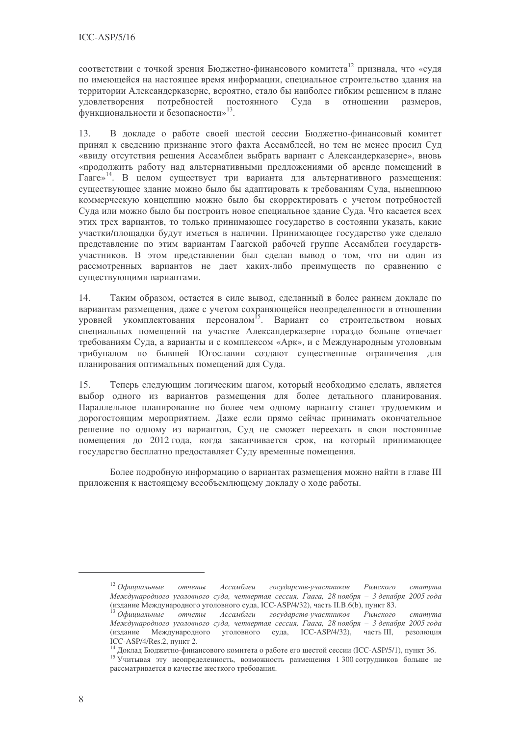соответствии с точкой зрения Бюджетно-финансового комитета<sup>12</sup> признала, что «судя по имеющейся на настоящее время информации, специальное строительство здания на территории Александерказерне, вероятно, стало бы наиболее гибким решением в плане уловлетворения потребностей постоянного Суда  $\overline{B}$ отношении размеров. функциональности и безопасности»<sup>13</sup>.

В докладе о работе своей шестой сессии Бюджетно-финансовый комитет 13. принял к сведению признание этого факта Ассамблеей, но тем не менее просил Суд «ввиду отсутствия решения Ассамблеи выбрать вариант с Александерказерне», вновь «продолжить работу над альтернативными предложениями об аренде помещений в Гааге»<sup>14</sup>. В целом существует три варианта для альтернативного размещения: существующее здание можно было бы адаптировать к требованиям Суда, нынешнюю коммерческую концепцию можно было бы скорректировать с учетом потребностей Суда или можно было бы построить новое специальное здание Суда. Что касается всех этих трех вариантов, то только принимающее государство в состоянии указать, какие участки/площадки будут иметься в наличии. Принимающее государство уже сделало представление по этим вариантам Гаагской рабочей группе Ассамблеи государствучастников. В этом представлении был сделан вывод о том, что ни один из рассмотренных вариантов не дает каких-либо преимуществ по сравнению с существующими вариантами.

 $14.$ Таким образом, остается в силе вывод, сделанный в более раннем докладе по вариантам размешения, лаже с учетом сохраняющейся неопределенности в отношении уровней укомплектования персоналом<sup>15</sup>. Вариант со строительством новых специальных помещений на участке Александерказерне гораздо больше отвечает требованиям Суда, а варианты и с комплексом «Арк», и с Международным уголовным трибуналом по бывшей Югославии создают существенные ограничения для планирования оптимальных помещений для Суда.

Теперь следующим логическим шагом, который необходимо сделать, является  $15.$ выбор одного из вариантов размещения для более детального планирования. Параллельное планирование по более чем одному варианту станет трудоемким и дорогостоящим мероприятием. Даже если прямо сейчас принимать окончательное решение по одному из вариантов, Суд не сможет переехать в свои постоянные помещения до 2012 года, когда заканчивается срок, на который принимающее государство бесплатно предоставляет Суду временные помещения.

Более подробную информацию о вариантах размещения можно найти в главе III приложения к настоящему всеобъемлющему докладу о ходе работы.

 $12$  Официальные отчеты Ассамблеи государств-участников Римского  $c$ mamvma Международного уголовного суда, четвертая сессия, Гаага, 28 ноября - 3 декабря 2005 года (издание Международного уголовного суда, ICC-ASP/4/32), часть П.В.6(b), пункт 83.

<sup>&</sup>lt;sup>13</sup> Официальные отчеты Ассамблеи государств-участников Римского  $c$ mamyma Международного уголовного суда, четвертая сессия, Гаага, 28 ноября – 3 декабря 2005 года (издание Международного уголовного суда, ICC-ASP/4/32), часть III, резолюция ICC-ASP/4/Res.2, пункт 2.

<sup>&</sup>lt;sup>14</sup> Доклад Бюджетно-финансового комитета о работе его шестой сессии (ICC-ASP/5/1), пункт 36.

<sup>15</sup> Учитывая эту неопределенность, возможность размещения 1 300 сотрудников больше не рассматривается в качестве жесткого требования.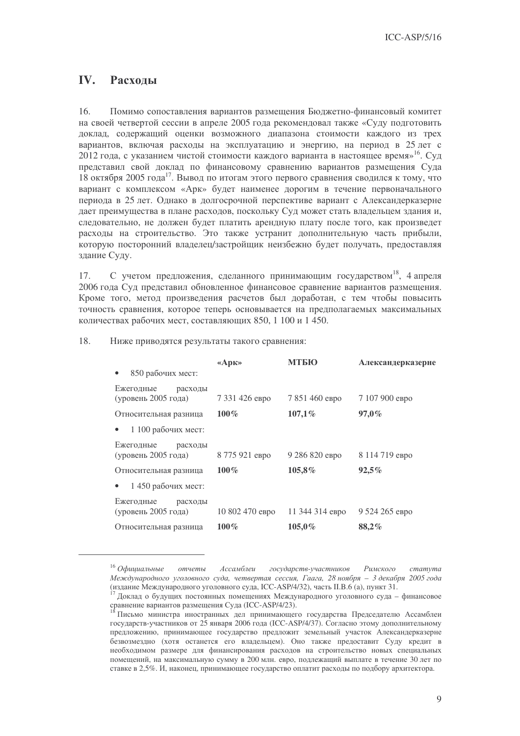## **IV.** Расходы

16. Помимо сопоставления вариантов размещения Бюджетно-финансовый комитет на своей четвертой сессии в апреле 2005 года рекомендовал также «Суду подготовить доклад, содержащий оценки возможного диапазона стоимости каждого из трех вариантов, включая расходы на эксплуатацию и энергию, на период в 25 лет с  $2012$  года, с указанием чистой стоимости каждого варианта в настоящее время»<sup>16</sup>. Суд представил свой доклад по финансовому сравнению вариантов размещения Суда 18 октября 2005 года<sup>17</sup>. Вывод по итогам этого первого сравнения сводился к тому, что вариант с комплексом «Арк» будет наименее дорогим в течение первоначального периода в 25 лет. Однако в долгосрочной перспективе вариант с Александерказерне дает преимущества в плане расходов, поскольку Суд может стать владельцем здания и, следовательно, не должен будет платить арендную плату после того, как произведет расходы на строительство. Это также устранит дополнительную часть прибыли, которую посторонний владелец/застройщик неизбежно будет получать, предоставляя здание Суду.

17. С учетом предложения, сделанного принимающим государством<sup>18</sup>, 4 апреля 2006 года Суд представил обновленное финансовое сравнение вариантов размещения. Кроме того, метод произведения расчетов был доработан, с тем чтобы повысить точность сравнения, которое теперь основывается на предполагаемых максимальных количествах рабочих мест, составляющих 850, 1 100 и 1 450.

|                                             | «Арк»           | <b>МТБЮ</b>     | Александерказерне |
|---------------------------------------------|-----------------|-----------------|-------------------|
| 850 рабочих мест:<br>٠                      |                 |                 |                   |
| Ежегодные<br>расходы<br>(уровень 2005 года) | 7 331 426 евро  | 7 851 460 евро  | 7 107 900 евро    |
| Относительная разница                       | $100\%$         | 107,1%          | $97,0\%$          |
| 1 100 рабочих мест:                         |                 |                 |                   |
| Ежегодные<br>расходы<br>(уровень 2005 года) | 8 775 921 евро  | 9 286 820 евро  | 8 114 719 евро    |
| Относительная разница                       | $100\%$         | 105,8%          | 92,5%             |
| $1450$ рабочих мест:                        |                 |                 |                   |
| Ежегодные<br>расходы<br>(уровень 2005 года) | 10 802 470 евро | 11 344 314 евро | 9 524 265 евро    |
| Относительная разница                       | $100\%$         | $105.0\%$       | 88,2%             |

#### 18. Ниже приводятся результаты такого сравнения:

 $^{16}$  Официальные отчеты Ассамблеи государств-участников Римского статута Международного уголовного суда, четвертая сессия, Гаага, 28 ноября – 3 декабря 2005 года (издание Международного уголовного суда, ICC-ASP/4/32), часть II.B.6 (а), пункт 31.

<sup>&</sup>lt;sup>17</sup> Доклад о будущих постоянных помещениях Международного уголовного суда - финансовое сравнение вариантов размещения Суда (ICC-ASP/4/23).

<sup>&</sup>lt;sup>18</sup> Письмо министра иностранных дел принимающего государства Председателю Ассамблеи государств-участников от 25 января 2006 года (ICC-ASP/4/37). Согласно этому дополнительному предложению, принимающее государство предложит земельный участок Александерказерне безвозмездно (хотя останется его владельцем). Оно также предоставит Суду кредит в необходимом размере для финансирования расходов на строительство новых специальных помещений, на максимальную сумму в 200 млн. евро, подлежащий выплате в течение 30 лет по ставке в 2,5%. И, наконец, принимающее государство оплатит расходы по подбору архитектора.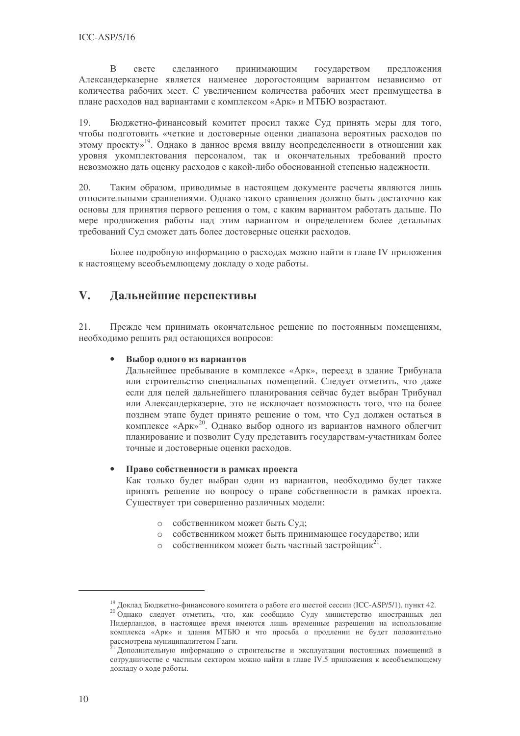B свете сделанного принимающим государством предложения Александерказерне является наименее дорогостоящим вариантом независимо от количества рабочих мест. С увеличением количества рабочих мест преимущества в плане расходов над вариантами с комплексом «Арк» и МТБЮ возрастают.

19. Бюджетно-финансовый комитет просил также Суд принять меры для того, чтобы подготовить «четкие и достоверные оценки диапазона вероятных расходов по этому проекту»<sup>19</sup>. Однако в данное время ввиду неопределенности в отношении как уровня укомплектования персоналом, так и окончательных требований просто невозможно дать оценку расходов с какой-либо обоснованной степенью надежности.

20. Таким образом, приводимые в настоящем документе расчеты являются лишь относительными сравнениями. Олнако такого сравнения лолжно быть лостаточно как основы для принятия первого решения о том, с каким вариантом работать дальше. По мере продвижения работы над этим вариантом и определением более детальных требований Суд сможет дать более достоверные оценки расходов.

Более подробную информацию о расходах можно найти в главе IV приложения к настоящему всеобъемлющему докладу о ходе работы.

#### $V_{\bullet}$ Дальнейшие перспективы

21. Прежде чем принимать окончательное решение по постоянным помещениям, необходимо решить ряд остающихся вопросов:

#### $\bullet$ Выбор одного из вариантов

Дальнейшее пребывание в комплексе «Арк», переезд в здание Трибунала или строительство специальных помещений. Следует отметить, что даже если для целей дальнейшего планирования сейчас будет выбран Трибунал или Александерказерне, это не исключает возможность того, что на более позднем этапе будет принято решение о том, что Суд должен остаться в комплексе «Арк»<sup>20</sup>. Однако выбор одного из вариантов намного облегчит планирование и позволит Суду представить государствам-участникам более точные и достоверные оценки расходов.

#### Право собственности в рамках проекта

Как только будет выбран один из вариантов, необходимо будет также принять решение по вопросу о праве собственности в рамках проекта. Существует три совершенно различных модели:

- о собственником может быть Суд;
- о собственником может быть принимающее государство; или
- о собственником может быть частный застройщик<sup>21</sup>.

<sup>&</sup>lt;sup>19</sup> Доклад Бюджетно-финансового комитета о работе его шестой сессии (ICC-ASP/5/1), пункт 42.

<sup>20</sup> Однако следует отметить, что, как сообщило Суду министерство иностранных дел Нидерландов, в настоящее время имеются лишь временные разрешения на использование комплекса «Арк» и здания МТБЮ и что просьба о продлении не будет положительно рассмотрена муниципалитетом Гааги.

 $^1$  Дополнительную информацию о строительстве и эксплуатации постоянных помещений в сотрудничестве с частным сектором можно найти в главе IV.5 приложения к всеобъемлющему докладу о ходе работы.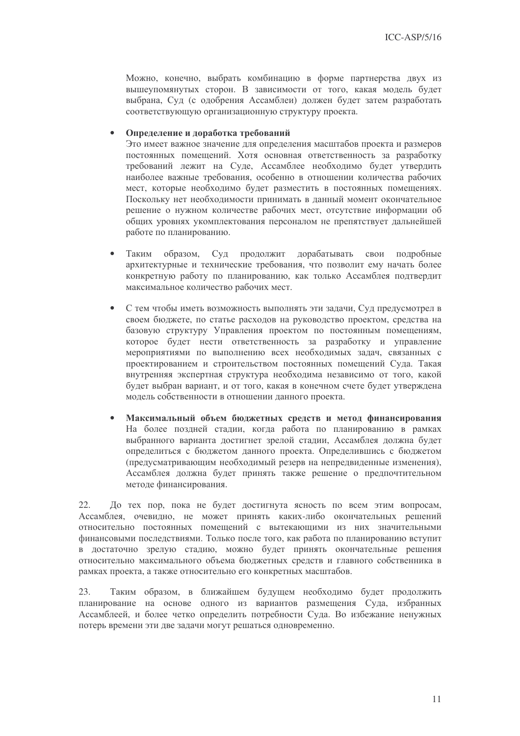Можно, конечно, выбрать комбинацию в форме партнерства двух из вышеупомянутых сторон. В зависимости от того, какая модель будет выбрана, Суд (с одобрения Ассамблеи) должен будет затем разработать соответствующую организационную структуру проекта.

#### Определение и доработка требований

Это имеет важное значение для определения масштабов проекта и размеров постоянных помещений. Хотя основная ответственность за разработку требований лежит на Суде, Ассамблее необходимо будет утвердить наиболее важные требования, особенно в отношении количества рабочих мест, которые необходимо будет разместить в постоянных помещениях. Поскольку нет необходимости принимать в данный момент окончательное решение о нужном количестве рабочих мест, отсутствие информации об обших уровнях укомплектования персоналом не препятствует лальнейшей работе по планированию.

- образом, Суд продолжит дорабатывать свои подробные Таким архитектурные и технические требования, что позволит ему начать более конкретную работу по планированию, как только Ассамблея подтвердит максимальное количество рабочих мест.
- С тем чтобы иметь возможность выполнять эти задачи, Суд предусмотрел в своем бюджете, по статье расходов на руководство проектом, средства на базовую структуру Управления проектом по постоянным помещениям, которое будет нести ответственность за разработку и управление мероприятиями по выполнению всех необходимых задач, связанных с проектированием и строительством постоянных помешений Сула. Такая внутренняя экспертная структура необходима независимо от того, какой будет выбран вариант, и от того, какая в конечном счете будет утверждена модель собственности в отношении данного проекта.
- Максимальный объем бюджетных средств и метод финансирования  $\bullet$ На более позлней сталии, когда работа по планированию в рамках выбранного варианта достигнет зрелой стадии, Ассамблея должна будет определиться с бюджетом данного проекта. Определившись с бюджетом (предусматривающим необходимый резерв на непредвиденные изменения), Ассамблея должна будет принять также решение о предпочтительном методе финансирования.

 $22.$ До тех пор, пока не будет достигнута ясность по всем этим вопросам, Ассамблея, очевидно, не может принять каких-либо окончательных решений относительно постоянных помещений с вытекающими из них значительными финансовыми последствиями. Только после того, как работа по планированию вступит в достаточно зрелую стадию, можно будет принять окончательные решения относительно максимального объема бюджетных средств и главного собственника в рамках проекта, а также относительно его конкретных масштабов.

Таким образом, в ближайшем будущем необходимо будет продолжить  $23$ планирование на основе одного из вариантов размещения Суда, избранных Ассамблеей, и более четко определить потребности Суда. Во избежание ненужных потерь времени эти две задачи могут решаться одновременно.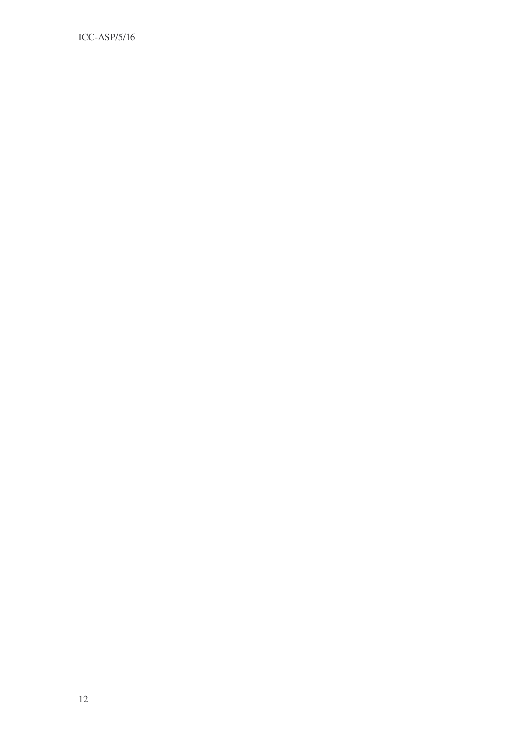ICC-ASP/5/16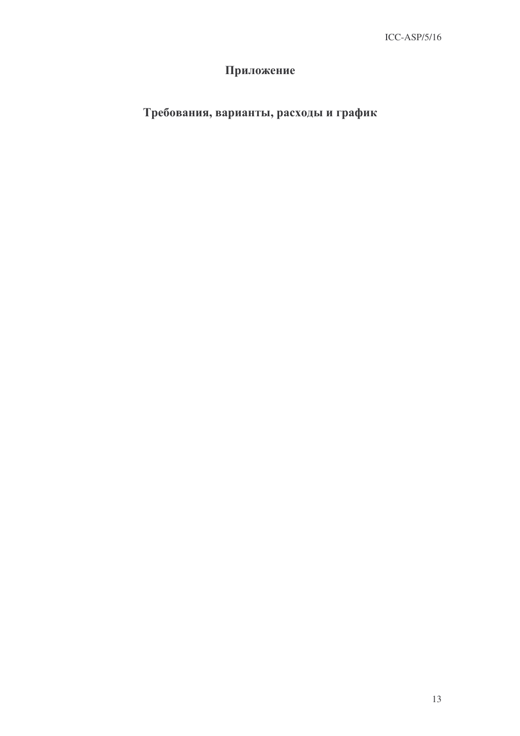# Приложение

# Требования, варианты, расходы и график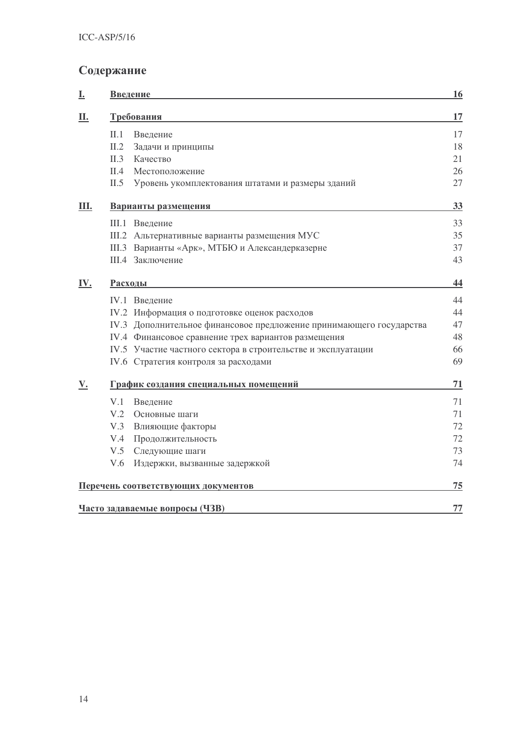# Содержание

| <u>i.</u>     |                     | Введение                                                            | 16 |
|---------------|---------------------|---------------------------------------------------------------------|----|
| <u>П.</u>     |                     | Требования                                                          | 17 |
|               | II.1                | Введение                                                            | 17 |
|               | II.2                | Задачи и принципы                                                   | 18 |
|               | II.3                | Качество                                                            | 21 |
|               | II.4                | Местоположение                                                      | 26 |
|               | II.5                | Уровень укомплектования штатами и размеры зданий                    | 27 |
| Ш.            | Варианты размещения |                                                                     |    |
|               | III.1               | Введение                                                            | 33 |
|               |                     | III.2 Альтернативные варианты размещения МУС                        | 35 |
|               | III.3               | Варианты «Арк», МТБЮ и Александерказерне                            | 37 |
|               |                     | <b>III.4 Заключение</b>                                             | 43 |
| <u>IV.</u>    | <b>Расходы</b>      |                                                                     | 44 |
|               |                     | <b>IV.1 Введение</b>                                                | 44 |
|               |                     | IV.2 Информация о подготовке оценок расходов                        | 44 |
|               |                     | IV.3 Дополнительное финансовое предложение принимающего государства | 47 |
|               |                     | IV.4 Финансовое сравнение трех вариантов размещения                 | 48 |
|               |                     | IV.5 Участие частного сектора в строительстве и эксплуатации        | 66 |
|               |                     | IV.6 Стратегия контроля за расходами                                | 69 |
| $V_{\bullet}$ |                     | График создания специальных помещений                               | 71 |
|               | V.1                 | Введение                                                            | 71 |
|               | V.2                 | Основные шаги                                                       | 71 |
|               | V.3                 | Влияющие факторы                                                    | 72 |
|               | V.4                 | Продолжительность                                                   | 72 |
|               | V.5                 | Следующие шаги                                                      | 73 |
|               | V.6                 | Издержки, вызванные задержкой                                       | 74 |
|               |                     | Перечень соответствующих документов                                 | 75 |
|               |                     | Часто залаваемые вопросы (ЧЗВ)                                      | 77 |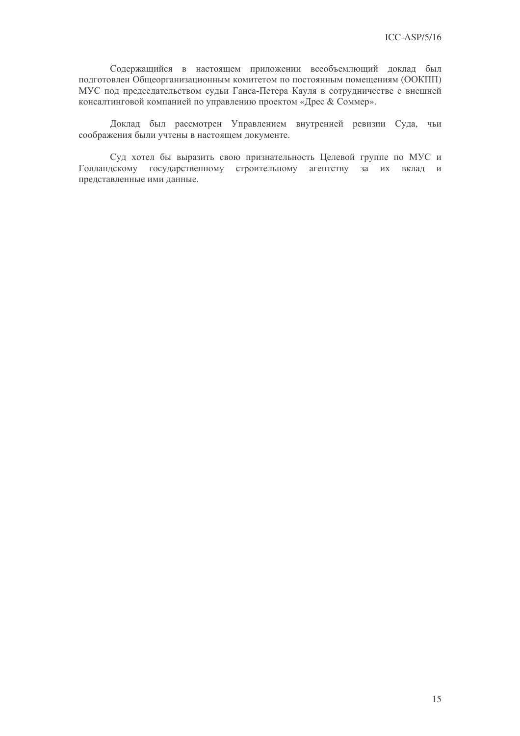Содержащийся в настоящем приложении всеобъемлющий доклад был подготовлен Общеорганизационным комитетом по постоянным помещениям (ООКПП) МУС под председательством судьи Ганса-Петера Кауля в сотрудничестве с внешней консалтинговой компанией по управлению проектом «Дрес & Соммер».

Доклад был рассмотрен Управлением внутренней ревизии Суда, чьи соображения были учтены в настоящем документе.

Суд хотел бы выразить свою признательность Целевой группе по МУС и Голландскому государственному строительному агентству за их вклад и представленные ими данные.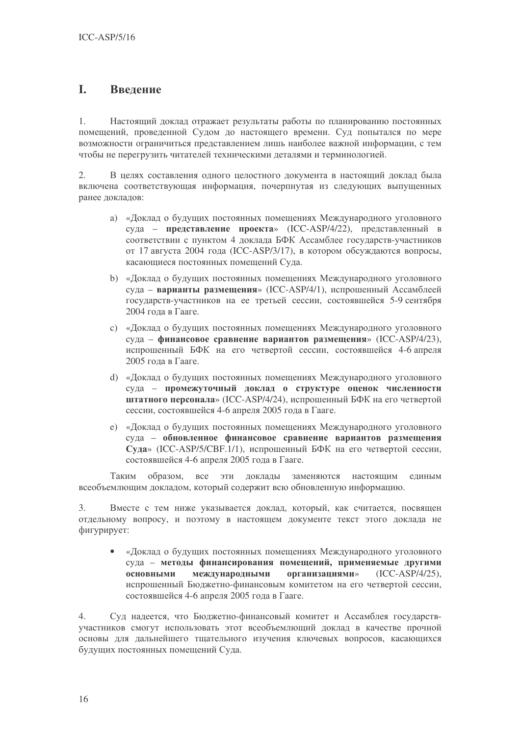#### L. Введение

 $1<sub>1</sub>$ Настоящий доклад отражает результаты работы по планированию постоянных помещений, проведенной Судом до настоящего времени. Суд попытался по мере возможности ограничиться представлением лишь наиболее важной информации, с тем чтобы не перегрузить читателей техническими леталями и терминологией.

 $2.$ В целях составления одного целостного документа в настоящий доклад была включена соответствующая информация, почерпнутая из следующих выпущенных ранее докладов:

- а) «Доклад о будущих постоянных помещениях Международного уголовного суда - представление проекта» (ICC-ASP/4/22), представленный в соответствии с пунктом 4 доклада БФК Ассамблее государств-участников от 17 августа 2004 года (ICC-ASP/3/17), в котором обсуждаются вопросы, касающиеся постоянных помещений Суда.
- b) «Доклад о будущих постоянных помещениях Международного уголовного сула - варианты размешения» (ICC-ASP/4/1), испрошенный Ассамблеей государств-участников на ее третьей сессии, состоявшейся 5-9 сентября 2004 года в Гааге.
- c) «Доклад о будущих постоянных помещениях Международного уголовного суда - финансовое сравнение вариантов размещения» (ICC-ASP/4/23), испрошенный БФК на его четвертой сессии, состоявшейся 4-6 апреля 2005 года в Гааге.
- d) «Доклад о будущих постоянных помещениях Международного уголовного суда - промежуточный доклад о структуре оценок численности штатного персонала» (ICC-ASP/4/24), испрошенный БФК на его четвертой сессии, состоявшейся 4-6 апреля 2005 года в Гааге.
- е) «Доклад о будущих постоянных помещениях Международного уголовного суда - обновленное финансовое сравнение вариантов размещения Суда» (ICC-ASP/5/CBF.1/1), испрошенный БФК на его четвертой сессии, состоявшейся 4-6 апреля 2005 года в Гааге.

Таким образом, все эти доклады заменяются настоящим единым всеобъемлющим докладом, который содержит всю обновленную информацию.

Вместе с тем ниже указывается доклад, который, как считается, посвящен 3. отдельному вопросу, и поэтому в настоящем документе текст этого доклада не фигурирует:

«Доклад о будущих постоянных помещениях Международного уголовного суда - методы финансирования помещений, применяемые другими международными **организациями»**  $(ICC-ASP/4/25)$ , основными испрошенный Бюджетно-финансовым комитетом на его четвертой сессии, состоявшейся 4-6 апреля 2005 года в Гааге.

 $\overline{4}$ . Суд надеется, что Бюджетно-финансовый комитет и Ассамблея государствучастников смогут использовать этот всеобъемлющий доклад в качестве прочной основы для дальнейшего тщательного изучения ключевых вопросов, касающихся будущих постоянных помещений Суда.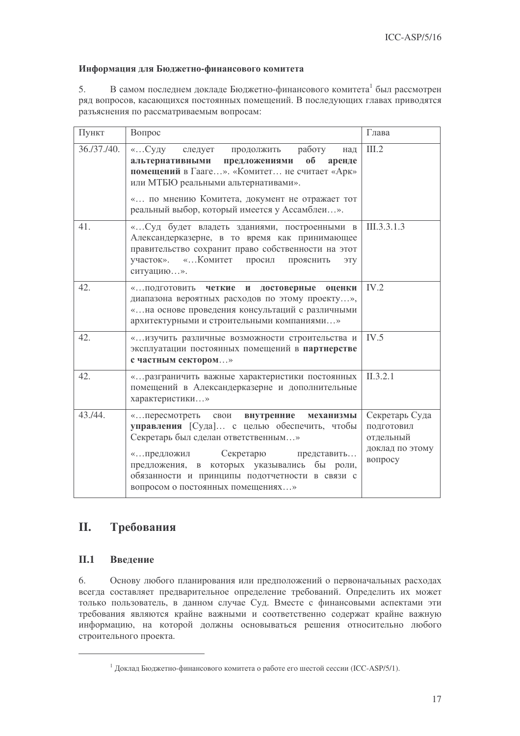#### Информация для Бюджетно-финансового комитета

В самом последнем докладе Бюджетно-финансового комитета<sup>1</sup> был рассмотрен 5. ряд вопросов, касающихся постоянных помещений. В последующих главах приводятся разъяснения по рассматриваемым вопросам:

| Пункт       | Вопрос                                                                                                                                                                                                                                                                                                              | Глава                                                                   |
|-------------|---------------------------------------------------------------------------------------------------------------------------------------------------------------------------------------------------------------------------------------------------------------------------------------------------------------------|-------------------------------------------------------------------------|
| 36.737.740. | «Суду<br>работу<br>следует продолжить<br>над<br>$0\overline{0}$<br>предложениями<br>аренде<br>альтернативными<br>помещений в Гааге». «Комитет не считает «Арк»<br>или МТБЮ реальными альтернативами».<br>« по мнению Комитета, документ не отражает тот<br>реальный выбор, который имеется у Ассамблеи».            | III.2                                                                   |
| 41.         | «Суд будет владеть зданиями, построенными в<br>Александерказерне, в то время как принимающее<br>правительство сохранит право собственности на этот<br>участок». «Комитет<br>просил<br>прояснить<br>эту<br>ситуацию».                                                                                                | III.3.3.1.3                                                             |
| 42.         | И<br>достоверные<br>оценки<br>« ПОДГОТОВИТЬ Ч <b>ЕТКИЕ</b><br>диапазона вероятных расходов по этому проекту»,<br>«на основе проведения консультаций с различными<br>архитектурными и строительными компаниями»                                                                                                      | IV.2                                                                    |
| 42.         | « изучить различные возможности строительства и<br>эксплуатации постоянных помещений в партнерстве<br>с частным сектором»                                                                                                                                                                                           | IV.5                                                                    |
| 42.         | « разграничить важные характеристики постоянных<br>помещений в Александерказерне и дополнительные<br>характеристики»                                                                                                                                                                                                | II.3.2.1                                                                |
| 43.44.      | свои внутренние<br>«пересмотреть<br>механизмы<br>управления [Суда] с целью обеспечить, чтобы<br>Секретарь был сделан ответственным»<br>Секретарю<br>«предложил<br>представить<br>предложения, в которых указывались бы роли,<br>обязанности и принципы подотчетности в связи с<br>вопросом о постоянных помещениях» | Секретарь Суда<br>подготовил<br>отдельный<br>доклад по этому<br>вопросу |

#### **II.** Требования

#### $II.1$ Введение

6. Основу любого планирования или предположений о первоначальных расходах всегда составляет предварительное определение требований. Определить их может только пользователь, в данном случае Суд. Вместе с финансовыми аспектами эти требования являются крайне важными и соответственно содержат крайне важную информацию, на которой должны основываться решения относительно любого строительного проекта.

<sup>&</sup>lt;sup>1</sup> Доклад Бюджетно-финансового комитета о работе его шестой сессии (ICC-ASP/5/1).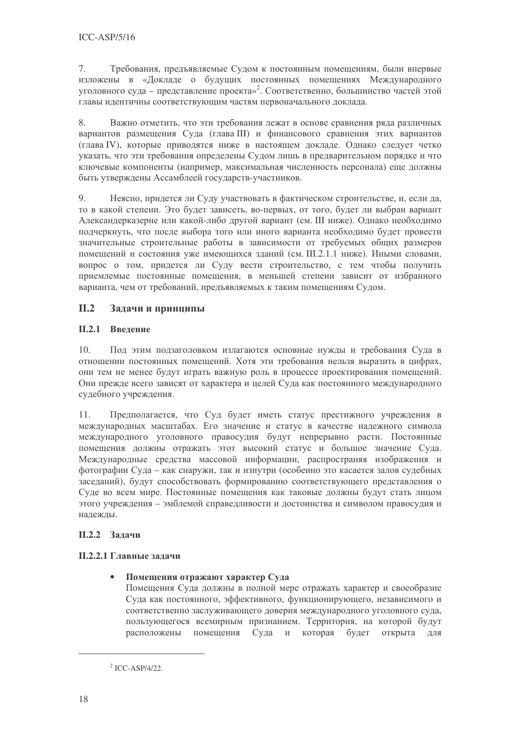7. Требования, предъявляемые Судом к постоянным помещениям, были впервые изложены в «Докладе о будущих постоянных помещениях Международного уголовного суда – представление проекта»<sup>2</sup>. Соответственно, большинство частей этой главы идентичны соответствующим частям первоначального доклада.

8. Важно отметить, что эти требования лежат в основе сравнения ряда различных вариантов размещения Суда (глава III) и финансового сравнения этих вариантов (глава IV), которые приводятся ниже в настоящем докладе. Однако следует четко указать, что эти требования определены Судом лишь в предварительном порядке и что ключевые компоненты (например, максимальная численность персонала) еще должны быть утверждены Ассамблеей государств-участников.

Неясно, придется ли Суду участвовать в фактическом строительстве, и, если да,  $Q_{1}$ то в какой степени. Это будет зависеть, во-первых, от того, будет ли выбран вариант Александерказерне или какой-либо другой вариант (см. III ниже). Однако необходимо подчеркнуть, что после выбора того или иного варианта необходимо будет провести значительные строительные работы в зависимости от требуемых общих размеров помещений и состояния уже имеющихся зданий (см. III.2.1.1 ниже). Иными словами, вопрос о том, придется ли Суду вести строительство, с тем чтобы получить приемлемые постоянные помещения, в меньшей степени зависит от избранного варианта, чем от требований, предъявляемых к таким помещениям Судом.

#### $II.2$ Задачи и принципы

## **II.2.1** Ввеление

Под этим подзаголовком излагаются основные нужды и требования Суда в 10. отношении постоянных помешений. Хотя эти требования нельзя выразить в цифрах, они тем не менее будут играть важную роль в процессе проектирования помещений. Они прежде всего зависят от характера и целей Суда как постоянного международного судебного учреждения.

11. Предполагается, что Суд будет иметь статус престижного учреждения в международных масштабах. Его значение и статус в качестве надежного символа международного уголовного правосудия будут непрерывно расти. Постоянные помещения должны отражать этот высокий статус и большое значение Суда. Международные средства массовой информации, распространяя изображения и фотографии Суда - как снаружи, так и изнутри (особенно это касается залов судебных заседаний), будут способствовать формированию соответствующего представления о Суде во всем мире. Постоянные помещения как таковые должны будут стать лицом этого учреждения - эмблемой справедливости и достоинства и символом правосудия и надежды.

## П.2.2 Залачи

## **II.2.2.1 Главные задачи**

## Помещения отражают характер Суда

Помещения Суда должны в полной мере отражать характер и своеобразие Суда как постоянного, эффективного, функционирующего, независимого и соответственно заслуживающего доверия международного уголовного суда, пользующегося всемирным признанием. Территория, на которой будут расположены помещения Суда и которая будет открыта для

<sup>&</sup>lt;sup>2</sup> ICC-ASP/4/22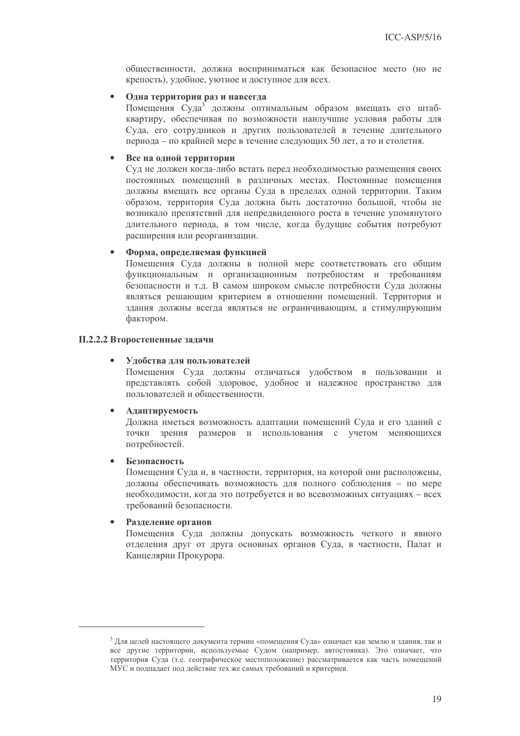общественности, должна восприниматься как безопасное место (но не крепость), удобное, уютное и доступное для всех.

#### Одна территория раз и навсегда

Помещения Суда<sup>3</sup> должны оптимальным образом вмещать его штабквартиру, обеспечивая по возможности наилучшие условия работы для Суда, его сотрудников и других пользователей в течение длительного периода – по крайней мере в течение следующих 50 лет, а то и столетия.

#### Все на одной территории

Суд не должен когда-либо встать перед необходимостью размещения своих постоянных помещений в различных местах. Постоянные помещения лолжны вмешать все органы Суда в пределах одной территории. Таким образом, территория Суда должна быть достаточно большой, чтобы не возникало препятствий для непредвиденного роста в течение упомянутого длительного периода, в том числе, когда будущие события потребуют расширения или реорганизации.

#### Форма, определяемая функцией

Помещения Суда должны в полной мере соответствовать его общим функциональным и организационным потребностям и требованиям безопасности и т.д. В самом широком смысле потребности Суда должны являться решающим критерием в отношении помешений. Территория и здания должны всегда являться не ограничивающим, а стимулирующим фактором.

#### **II.2.2.2 Второстепенные задачи**

#### Улобства лля пользователей

Помещения Суда должны отличаться удобством в пользовании и представлять собой здоровое, удобное и надежное пространство для пользователей и общественности.

#### Адаптируемость

Должна иметься возможность адаптации помещений Суда и его зданий с точки зрения размеров и использования с учетом меняющихся потребностей.

#### Безопасность

Помещения Суда и, в частности, территория, на которой они расположены, должны обеспечивать возможность для полного соблюдения - по мере необходимости, когда это потребуется и во всевозможных ситуациях - всех требований безопасности.

#### Разлеление органов

Помешения Суда должны допускать возможность четкого и явного отделения друг от друга основных органов Суда, в частности. Палат и Канцелярии Прокурора.

<sup>&</sup>lt;sup>3</sup> Для целей настоящего документа термин «помещения Суда» означает как землю и здания, так и все другие территории, используемые Судом (например, автостоянка). Это означает, что территория Суда (т.е. географическое местоположение) рассматривается как часть помещений МУС и подпадает под действие тех же самых требований и критериев.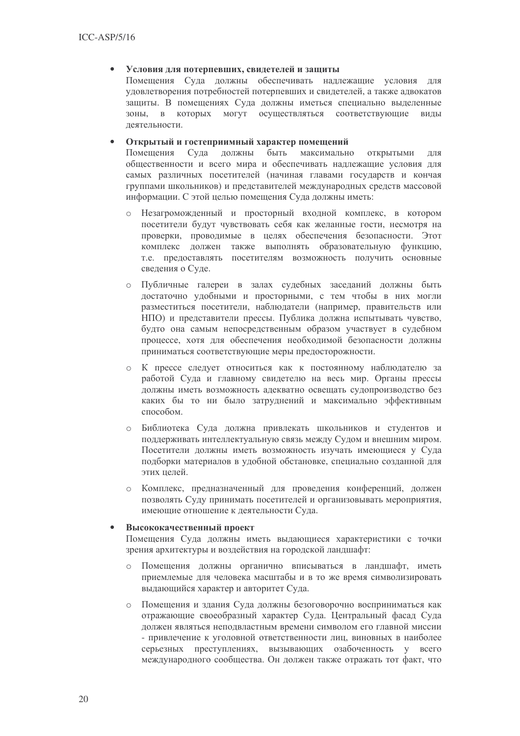#### Условия для потерпевших, свидетелей и защиты  $\bullet$

Помещения Суда должны обеспечивать надлежащие условия для удовлетворения потребностей потерпевших и свидетелей, а также адвокатов защиты. В помещениях Суда должны иметься специально выделенные зоны, в которых могут осуществляться соответствующие виды деятельности.

#### Открытый и гостеприимный характер помещений

Помещения Суда должны быть максимально ОТКРЫТЫМИ ЛЛЯ общественности и всего мира и обеспечивать надлежащие условия для самых различных посетителей (начиная главами государств и кончая группами школьников) и представителей международных средств массовой информации. С этой целью помещения Суда должны иметь:

- о Незагроможденный и просторный входной комплекс, в котором посетители будут чувствовать себя как желанные гости, несмотря на проверки, проводимые в целях обеспечения безопасности. Этот комплекс должен также выполнять образовательную функцию, т.е. предоставлять посетителям возможность получить основные сведения о Суде.
- о Публичные галереи в залах судебных заседаний должны быть достаточно удобными и просторными, с тем чтобы в них могли разместиться посетители, наблюдатели (например, правительств или НПО) и представители прессы. Публика должна испытывать чувство, будто она самым непосредственным образом участвует в судебном процессе, хотя для обеспечения необходимой безопасности должны приниматься соответствующие меры предосторожности.
- о К прессе следует относиться как к постоянному наблюдателю за работой Суда и главному свидетелю на весь мир. Органы прессы должны иметь возможность адекватно освещать судопроизводство без каких бы то ни было затруднений и максимально эффективным способом.
- о Библиотека Суда должна привлекать школьников и студентов и поддерживать интеллектуальную связь между Судом и внешним миром. Посетители должны иметь возможность изучать имеющиеся у Суда подборки материалов в удобной обстановке, специально созданной для этих нелей.
- о Комплекс, предназначенный для проведения конференций, должен позволять Суду принимать посетителей и организовывать мероприятия, имеющие отношение к деятельности Суда.

#### Высококачественный проект

Помещения Суда должны иметь выдающиеся характеристики с точки зрения архитектуры и воздействия на городской ландшафт:

- Помещения должны органично вписываться в ландшафт, иметь  $\circ$ приемлемые для человека масштабы и в то же время символизировать выдающийся характер и авторитет Суда.
- о Помещения и здания Суда должны безоговорочно восприниматься как отражающие своеобразный характер Суда. Центральный фасад Суда должен являться неподвластным времени символом его главной миссии - привлечение к уголовной ответственности лиц. виновных в наиболее серьезных преступлениях, вызывающих озабоченность у всего международного сообщества. Он должен также отражать тот факт, что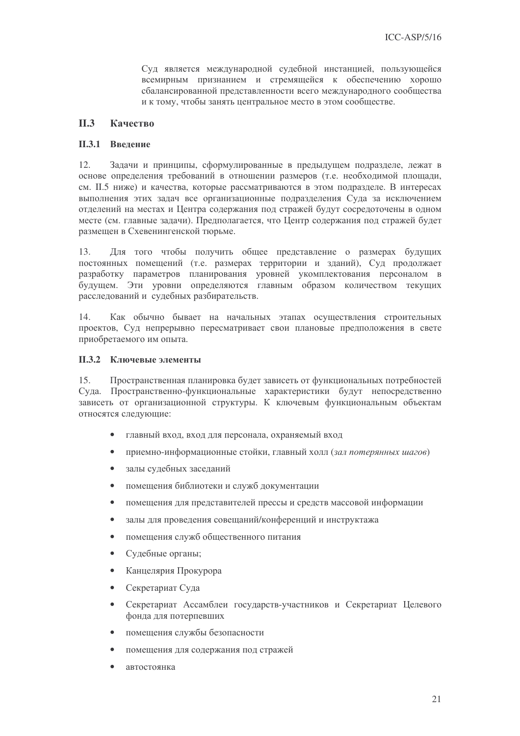Суд является международной судебной инстанцией, пользующейся всемирным признанием и стремящейся к обеспечению хорошо сбалансированной представленности всего международного сообщества и к тому, чтобы занять центральное место в этом сообществе.

#### $II.3$ Качество

#### П.3.1 Ввеление

 $12.$ Задачи и принципы, сформулированные в предыдущем подразделе, лежат в основе определения требований в отношении размеров (т.е. необходимой площади, см. II.5 ниже) и качества, которые рассматриваются в этом подразделе. В интересах выполнения этих задач все организационные подразделения Суда за исключением отделений на местах и Центра содержания под стражей будут сосредоточены в одном месте (см. главные задачи). Предполагается, что Центр содержания под стражей будет размещен в Схевенингенской тюрьме.

13. Для того чтобы получить общее представление о размерах будущих постоянных помещений (т.е. размерах территории и зданий), Суд продолжает разработку параметров планирования уровней укомплектования персоналом в будущем. Эти уровни определяются главным образом количеством текущих расследований и судебных разбирательств.

 $14$ Как обычно бывает на начальных этапах осуществления строительных проектов, Суд непрерывно пересматривает свои плановые предположения в свете приобретаемого им опыта.

## П.3.2 Ключевые элементы

 $15<sup>1</sup>$ Пространственная планировка будет зависеть от функциональных потребностей Суда. Пространственно-функциональные характеристики будут непосредственно зависеть от организационной структуры. К ключевым функциональным объектам относятся следующие:

- главный вход, вход для персонала, охраняемый вход
- $\bullet$ приемно-информационные стойки, главный холл (зал потерянных шагов)
- залы судебных заседаний  $\bullet$
- $\bullet$ помещения библиотеки и служб документации
- $\bullet$ помещения для представителей прессы и средств массовой информации
- $\bullet$ залы для проведения совещаний/конференций и инструктажа
- $\bullet$ помещения служб общественного питания
- Судебные органы;  $\bullet$
- Канцелярия Прокурора  $\bullet$
- Секретариат Суда  $\bullet$
- Секретариат Ассамблеи государств-участников и Секретариат Целевого  $\bullet$ фонла для потерпевших
- $\bullet$ помещения службы безопасности
- помещения для содержания под стражей  $\bullet$
- автостоянка  $\bullet$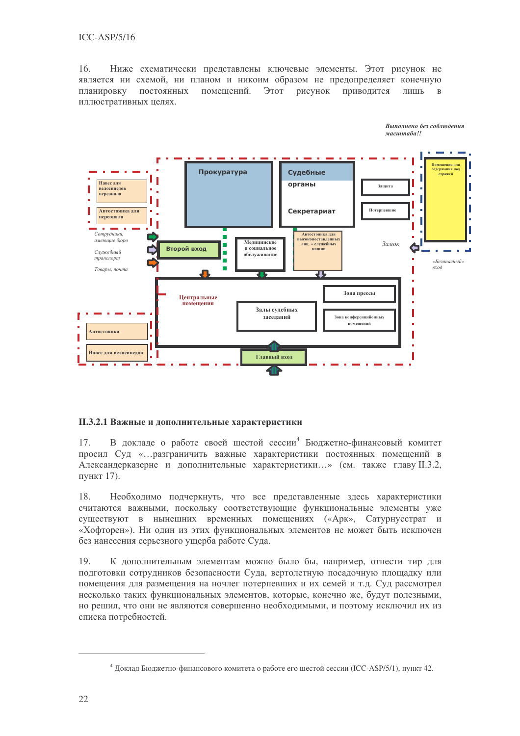## $ICC-ASP/5/16$

16. Ниже схематически представлены ключевые элементы. Этот рисунок не является ни схемой, ни планом и никоим образом не предопределяет конечную планировку постоянных помещений. Этот рисунок приводится ЛИШЬ  $\overline{R}$ иллюстративных целях.

Выполнено без соблюдения



#### П.3.2.1 Важные и дополнительные характеристики

В докладе о работе своей шестой сессии<sup>4</sup> Бюджетно-финансовый комитет  $17.$ просил Суд «...разграничить важные характеристики постоянных помещений в Александерказерне и дополнительные характеристики...» (см. также главу II.3.2, пункт 17).

Необходимо подчеркнуть, что все представленные здесь характеристики 18. считаются важными, поскольку соответствующие функциональные элементы уже существуют в нынешних временных помещениях («Арк», Сатурнусстрат и «Хофторен»). Ни один из этих функциональных элементов не может быть исключен без нанесения серьезного ущерба работе Суда.

К дополнительным элементам можно было бы, например, отнести тир для  $19<sub>1</sub>$ подготовки сотрудников безопасности Суда, вертолетную посадочную площадку или помещения для размешения на ночлег потерпевших и их семей и т.д. Суд рассмотрел несколько таких функциональных элементов, которые, конечно же, будут полезными, но решил, что они не являются совершенно необходимыми, и поэтому исключил их из списка потребностей.

<sup>&</sup>lt;sup>4</sup> Доклад Бюджетно-финансового комитета о работе его шестой сессии (ICC-ASP/5/1), пункт 42.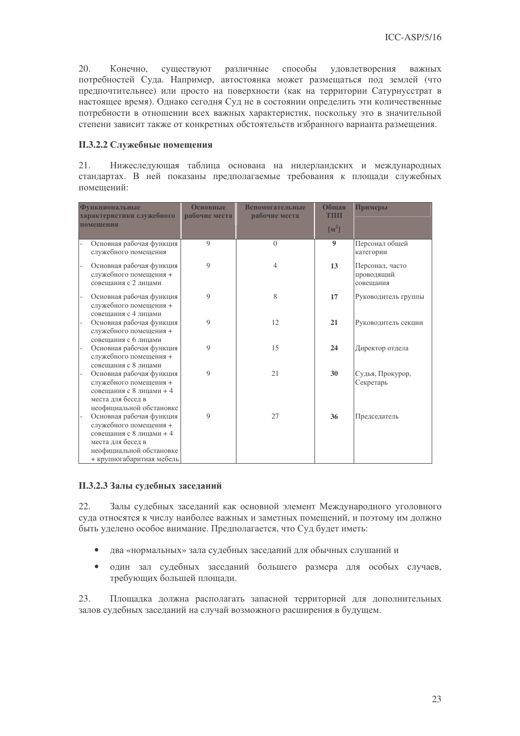20. Конечно, существуют различные способы удовлетворения важных потребностей Суда. Например, автостоянка может размещаться под землей (что предпочтительнее) или просто на поверхности (как на территории Сатурнусстрат в настоящее время). Однако сегодня Суд не в состоянии определить эти количественные потребности в отношении всех важных характеристик, поскольку это в значительной степени зависит также от конкретных обстоятельств избранного варианта размещения.

#### П.3.2.2 Служебные помещения

 $21.$ Нижеследующая таблица основана на нидерландских и международных стандартах. В ней показаны предполагаемые требования к площади служебных помешений:

| <b>Функциональные</b><br>характеристики служебного |                                                                                                                                                              | Основные<br>рабочие места | Вспомогательные<br>рабочие места | Обшая<br><b>THIL</b>  | Примеры                                    |
|----------------------------------------------------|--------------------------------------------------------------------------------------------------------------------------------------------------------------|---------------------------|----------------------------------|-----------------------|--------------------------------------------|
| помешения                                          |                                                                                                                                                              |                           |                                  | $\lbrack M^2 \rbrack$ |                                            |
|                                                    | Основная рабочая функция<br>служебного помещения                                                                                                             | $\overline{Q}$            | $\Omega$                         | $\boldsymbol{9}$      | Персонал общей<br>категории                |
|                                                    | Основная рабочая функция<br>служебного помещения +<br>совещания с 2 лицами                                                                                   | 9                         | $\overline{4}$                   | 13                    | Персонал, часто<br>проводящий<br>совещания |
|                                                    | Основная рабочая функция<br>служебного помещения +<br>совешания с 4 лицами                                                                                   | 9                         | 8                                | 17                    | Руководитель группы                        |
|                                                    | Основная рабочая функция<br>служебного помещения +<br>совещания с 6 лицами                                                                                   | 9                         | 12                               | 21                    | Руководитель секции                        |
|                                                    | Основная рабочая функция<br>служебного помещения +<br>совещания с 8 лицами                                                                                   | 9                         | 15                               | 24                    | Директор отдела                            |
|                                                    | Основная рабочая функция<br>служебного помещения +<br>совещания с 8 лицами + 4<br>места для бесед в<br>неофициальной обстановке                              | 9                         | 21                               | 30                    | Судья, Прокурор,<br>Секретарь              |
|                                                    | Основная рабочая функция<br>служебного помещения +<br>совешания с 8 лицами + 4<br>места для бесед в<br>неофициальной обстановке<br>+ крупногабаритная мебель | 9                         | 27                               | 36                    | Председатель                               |

#### П.3.2.3 Залы судебных заседаний

22. Залы судебных заседаний как основной элемент Международного уголовного суда относятся к числу наиболее важных и заметных помещений, и поэтому им должно быть уделено особое внимание. Предполагается, что Суд будет иметь:

- два «нормальных» зала судебных заседаний для обычных слушаний и  $\bullet$
- один зал судебных заседаний большего размера для особых случаев,  $\bullet$ требующих большей площади.

23. Плошалка должна располагать запасной территорией для дополнительных залов судебных заселаний на случай возможного расширения в будущем.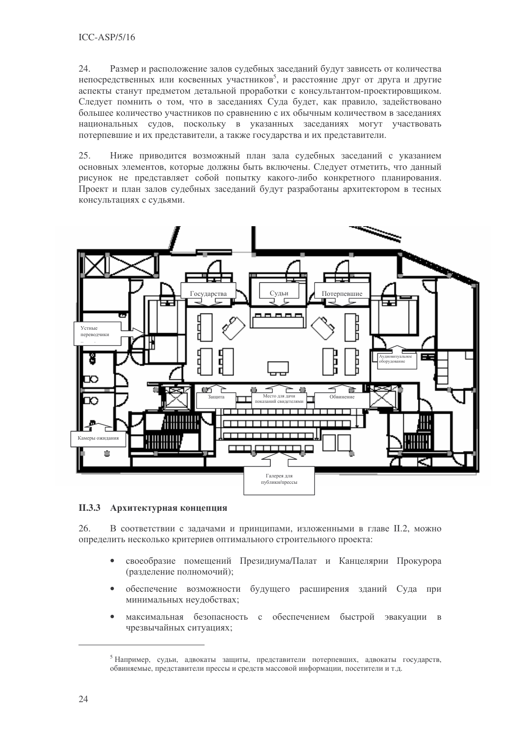24. Размер и расположение залов судебных заседаний будут зависеть от количества непосредственных или косвенных участников<sup>5</sup>, и расстояние друг от друга и другие аспекты станут предметом детальной проработки с консультантом-проектировщиком. Следует помнить о том, что в заседаниях Суда будет, как правило, задействовано большее количество участников по сравнению с их обычным количеством в заседаниях национальных судов, поскольку в указанных заседаниях могут участвовать потерпевшие и их представители, а также государства и их представители.

25. Ниже приводится возможный план зала судебных заседаний с указанием основных элементов, которые должны быть включены. Следует отметить, что данный рисунок не представляет собой попытку какого-либо конкретного планирования. Проект и план залов судебных заседаний будут разработаны архитектором в тесных консультациях с судьями.



## П.З.3 Архитектурная концепция

В соответствии с задачами и принципами, изложенными в главе II.2, можно 26. определить несколько критериев оптимального строительного проекта:

- своеобразие помешений Президиума/Палат и Канцелярии Прокурора (разделение полномочий);
- обеспечение возможности будущего расширения зданий Суда при минимальных неудобствах;
- максимальная безопасность с обеспечением быстрой эвакуации в чрезвычайных ситуациях;

<sup>5</sup> Например, судьи, адвокаты защиты, представители потерпевших, адвокаты государств, обвиняемые, представители прессы и средств массовой информации, посетители и т.д.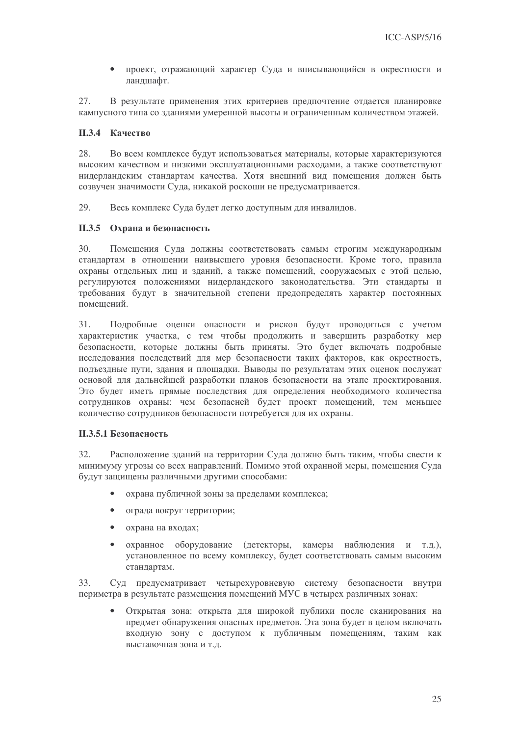проект, отражающий характер Суда и вписывающийся в окрестности и  $\bullet$ ландшафт.

В результате применения этих критериев предпочтение отдается планировке 27. кампусного типа со зданиями умеренной высоты и ограниченным количеством этажей.

#### П.3.4 Качество

28 Во всем комплексе будут использоваться материалы, которые характеризуются высоким качеством и низкими эксплуатационными расходами, а также соответствуют нидерландским стандартам качества. Хотя внешний вид помещения должен быть созвучен значимости Суда, никакой роскоши не предусматривается.

29 Весь комплекс Суда будет легко доступным для инвалидов.

#### П.3.5 Охрана и безопасность

 $30<sup>2</sup>$ Помещения Суда должны соответствовать самым строгим международным стандартам в отношении наивысшего уровня безопасности. Кроме того, правила охраны отдельных лиц и зданий, а также помещений, сооружаемых с этой целью, регулируются положениями нидерландского законодательства. Эти стандарты и требования будут в значительной степени предопределять характер постоянных помешений.

 $31$ Подробные оценки опасности и рисков будут проводиться с учетом характеристик участка, с тем чтобы продолжить и завершить разработку мер безопасности, которые должны быть приняты. Это будет включать подробные исследования последствий для мер безопасности таких факторов, как окрестность, подъездные пути, здания и площадки. Выводы по результатам этих оценок послужат основой для дальнейшей разработки планов безопасности на этапе проектирования. Это будет иметь прямые последствия для определения необходимого количества сотрудников охраны: чем безопасней будет проект помещений, тем меньшее количество сотрудников безопасности потребуется для их охраны.

#### П.3.5.1 Безопасность

Расположение зданий на территории Суда должно быть таким, чтобы свести к 32. минимуму угрозы со всех направлений. Помимо этой охранной меры, помещения Суда будут защищены различными другими способами:

- охрана публичной зоны за пределами комплекса;
- ограда вокруг территории;
- охрана на входах;
- охранное оборудование (детекторы, камеры наблюдения и т.д.), установленное по всему комплексу, будет соответствовать самым высоким стандартам.

33. Суд предусматривает четырехуровневую систему безопасности внутри периметра в результате размещения помещений МУС в четырех различных зонах:

Открытая зона: открыта для широкой публики после сканирования на предмет обнаружения опасных предметов. Эта зона будет в целом включать входную зону с доступом к публичным помещениям, таким как выставочная зона и т.д.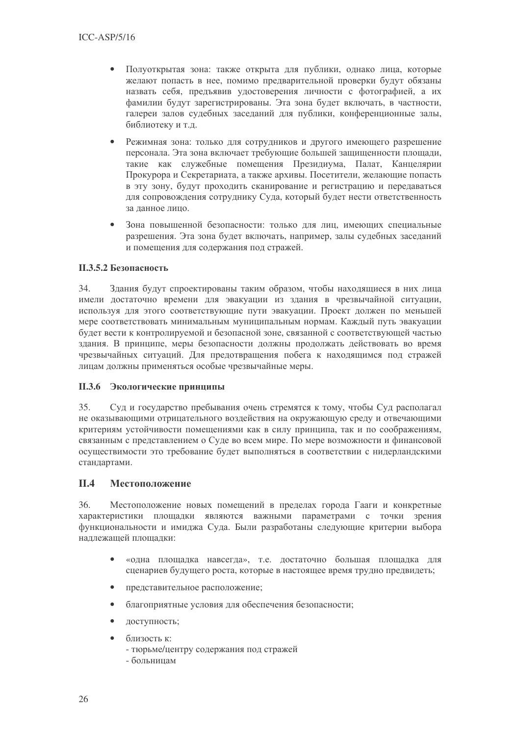- Полуоткрытая зона: также открыта для публики, однако лица, которые  $\bullet$ желают попасть в нее, помимо предварительной проверки будут обязаны назвать себя, предъявив удостоверения личности с фотографией, а их фамилии будут зарегистрированы. Эта зона будет включать, в частности, галереи залов судебных заседаний для публики, конференционные залы, библиотеку и т.д.
- Режимная зона: только для сотрудников и другого имеющего разрешение персонала. Эта зона включает требующие большей защищенности площади, такие как служебные помещения Президиума, Палат, Канцелярии Прокурора и Секретариата, а также архивы. Посетители, желающие попасть в эту зону, будут проходить сканирование и регистрацию и передаваться для сопровождения сотруднику Суда, который будет нести ответственность за ланное липо.
- Зона повышенной безопасности: только для лиц, имеющих специальные разрешения. Эта зона будет включать, например, залы судебных заседаний и помещения для содержания под стражей.

## П.3.5.2 Безопасность

 $34$ Здания будут спроектированы таким образом, чтобы находящиеся в них лица имели достаточно времени для эвакуации из здания в чрезвычайной ситуации, используя для этого соответствующие пути эвакуации. Проект должен по меньшей мере соответствовать минимальным муниципальным нормам. Кажлый путь эвакуации будет вести к контролируемой и безопасной зоне, связанной с соответствующей частью здания. В принципе, меры безопасности должны продолжать действовать во время чрезвычайных ситуаций. Для предотвращения побега к находящимся под стражей лицам должны применяться особые чрезвычайные меры.

## П.3.6 Экологические принципы

Суд и государство пребывания очень стремятся к тому, чтобы Суд располагал 35. не оказывающими отрицательного воздействия на окружающую среду и отвечающими критериям устойчивости помещениями как в силу принципа, так и по соображениям, связанным с представлением о Суде во всем мире. По мере возможности и финансовой осуществимости это требование будет выполняться в соответствии с нидерландскими стандартами.

#### $II.4$ Местоположение

36. Местоположение новых помещений в пределах города Гааги и конкретные характеристики площадки являются важными параметрами с точки зрения функциональности и имиджа Суда. Были разработаны следующие критерии выбора надлежащей площадки:

- «одна площадка навсегда», т.е. достаточно большая площадка для сценариев будущего роста, которые в настоящее время трудно предвидеть;
- представительное расположение;
- благоприятные условия для обеспечения безопасности;  $\bullet$
- $\bullet$ доступность;
- близость к:
	- тюрьме/центру содержания под стражей
	- больницам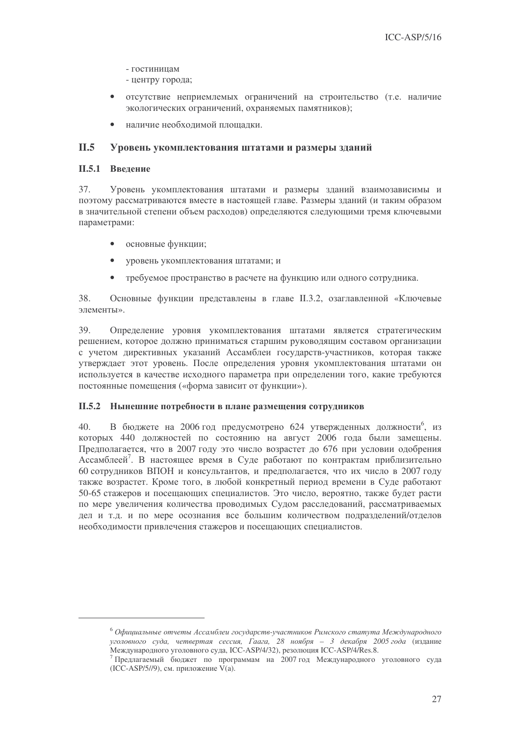- гостиницам
- центру города;
- отсутствие неприемлемых ограничений на строительство (т.е. наличие экологических ограничений, охраняемых памятников);
- наличие необходимой площадки.

#### $II.5$ Уровень укомплектования штатами и размеры зданий

#### $\Pi$ .5.1 Ввеление

Уровень укомплектования штатами и размеры зданий взаимозависимы и 37. поэтому рассматриваются вместе в настоящей главе. Размеры зданий (и таким образом в значительной степени объем расходов) определяются следующими тремя ключевыми параметрами:

- основные функции;
- уровень укомплектования штатами; и  $\bullet$
- требуемое пространство в расчете на функцию или одного сотрудника.

38. Основные функции представлены в главе II.3.2, озаглавленной «Ключевые элементы».

 $39$ Определение уровня укомплектования штатами является стратегическим решением, которое должно приниматься старшим руководящим составом организации с учетом директивных указаний Ассамблеи государств-участников, которая также утверждает этот уровень. После определения уровня укомплектования штатами он используется в качестве исходного параметра при определении того, какие требуются постоянные помещения («форма зависит от функции»).

#### П.5.2 Нынешние потребности в плане размещения сотрудников

В бюджете на 2006 год предусмотрено 624 утвержденных должности<sup>6</sup>, из  $40.$ которых 440 должностей по состоянию на август 2006 года были замещены. Предполагается, что в 2007 году это число возрастет до 676 при условии одобрения Ассамблеей<sup>7</sup>. В настоящее время в Суде работают по контрактам приблизительно 60 сотрудников ВПОН и консультантов, и предполагается, что их число в 2007 году также возрастет. Кроме того, в любой конкретный период времени в Суде работают 50-65 стажеров и посещающих специалистов. Это число, вероятно, также будет расти по мере увеличения количества проводимых Судом расследований, рассматриваемых дел и т.д. и по мере осознания все большим количеством подразделений/отделов необходимости привлечения стажеров и посещающих специалистов.

<sup>&</sup>lt;sup>6</sup> Официальные отчеты Ассамблеи государств-участников Римского статута Международного уголовного суда, четвертая сессия, Гаага, 28 ноября - 3 декабря 2005 года (издание Международного уголовного суда, ICC-ASP/4/32), резолюция ICC-ASP/4/Res.8.

<sup>7</sup> Предлагаемый бюджет по программам на 2007 год Международного уголовного суда  $(ICC-ASP/5//9)$ , см. приложение  $V(a)$ .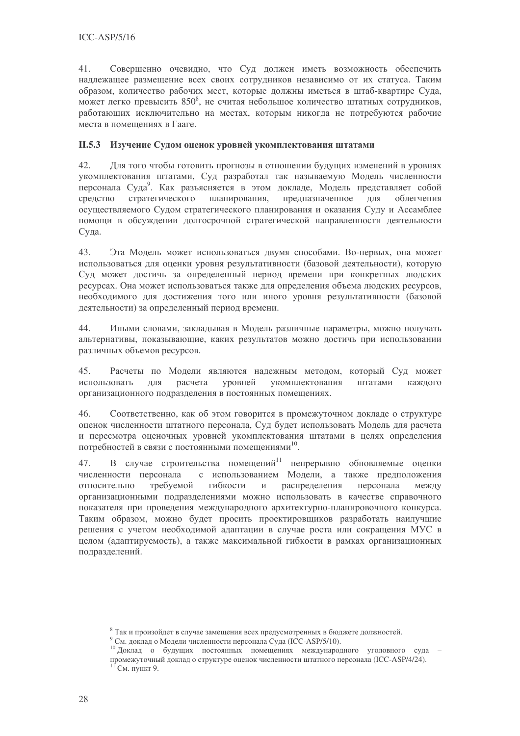41. Совершенно очевидно, что Суд должен иметь возможность обеспечить надлежащее размещение всех своих сотрудников независимо от их статуса. Таким образом, количество рабочих мест, которые должны иметься в штаб-квартире Суда, может легко превысить  $850^8$ , не считая небольшое количество штатных сотрудников, работающих исключительно на местах, которым никогда не потребуются рабочие места в помещениях в Гааге.

## П.5.3 Изучение Судом оценок уровней укомплектования штатами

 $42<sub>1</sub>$ Для того чтобы готовить прогнозы в отношении будущих изменений в уровнях укомплектования штатами, Суд разработал так называемую Модель численности персонала Суда<sup>9</sup>. Как разъясняется в этом докладе, Модель представляет собой средство стратегического планирования. предназначенное  $\Pi$  $\Pi$  $\Pi$ облегчения осуществляемого Судом стратегического планирования и оказания Суду и Ассамблее помощи в обсуждении долгосрочной стратегической направленности деятельности Суда.

43. Эта Модель может использоваться двумя способами. Во-первых, она может использоваться для оценки уровня результативности (базовой деятельности), которую Сул может лостичь за определенный период времени при конкретных людских ресурсах. Она может использоваться также для определения объема людских ресурсов, необходимого для достижения того или иного уровня результативности (базовой деятельности) за определенный период времени.

44. Иными словами, закладывая в Модель различные параметры, можно получать альтернативы, показывающие, каких результатов можно достичь при использовании различных объемов ресурсов.

 $45.$ Расчеты по Модели являются надежным методом, который Суд может использовать ЛЛЯ расчета уровней укомплектования штатами кажлого организационного подразделения в постоянных помещениях.

Соответственно, как об этом говорится в промежуточном докладе о структуре 46. оценок численности штатного персонала, Суд будет использовать Модель для расчета и пересмотра оценочных уровней укомплектования штатами в целях определения потребностей в связи с постоянными помещениями<sup>10</sup>.

В случае строительства помещений<sup>11</sup> непрерывно обновляемые оценки 47. численности персонала с использованием Модели, а также предположения относительно требуемой гибкости  $\mathbf{M}$ распределения персонала межлу организационными подразделениями можно использовать в качестве справочного показателя при проведения международного архитектурно-планировочного конкурса. Таким образом, можно будет просить проектировщиков разработать наилучшие решения с учетом необходимой адаптации в случае роста или сокращения МУС в целом (адаптируемость), а также максимальной гибкости в рамках организационных подразделений.

<sup>&</sup>lt;sup>8</sup> Так и произойдет в случае замещения всех предусмотренных в бюджете должностей.

<sup>&</sup>lt;sup>9</sup> См. доклад о Модели численности персонала Суда (ICC-ASP/5/10).

<sup>10</sup> Доклад о будущих постоянных помещениях международного уголовного суда промежуточный доклад о структуре оценок численности штатного персонала (ICC-ASP/4/24).  $11^{\circ}$  См. пункт 9.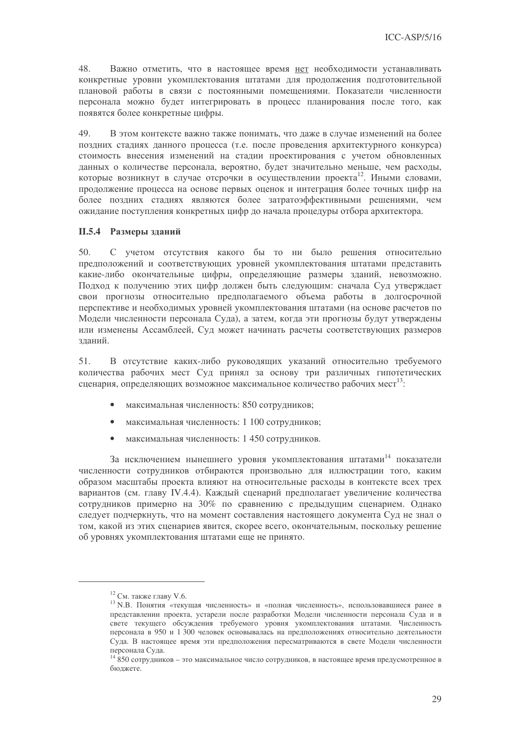48. Важно отметить, что в настоящее время нет необходимости устанавливать конкретные уровни укомплектования штатами для продолжения подготовительной плановой работы в связи с постоянными помещениями. Показатели численности персонала можно будет интегрировать в процесс планирования после того, как появятся более конкретные нифры.

В этом контексте важно также понимать, что даже в случае изменений на более 49. поздних сталиях данного процесса (т.е. после проведения архитектурного конкурса) стоимость внесения изменений на стадии проектирования с учетом обновленных данных о количестве персонала, вероятно, будет значительно меньше, чем расходы, которые возникнут в случае отсрочки в осуществлении проекта<sup>12</sup>. Иными словами, продолжение процесса на основе первых оценок и интеграция более точных цифр на более поздних стадиях являются более затратоэффективными решениями, чем ожидание поступления конкретных цифр до начала процедуры отбора архитектора.

#### **II.5.4** Размеры зланий

50. С учетом отсутствия какого бы то ни было решения относительно предположений и соответствующих уровней укомплектования штатами представить какие-либо окончательные цифры, определяющие размеры зданий, невозможно. Подход к получению этих цифр должен быть следующим: сначала Суд утверждает свои прогнозы относительно предполагаемого объема работы в долгосрочной перспективе и необходимых уровней укомплектования штатами (на основе расчетов по Модели численности персонала Суда), а затем, когда эти прогнозы будут утверждены или изменены Ассамблеей, Суд может начинать расчеты соответствующих размеров зланий.

В отсутствие каких-либо руководящих указаний относительно требуемого  $51.$ количества рабочих мест Суд принял за основу три различных гипотетических сценария, определяющих возможное максимальное количество рабочих мест<sup>13</sup>:

- максимальная численность: 850 сотрудников;
- максимальная численность: 1 100 сотрудников;
- максимальная численность: 1 450 сотрудников.

За исключением нынешнего уровня укомплектования штатами<sup>14</sup> показатели численности сотрудников отбираются произвольно для иллюстрации того, каким образом масштабы проекта влияют на относительные расходы в контексте всех трех вариантов (см. главу IV.4.4). Каждый сценарий предполагает увеличение количества сотрудников примерно на 30% по сравнению с предыдущим сценарием. Однако следует подчеркнуть, что на момент составления настоящего документа Суд не знал о том, какой из этих сценариев явится, скорее всего, окончательным, поскольку решение об уровнях укомплектования штатами еще не принято.

 $12$  См. также главу V.6.

<sup>&</sup>lt;sup>13</sup> N.B. Понятия «текущая численность» и «полная численность», использовавшиеся ранее в представлении проекта, устарели после разработки Модели численности персонала Суда и в свете текущего обсуждения требуемого уровня укомплектования штатами. Численность персонала в 950 и 1 300 человек основывалась на предположениях относительно деятельности Суда. В настоящее время эти предположения пересматриваются в свете Модели численности персонала Суда.

<sup>&</sup>lt;sup>14</sup>850 сотрудников - это максимальное число сотрудников, в настоящее время предусмотренное в бюлжете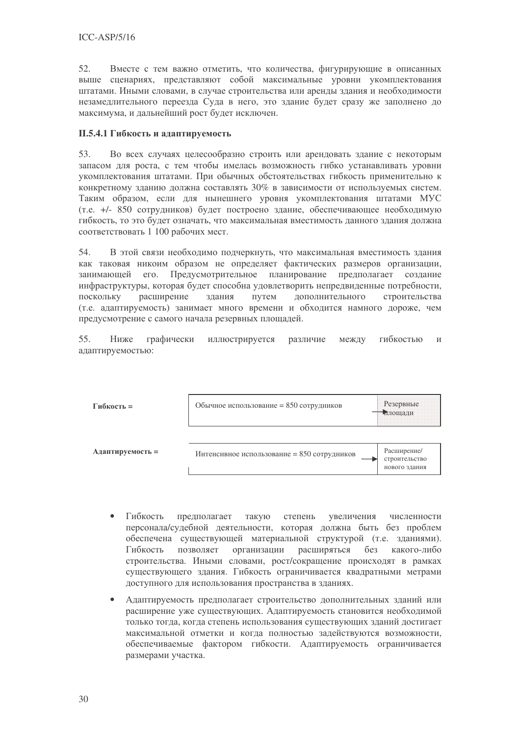52. Вместе с тем важно отметить, что количества, фигурирующие в описанных сценариях, представляют собой максимальные уровни укомплектования выше штатами. Иными словами, в случае строительства или аренды здания и необходимости незамедлительного переезда Суда в него, это здание будет сразу же заполнено до максимума, и лальнейший рост булет исключен.

#### П.5.4.1 Гибкость и адаптируемость

53. Во всех случаях целесообразно строить или арендовать здание с некоторым запасом для роста, с тем чтобы имелась возможность гибко устанавливать уровни укомплектования штатами. При обычных обстоятельствах гибкость применительно к конкретному зданию должна составлять 30% в зависимости от используемых систем. Таким образом, если для нынешнего уровня укомплектования штатами МУС (т.е. +/- 850 сотрудников) будет построено здание, обеспечивающее необходимую гибкость, то это будет означать, что максимальная вместимость данного здания должна соответствовать 1 100 рабочих мест.

54. В этой связи необходимо подчеркнуть, что максимальная вместимость здания как таковая никоим образом не определяет фактических размеров организации, занимающей его. Предусмотрительное планирование предполагает создание инфраструктуры, которая будет способна удовлетворить непредвиденные потребности, поскольку расширение злания путем лополнительного строительства (т.е. адаптируемость) занимает много времени и обходится намного дороже, чем предусмотрение с самого начала резервных площадей.

55. Ниже графически иллюстрируется различие между гибкостью  $\overline{M}$ алаптируемостью:



- $\bullet$ Гибкость предполагает такую степень увеличения численности персонала/судебной деятельности, которая должна быть без проблем обеспечена существующей материальной структурой (т.е. зданиями). Гибкость позволяет организации расширяться  $6e<sub>3</sub>$ какого-либо строительства. Иными словами, рост/сокращение происходят в рамках существующего здания. Гибкость ограничивается квадратными метрами доступного для использования пространства в зданиях.
- Адаптируемость предполагает строительство дополнительных зданий или расширение уже существующих. Адаптируемость становится необходимой только тогда, когда степень использования существующих зданий достигает максимальной отметки и когда полностью задействуются возможности, обеспечиваемые фактором гибкости. Адаптируемость ограничивается размерами участка.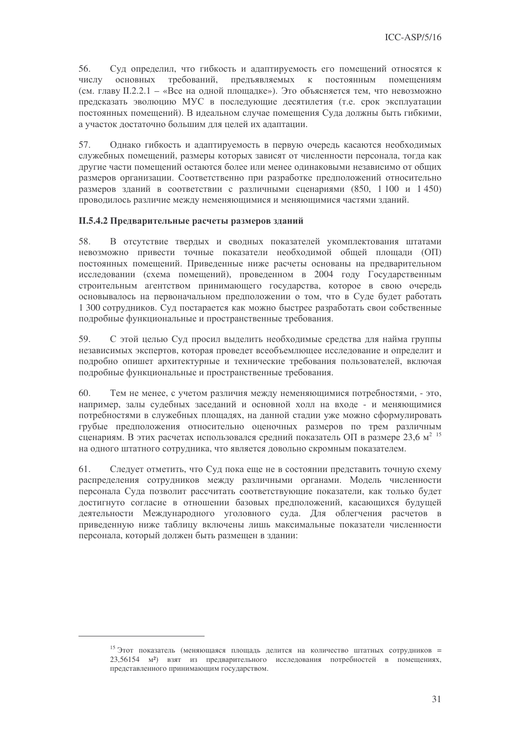56. Суд определил, что гибкость и адаптируемость его помещений относятся к требований, предъявляемых ПОСТОЯННЫМ числу основных  $\mathbf{K}$ помешениям (см. главу II.2.2.1 - «Все на одной площадке»). Это объясняется тем, что невозможно предсказать эволюцию МУС в последующие десятилетия (т.е. срок эксплуатации постоянных помещений). В идеальном случае помещения Суда должны быть гибкими, а участок достаточно большим для целей их адаптации.

57. Олнако гибкость и алаптируемость в первую очерель касаются необходимых служебных помещений, размеры которых зависят от численности персонала, тогда как другие части помещений остаются более или менее одинаковыми независимо от общих размеров организации. Соответственно при разработке предположений относительно размеров зданий в соответствии с различными сценариями (850, 1100 и 1450) проводилось различие между неменяющимися и меняющимися частями зданий.

## П.5.4.2 Предварительные расчеты размеров зданий

58. В отсутствие твердых и сводных показателей укомплектования штатами невозможно привести точные показатели необходимой общей площади (ОП) постоянных помещений. Приведенные ниже расчеты основаны на предварительном исследовании (схема помещений), проведенном в 2004 году Государственным строительным агентством принимающего государства, которое в свою очередь основывалось на первоначальном предположении о том, что в Суде будет работать 1 300 сотрудников. Суд постарается как можно быстрее разработать свои собственные подробные функциональные и пространственные требования.

59. С этой целью Суд просил выделить необходимые средства для найма группы независимых экспертов, которая проведет всеобъемлющее исследование и определит и подробно опишет архитектурные и технические требования пользователей, включая подробные функциональные и пространственные требования.

60. Тем не менее, с учетом различия между неменяющимися потребностями, - это, например, залы судебных заседаний и основной холл на входе - и меняющимися потребностями в служебных площадях, на данной стадии уже можно сформулировать грубые предположения относительно оценочных размеров по трем различным сценариям. В этих расчетах использовался средний показатель ОП в размере 23.6 м<sup>2</sup> <sup>15</sup> на одного штатного сотрудника, что является довольно скромным показателем.

Следует отметить, что Суд пока еще не в состоянии представить точную схему 61. распределения сотрудников между различными органами. Модель численности персонала Суда позволит рассчитать соответствующие показатели, как только будет достигнуто согласие в отношении базовых предположений, касающихся будущей деятельности Международного уголовного суда. Для облегчения расчетов в приведенную ниже таблицу включены лишь максимальные показатели численности персонала, который должен быть размещен в здании:

<sup>&</sup>lt;sup>15</sup> Этот показатель (меняющаяся площадь делится на количество штатных сотрудников = 23,56154 м<sup>2</sup>) взят из предварительного исследования потребностей в помещениях, представленного принимающим государством.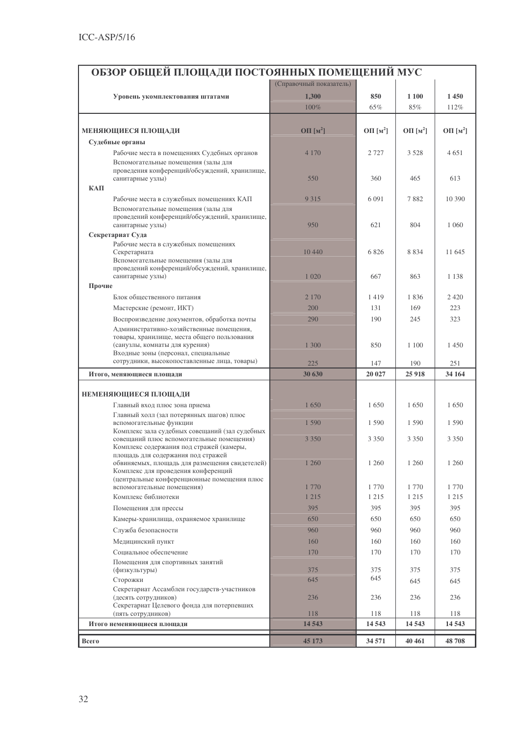| ОБЗОР ОБЩЕЙ ПЛОЩАДИ ПОСТОЯННЫХ ПОМЕЩЕНИЙ МУС                                         |                         |              |               |             |  |
|--------------------------------------------------------------------------------------|-------------------------|--------------|---------------|-------------|--|
|                                                                                      | (Справочный показатель) |              |               |             |  |
| Уровень укомплектования штатами                                                      | 1,300                   | 850          | 1 1 0 0       | 1450        |  |
|                                                                                      | 100%                    | 65%          | 85%           | 112%        |  |
|                                                                                      |                         |              |               |             |  |
| МЕНЯЮЩИЕСЯ ПЛОЩАДИ                                                                   | OII [ $M^2$ ]           | $O\Pi [M^2]$ | OII [ $M^2$ ] | OII $[M^2]$ |  |
| Судебные органы                                                                      |                         |              |               |             |  |
| Рабочие места в помещениях Судебных органов                                          | 4 1 7 0                 | 2 7 2 7      | 3528          | 4651        |  |
| Вспомогательные помещения (залы для                                                  |                         |              |               |             |  |
| проведения конференций/обсуждений, хранилище,<br>санитарные узлы)                    | 550                     | 360          | 465           | 613         |  |
| КАП                                                                                  |                         |              |               |             |  |
| Рабочие места в служебных помещениях КАП                                             | 9 3 1 5                 | 6 0 9 1      | 7882          | 10 390      |  |
| Вспомогательные помещения (залы для                                                  |                         |              |               |             |  |
| проведений конференций/обсуждений, хранилище,                                        |                         |              | 804           |             |  |
| санитарные узлы)<br>Секретариат Суда                                                 | 950                     | 621          |               | 1 0 6 0     |  |
| Рабочие места в служебных помещениях                                                 |                         |              |               |             |  |
| Секретариата                                                                         | 10 4 40                 | 6826         | 8834          | 11 645      |  |
| Вспомогательные помещения (залы для<br>проведений конференций/обсуждений, хранилище, |                         |              |               |             |  |
| санитарные узлы)                                                                     | 1 0 2 0                 | 667          | 863           | 1 1 3 8     |  |
| Прочие                                                                               |                         |              |               |             |  |
| Блок общественного питания                                                           | 2 1 7 0                 | 1419         | 1836          | 2 4 2 0     |  |
| Мастерские (ремонт, ИКТ)                                                             | 200                     | 131          | 169           | 223         |  |
| Воспроизведение документов, обработка почты                                          | 290                     | 190          | 245           | 323         |  |
| Административно-хозяйственные помещения,                                             |                         |              |               |             |  |
| товары, хранилище, места общего пользования<br>(санузлы, комнаты для курения)        | 1 300                   | 850          | 1 1 0 0       | 1450        |  |
| Входные зоны (персонал, специальные                                                  |                         |              |               |             |  |
| сотрудники, высокопоставленные лица, товары)                                         | 225                     | 147          | 190           | 251         |  |
| Итого, меняющиеся площади                                                            | 30 630                  | 20 027       | 25 9 18       | 34 164      |  |
|                                                                                      |                         |              |               |             |  |
| НЕМЕНЯЮЩИЕСЯ ПЛОЩАДИ                                                                 |                         |              |               |             |  |
| Главный вход плюс зона приема                                                        | 1650                    | 1650         | 1650          | 1650        |  |
| Главный холл (зал потерянных шагов) плюс<br>вспомогательные функции                  | 1 590                   | 1 5 9 0      | 1 5 9 0       | 1 5 9 0     |  |
| Комплекс зала судебных совещаний (зал судебных                                       |                         |              |               |             |  |
| совещаний плюс вспомогательные помещения)                                            | 3 3 5 0                 | 3 3 5 0      | 3 3 5 0       | 3 3 5 0     |  |
| Комплекс содержания под стражей (камеры,<br>площадь для содержания под стражей       |                         |              |               |             |  |
| обвиняемых, площадь для размещения свидетелей)                                       | 1 260                   | 1 260        | 1 2 6 0       | 1 260       |  |
| Комплекс для проведения конференций<br>(центральные конференционные помещения плюс   |                         |              |               |             |  |
| вспомогательные помещения)                                                           | 1770                    | 1770         | 1770          | 1770        |  |
| Комплекс библиотеки                                                                  | 1 2 1 5                 | 1 2 1 5      | 1 2 1 5       | 1 2 1 5     |  |
| Помещения для прессы                                                                 | 395                     | 395          | 395           | 395         |  |
| Камеры-хранилища, охраняемое хранилище                                               | 650                     | 650          | 650           | 650         |  |
| Служба безопасности                                                                  | 960                     | 960          | 960           | 960         |  |
| Медицинский пункт                                                                    | 160                     | 160          | 160           | 160         |  |
| Социальное обеспечение                                                               | 170                     | 170          | 170           | 170         |  |
| Помещения для спортивных занятий                                                     |                         |              |               |             |  |
| (физкультуры)                                                                        | 375                     | 375<br>645   | 375           | 375         |  |
| Сторожки<br>Секретариат Ассамблеи государств-участников                              | 645                     |              | 645           | 645         |  |
| (десять сотрудников)                                                                 | 236                     | 236          | 236           | 236         |  |
| Секретариат Целевого фонда для потерпевших                                           |                         |              |               |             |  |
| (пять сотрудников)                                                                   | 118                     | 118          | 118           | 118         |  |
| Итого неменяющиеся площади                                                           | 14 5 43                 | 14 5 43      | 14 543        | 14 5 43     |  |
| Всего                                                                                | 45 173                  | 34 571       | 40 461        | 48708       |  |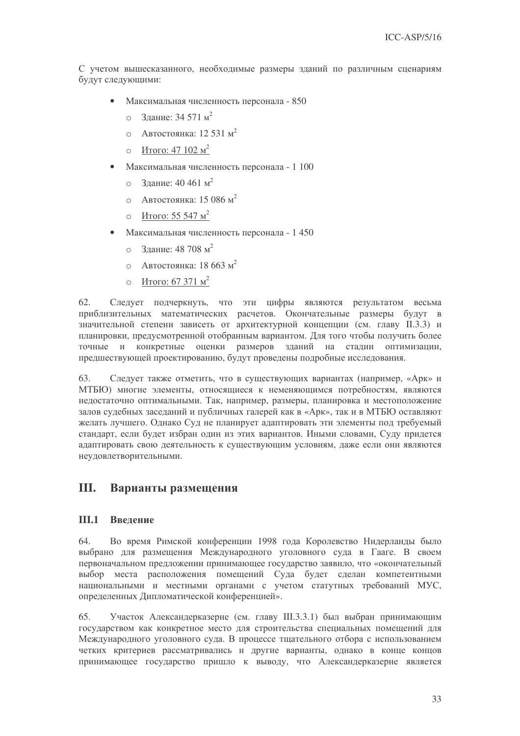С учетом вышесказанного, необходимые размеры зданий по различным сценариям будут следующими:

- Максимальная численность персонала 850
	- $\circ$  3лание: 34.571 м<sup>2</sup>
	- Автостоянка: 12 531 м<sup>2</sup>  $\bigcap$
	- O  $\text{Mroro: } 47 \, 102 \, \text{m}^2$
- Максимальная численность персонала 1 100
	- Злание: 40 461 м<sup>2</sup>  $\circ$
	- $\alpha$  Автостоянка: 15.086 м<sup>2</sup>
	- o  $\frac{\text{Mroro: } 55,547 \text{ m}^2}{\text{Mer}^2}$
- Максимальная численность персонала 1 450
	- $\circ$  3дание: 48 708 м<sup>2</sup>
	- $\circ$  Автостоянка: 18 663 м<sup>2</sup>
	- $\circ$  <u>Ито</u>го: 67 371 м<sup>2</sup>

Следует подчеркнуть, что эти цифры являются результатом весьма 62. приблизительных математических расчетов. Окончательные размеры будут в значительной степени зависеть от архитектурной концепции (см. главу II.3.3) и планировки, предусмотренной отобранным вариантом. Для того чтобы получить более точные и конкретные оценки размеров зданий на стадии оптимизации, предшествующей проектированию, будут проведены подробные исследования.

Следует также отметить, что в существующих вариантах (например, «Арк» и 63. МТБЮ) многие элементы, относящиеся к неменяющимся потребностям, являются недостаточно оптимальными. Так, например, размеры, планировка и местоположение залов судебных заседаний и публичных галерей как в «Арк», так и в МТБЮ оставляют желать лучшего. Однако Суд не планирует адаптировать эти элементы под требуемый стандарт, если будет избран один из этих вариантов. Иными словами, Суду придется адаптировать свою деятельность к существующим условиям, даже если они являются неудовлетворительными.

#### III. Варианты размещения

#### $III.1$ Ввеление

64. Во время Римской конференции 1998 года Королевство Нидерланды было выбрано для размещения Международного уголовного суда в Гааге. В своем первоначальном предложении принимающее государство заявило, что «окончательный выбор места расположения помещений Суда будет сделан компетентными национальными и местными органами с учетом статутных требований МУС, определенных Дипломатической конференцией».

Участок Александерказерне (см. главу III.3.3.1) был выбран принимающим 65. государством как конкретное место для строительства специальных помещений для Международного уголовного суда. В процессе тщательного отбора с использованием четких критериев рассматривались и другие варианты, однако в конце концов принимающее государство пришло к выводу, что Александерказерне является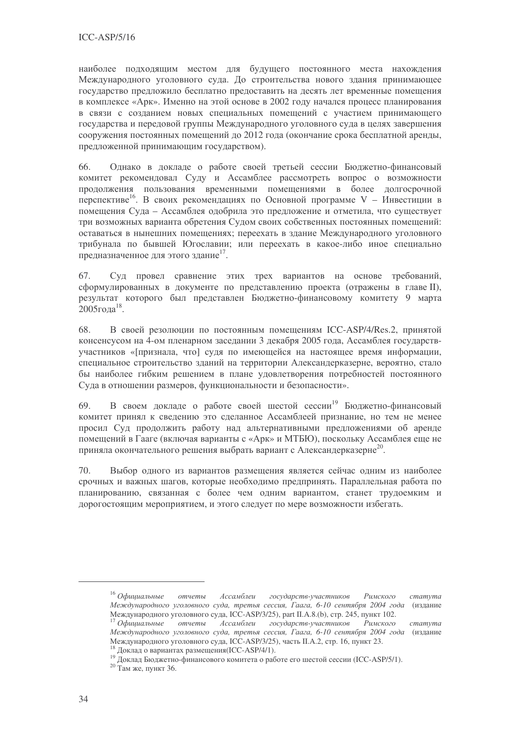наиболее подходящим местом для будущего постоянного места нахождения Международного уголовного суда. До строительства нового здания принимающее государство предложило бесплатно предоставить на десять лет временные помещения в комплексе «Арк». Именно на этой основе в 2002 году начался процесс планирования в связи с созданием новых специальных помещений с участием принимающего государства и передовой группы Международного уголовного суда в целях завершения сооружения постоянных помещений до 2012 года (окончание срока бесплатной аренды, предложенной принимающим государством).

Однако в докладе о работе своей третьей сессии Бюджетно-финансовый 66. комитет рекомендовал Суду и Ассамблее рассмотреть вопрос о возможности продолжения пользования временными помещениями в более долгосрочной перспективе<sup>16</sup>. В своих рекомендациях по Основной программе V - Инвестиции в помещения Суда - Ассамблея одобрила это предложение и отметила, что существует три возможных варианта обретения Судом своих собственных постоянных помещений: оставаться в нынешних помещениях; переехать в здание Международного уголовного трибунала по бывшей Югославии; или переехать в какое-либо иное специально предназначенное для этого здание<sup>17</sup>.

Суд провел сравнение этих трех вариантов на основе требований, 67. сформулированных в документе по представлению проекта (отражены в главе II), результат которого был представлен Бюджетно-финансовому комитету 9 марта 2005года<sup>18</sup>.

68. В своей резолюции по постоянным помещениям ICC-ASP/4/Res.2, принятой консенсусом на 4-ом пленарном заседании 3 декабря 2005 года, Ассамблея государствучастников «[признала, что] судя по имеющейся на настоящее время информации, специальное строительство зланий на территории Александерказерне, вероятно, стало бы наиболее гибким решением в плане удовлетворения потребностей постоянного Суда в отношении размеров, функциональности и безопасности».

В своем докладе о работе своей шестой сессии<sup>19</sup> Бюджетно-финансовый 69. комитет принял к свелению это слеланное Ассамблеей признание, но тем не менее просил Суд продолжить работу над альтернативными предложениями об аренде помешений в Гааге (включая варианты с «Арк» и МТБЮ), поскольку Ассамблея еще не приняла окончательного решения выбрать вариант с Александерказерне<sup>20</sup>.

Выбор одного из вариантов размещения является сейчас одним из наиболее 70. срочных и важных шагов, которые необходимо предпринять. Параллельная работа по планированию, связанная с более чем одним вариантом, станет трудоемким и дорогостоящим мероприятием, и этого следует по мере возможности избегать.

 $16$  Официальные отчеты Ассамблеи государств-участников Римского cmamyma Международного уголовного суда, третья сессия, Гаага, 6-10 сентября 2004 года (издание Международного уголовного суда, ICC-ASP/3/25), part II.A.8.(b), стр. 245, пункт 102.

 $17$  Официальные Ассамблеи государств-участников отчеты  $P$ *UMCKO2O* cmamyma Международного уголовного суда, третья сессия, Гаага, 6-10 сентября 2004 года (издание Международного уголовного суда, ICC-ASP/3/25), часть II.A.2, стр. 16, пункт 23.

Доклад о вариантах размещения (ICC-ASP/4/1).

<sup>&</sup>lt;sup>19</sup> Доклад Бюджетно-финансового комитета о работе его шестой сессии (ICC-ASP/5/1).

 $20$  Там же, пункт 36.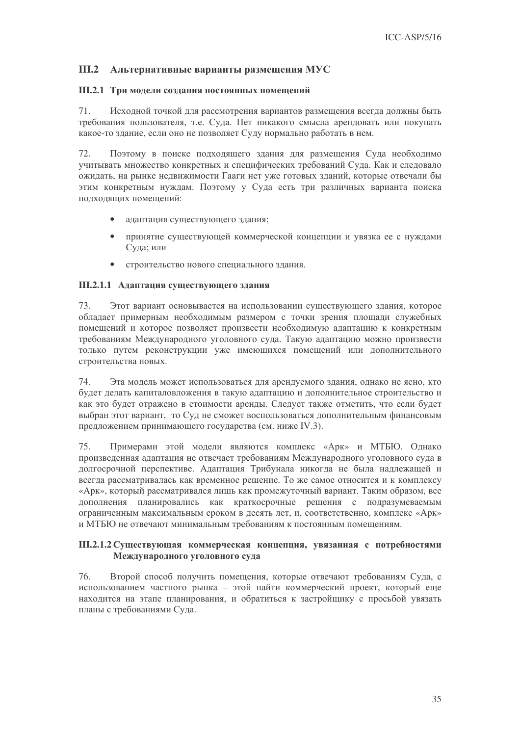## III.2 Альтернативные варианты размещения МУС

## III.2.1 Три модели создания постоянных помещений

Исходной точкой для рассмотрения вариантов размещения всегда должны быть 71. требования пользователя, т.е. Суда. Нет никакого смысла арендовать или покупать какое-то здание, если оно не позволяет Суду нормально работать в нем.

 $72.$ Поэтому в поиске подходящего здания для размещения Суда необходимо учитывать множество конкретных и специфических требований Суда. Как и следовало ожидать, на рынке недвижимости Гааги нет уже готовых зданий, которые отвечали бы этим конкретным нуждам. Поэтому у Суда есть три различных варианта поиска полхоляших помешений:

- адаптация существующего здания;
- принятие существующей коммерческой концепции и увязка ее с нуждами Суда: или
- строительство нового специального злания.

## III.2.1.1 Адаптация существующего здания

73 Этот вариант основывается на использовании существующего злания, которое обладает примерным необходимым размером с точки зрения площади служебных помещений и которое позволяет произвести необходимую адаптацию к конкретным требованиям Международного уголовного суда. Такую адаптацию можно произвести только путем реконструкции уже имеющихся помещений или дополнительного строительства новых.

 $74$ Эта модель может использоваться для арендуемого здания, однако не ясно, кто будет делать капиталовложения в такую адаптацию и дополнительное строительство и как это будет отражено в стоимости аренды. Следует также отметить, что если будет выбран этот вариант, то Суд не сможет воспользоваться дополнительным финансовым предложением принимающего государства (см. ниже IV.3).

75. Примерами этой молели являются комплекс «Арк» и МТБЮ. Однако произведенная адаптация не отвечает требованиям Международного уголовного суда в долгосрочной перспективе. Адаптация Трибунала никогда не была надлежащей и всегда рассматривалась как временное решение. То же самое относится и к комплексу «Арк», который рассматривался лишь как промежуточный вариант. Таким образом, все дополнения планировались как краткосрочные решения с подразумеваемым ограниченным максимальным сроком в десять лет, и, соответственно, комплекс «Арк» и МТБЮ не отвечают минимальным требованиям к постоянным помещениям.

## Ш.2.1.2 Существующая коммерческая концепция, увязанная с потребностями Международного уголовного суда

76. Второй способ получить помешения, которые отвечают требованиям Суда, с использованием частного рынка - этой найти коммерческий проект, который еще находится на этапе планирования, и обратиться к застройщику с просьбой увязать планы с требованиями Суда.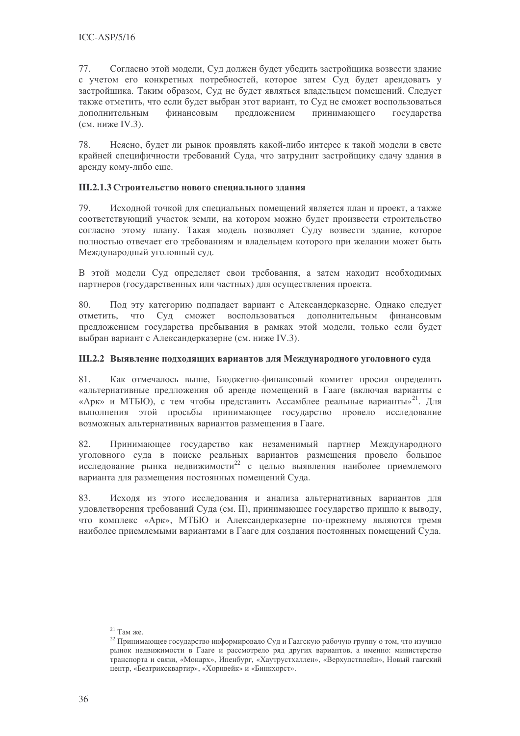77. Согласно этой модели, Суд должен будет убедить застройщика возвести здание с учетом его конкретных потребностей, которое затем Суд будет арендовать у застройщика. Таким образом, Суд не будет являться владельцем помещений. Следует также отметить, что если будет выбран этот вариант, то Суд не сможет воспользоваться лополнительным финансовым предложением принимающего госуларства (см. ниже IV.3).

78. Неясно, будет ли рынок проявлять какой-либо интерес к такой модели в свете крайней специфичности требований Суда, что затруднит застройщику сдачу здания в аренду кому-либо еще.

## III.2.1.3 Строительство нового специального здания

79 Исхолной точкой лля специальных помешений является план и проект, а также соответствующий участок земли, на котором можно будет произвести строительство согласно этому плану. Такая модель позволяет Суду возвести здание, которое полностью отвечает его требованиям и владельцем которого при желании может быть Международный уголовный суд.

В этой молели Сул определяет свои требования, а затем находит необходимых партнеров (государственных или частных) для осуществления проекта.

80. Под эту категорию подпадает вариант с Александерказерне. Однако следует Суд сможет воспользоваться дополнительным отметить. что финансовым предложением государства пребывания в рамках этой модели, только если будет выбран вариант с Александерказерне (см. ниже IV.3).

#### Ш.2.2 Выявление подходящих вариантов для Международного уголовного суда

Как отмечалось выше. Бюлжетно-финансовый комитет просил определить 81. «альтернативные предложения об аренде помещений в Гааге (включая варианты с «Арк» и МТБЮ), с тем чтобы представить Ассамблее реальные варианты»<sup>21</sup>. Для выполнения этой просьбы принимающее государство провело исследование возможных альтернативных вариантов размещения в Гааге.

Принимающее государство как незаменимый партнер Международного 82. уголовного суда в поиске реальных вариантов размещения провело большое исследование рынка недвижимости<sup>22</sup> с целью выявления наиболее приемлемого варианта для размещения постоянных помещений Суда.

83. Исходя из этого исследования и анализа альтернативных вариантов для удовлетворения требований Суда (см. II), принимающее государство пришло к выводу, что комплекс «Арк», МТБЮ и Александерказерне по-прежнему являются тремя наиболее приемлемыми вариантами в Гааге лля созлания постоянных помешений Сула.

 $21$  Там же.

 $^{22}$  Принимающее государство информировало Суд и Гаагскую рабочую группу о том, что изучило рынок недвижимости в Гааге и рассмотрело ряд других вариантов, а именно: министерство транспорта и связи, «Монарх», Ипенбург, «Хаутрустхаллен», «Верхулстплейн», Новый гаагский центр, «Беатриксквартир», «Хорнвейк» и «Бинкхорст».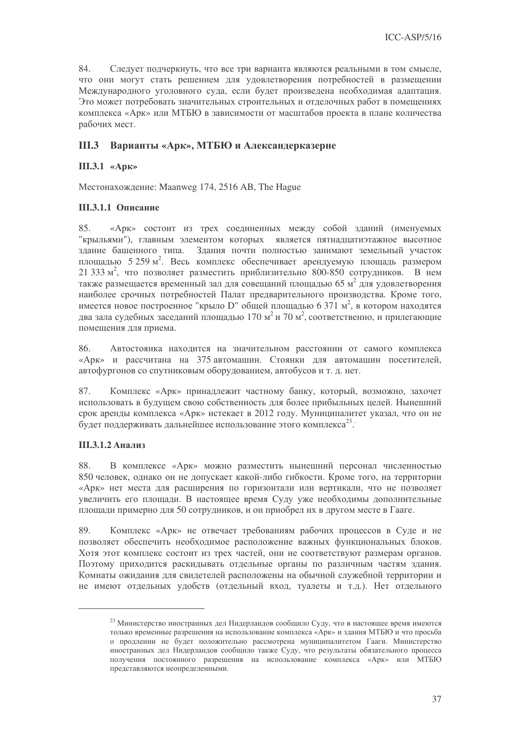84. Следует подчеркнуть, что все три варианта являются реальными в том смысле, что они могут стать решением для удовлетворения потребностей в размещении Международного уголовного суда, если будет произведена необходимая адаптация. Это может потребовать значительных строительных и отделочных работ в помещениях комплекса «Арк» или МТБЮ в зависимости от масштабов проекта в плане количества рабочих мест.

## Ш.3 Варианты «Арк», МТБЮ и Александерказерне

## Ш.3.1 «Арк»

Местонахождение: Maanweg 174, 2516 AB, The Hague

## Ш.3.1.1 Описание

85 «Арк» состоит из трех соединенных между собой зданий (именуемых "крыльями"), главным элементом которых является пятнадцатиэтажное высотное здание башенного типа. Здания почти полностью занимают земельный участок площадью 5 259 м<sup>2</sup>. Весь комплекс обеспечивает арендуемую площадь размером 21 333 м<sup>2</sup>, что позволяет разместить приблизительно 800-850 сотрудников. В нем также размещается временный зал для совещаний площадью 65 м<sup>2</sup> для удовлетворения наиболее срочных потребностей Палат предварительного производства. Кроме того, имеется новое построенное "крыло D" общей площадью 6 371  $\mu^2$ , в котором находятся два зала судебных заседаний площадью 170 м<sup>2</sup> и 70 м<sup>2</sup>, соответственно, и прилегающие помещения для приема.

86. Автостоянка находится на значительном расстоянии от самого комплекса «Арк» и рассчитана на 375 автомашин. Стоянки для автомашин посетителей, автофургонов со спутниковым оборудованием, автобусов и т. д. нет.

Комплекс «Арк» принадлежит частному банку, который, возможно, захочет 87. использовать в будущем свою собственность для более прибыльных целей. Нынешний срок аренды комплекса «Арк» истекает в 2012 году. Муниципалитет указал, что он не будет поддерживать дальнейшее использование этого комплекса<sup>23</sup>.

# Ш.З.1.2 Анализ

88 В комплексе «Арк» можно разместить нынешний персонал численностью 850 человек, однако он не допускает какой-либо гибкости. Кроме того, на территории «Арк» нет места для расширения по горизонтали или вертикали, что не позволяет увеличить его площади. В настоящее время Суду уже необходимы дополнительные площади примерно для 50 сотрудников, и он приобрел их в другом месте в Гааге.

Комплекс «Арк» не отвечает требованиям рабочих процессов в Суде и не 89. позволяет обеспечить необходимое расположение важных функциональных блоков. Хотя этот комплекс состоит из трех частей, они не соответствуют размерам органов. Поэтому приходится раскидывать отдельные органы по различным частям здания. Комнаты ожидания для свидетелей расположены на обычной служебной территории и не имеют отдельных удобств (отдельный вход, туалеты и т.д.). Нет отдельного

<sup>&</sup>lt;sup>23</sup> Министерство иностранных дел Нидерландов сообщило Суду, что в настоящее время имеются только временные разрешения на использование комплекса «Арк» и здания МТБЮ и что просьба о продлении не будет положительно рассмотрена муниципалитетом Гааги. Министерство иностранных дел Нидерландов сообщило также Суду, что результаты обязательного процесса получения постоянного разрешения на использование комплекса «Арк» или МТБЮ представляются неопределенными.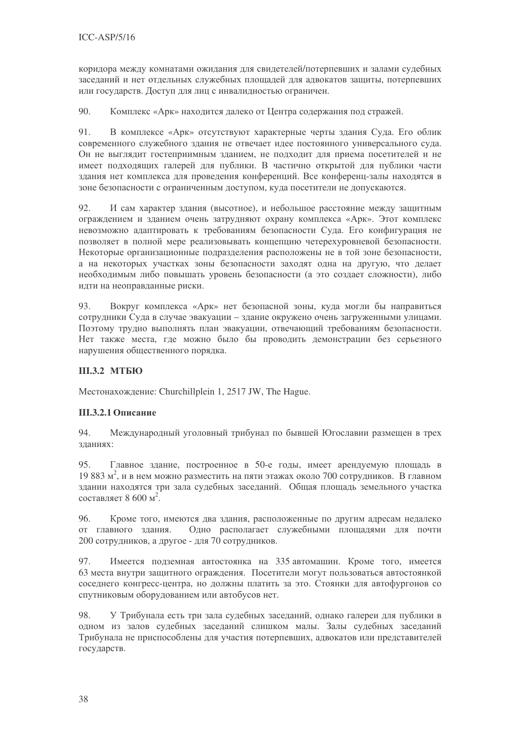коридора между комнатами ожидания для свидетелей/потерпевших и залами судебных заседаний и нет отдельных служебных площадей для адвокатов защиты, потерпевших или государств. Доступ для лиц с инвалидностью ограничен.

90. Комплекс «Арк» находится далеко от Центра содержания под стражей.

 $91.$ В комплексе «Арк» отсутствуют характерные черты злания Сула. Его облик современного служебного злания не отвечает илее постоянного универсального суда. Он не выглядит гостеприимным зданием, не подходит для приема посетителей и не имеет подходящих галерей для публики. В частично открытой для публики части здания нет комплекса для проведения конференций. Все конференц-залы находятся в зоне безопасности с ограниченным доступом, куда посетители не допускаются.

92. И сам характер злания (высотное), и небольшое расстояние межлу зашитным ограждением и зданием очень затрудняют охрану комплекса «Арк». Этот комплекс невозможно адаптировать к требованиям безопасности Суда. Его конфигурация не позволяет в полной мере реализовывать концепцию четерехуровневой безопасности. Некоторые организационные подразделения расположены не в той зоне безопасности, а на некоторых участках зоны безопасности заходят одна на другую, что делает необходимым либо повышать уровень безопасности (а это создает сложности), либо илти на неоправланные риски.

93. Вокруг комплекса «Арк» нет безопасной зоны, куда могли бы направиться сотрудники Суда в случае эвакуации - здание окружено очень загруженными улицами. Поэтому трудно выполнять план эвакуации, отвечающий требованиям безопасности. Нет также места, где можно было бы проводить демонстрации без серьезного нарушения общественного порядка.

# **III.3.2 МТБЮ**

Местонахождение: Churchillplein 1, 2517 JW, The Hague.

# **III.3.2.1 Описание**

94. Международный уголовный трибунал по бывшей Югославии размещен в трех зданиях:

95. Главное здание, построенное в 50-е годы, имеет арендуемую площадь в 19 883  $\mu^2$ , и в нем можно разместить на пяти этажах около 700 сотрудников. В главном здании находятся три зала судебных заседаний. Общая площадь земельного участка составляет 8 600 м<sup>2</sup>.

 $96^{\circ}$ Кроме того, имеются два здания, расположенные по другим адресам недалеко от главного здания. Одно располагает служебными площадями для почти 200 сотрудников, а другое - для 70 сотрудников.

97. Имеется полземная автостоянка на 335 автомашин. Кроме того, имеется 63 места внутри защитного ограждения. Посетители могут пользоваться автостоянкой соседнего конгресс-центра, но должны платить за это. Стоянки для автофургонов со спутниковым оборудованием или автобусов нет.

98. У Трибунала есть три зала судебных заседаний, однако галереи для публики в одном из залов судебных заседаний слишком малы. Залы судебных заседаний Трибунала не приспособлены для участия потерпевших, адвокатов или представителей государств.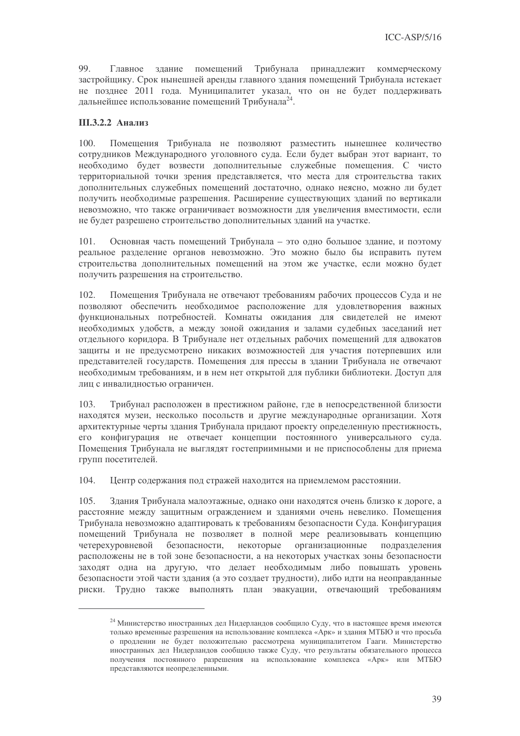99. Главное здание помещений Трибунала принадлежит коммерческому застройщику. Срок нынешней аренды главного здания помещений Трибунала истекает не позднее 2011 года. Муниципалитет указал, что он не будет поддерживать дальнейшее использование помещений Трибунала<sup>24</sup>.

## **III.3.2.2 Анализ**

 $100.$ Помещения Трибунала не позволяют разместить нынешнее количество сотрудников Международного уголовного суда. Если будет выбран этот вариант, то необходимо будет возвести дополнительные служебные помещения. С чисто территориальной точки зрения представляется, что места для строительства таких дополнительных служебных помещений достаточно, однако неясно, можно ли будет получить необходимые разрешения. Расширение существующих зданий по вертикали невозможно, что также ограничивает возможности для увеличения вместимости, если не будет разрешено строительство дополнительных зданий на участке.

Основная часть помещений Трибунала - это одно большое здание, и поэтому  $101.$ реальное разделение органов невозможно. Это можно было бы исправить путем строительства дополнительных помещений на этом же участке, если можно будет получить разрешения на строительство.

 $102.$ Помещения Трибунала не отвечают требованиям рабочих процессов Суда и не позволяют обеспечить необходимое расположение для удовлетворения важных функциональных потребностей. Комнаты ожидания для свидетелей не имеют необходимых удобств, а между зоной ожидания и залами судебных заседаний нет отдельного коридора. В Трибунале нет отдельных рабочих помещений для адвокатов зашиты и не прелусмотрено никаких возможностей лля участия потерпевших или представителей государств. Помещения для прессы в здании Трибунала не отвечают необходимым требованиям, и в нем нет открытой для публики библиотеки. Доступ для лиц с инвалидностью ограничен.

Трибунал расположен в престижном районе, где в непосредственной близости 103. находятся музеи, несколько посольств и другие международные организации. Хотя архитектурные черты здания Трибунала придают проекту определенную престижность, его конфигурация не отвечает концепции постоянного универсального суда. Помещения Трибунала не выглядят гостеприимными и не приспособлены для приема групп посетителей.

 $104.$ Центр содержания под стражей находится на приемлемом расстоянии.

 $105.$ Здания Трибунала малоэтажные, однако они находятся очень близко к дороге, а расстояние между защитным ограждением и зданиями очень невелико. Помещения Трибунала невозможно адаптировать к требованиям безопасности Суда. Конфигурация помещений Трибунала не позволяет в полной мере реализовывать концепцию безопасности. некоторые организационные четерехуровневой полразделения расположены не в той зоне безопасности, а на некоторых участках зоны безопасности заходят одна на другую, что делает необходимым либо повышать уровень безопасности этой части здания (а это создает трудности), либо идти на неоправданные риски. Трудно также выполнять план эвакуации, отвечающий требованиям

<sup>&</sup>lt;sup>24</sup> Министерство иностранных дел Нидерландов сообщило Суду, что в настоящее время имеются только временные разрешения на использование комплекса «Арк» и здания МТБЮ и что просьба о продлении не будет положительно рассмотрена муниципалитетом Гааги. Министерство иностранных дел Нидерландов сообщило также Суду, что результаты обязательного процесса получения постоянного разрешения на использование комплекса «Арк» или МТБЮ представляются неопределенными.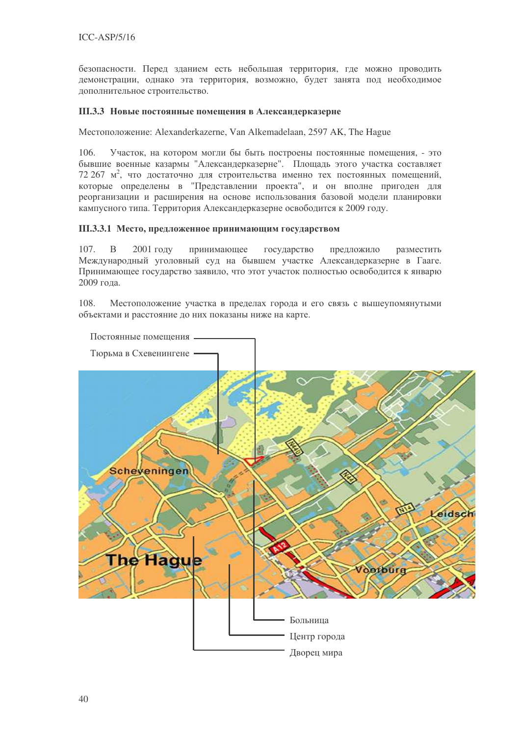безопасности. Перед зданием есть небольшая территория, где можно проводить демонстрации, однако эта территория, возможно, будет занята под необходимое дополнительное строительство.

## III.3.3 Новые постоянные помещения в Александерказерне

Местоположение: Alexanderkazerne, Van Alkemadelaan, 2597 AK, The Hague

106. Участок, на котором могли бы быть построены постоянные помещения, - это бывшие военные казармы "Александерказерне". Площадь этого участка составляет 72 267 м<sup>2</sup>, что достаточно для строительства именно тех постоянных помещений, которые определены в "Представлении проекта", и он вполне пригоден для реорганизации и расширения на основе использования базовой модели планировки кампусного типа. Территория Александерказерне освободится к 2009 году.

## III.3.3.1 Место, предложенное принимающим государством

107. В 2001 году ющее государство пре предложило зместить Международный уголовный суд на бывшем участке Александерказерне в Гааге. Принимающее государство заявило, что этот участок полностью освободится к январю 2009 года.

108 стоположение участка в пределах города и его связь с вышеупомянутыми объектами и расстояние до них показаны ниже на карте.

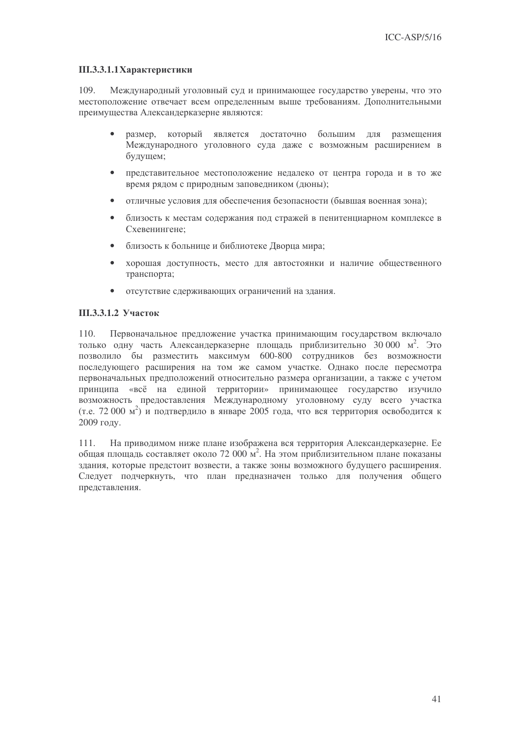## **III.3.3.1.1 Характеристики**

Международный уголовный суд и принимающее государство уверены, что это 109. местоположение отвечает всем определенным выше требованиям. Дополнительными преимущества Александерказерне являются:

- размер, который является достаточно большим для размещения Международного уголовного суда даже с возможным расширением в будущем;
- $\bullet$ представительное местоположение недалеко от центра города и в то же время рядом с природным заповедником (дюны);
- отличные условия для обеспечения безопасности (бывшая военная зона);  $\bullet$
- близость к местам содержания под стражей в пенитенциарном комплексе в  $\bullet$ Схевенингене:
- близость к больнице и библиотеке Дворца мира;
- хорошая доступность, место для автостоянки и наличие общественного транспорта;
- отсутствие сдерживающих ограничений на здания.  $\bullet$

## Ш.З.3.1.2 Участок

 $110$ Первоначальное предложение участка принимающим государством включало только одну часть Александерказерне площадь приблизительно 30 000 м<sup>2</sup>. Это позволило бы разместить максимум 600-800 сотрудников без возможности последующего расширения на том же самом участке. Однако после пересмотра первоначальных предположений относительно размера организации, а также с учетом принципа «всё на единой территории» принимающее государство изучило возможность предоставления Международному уголовному суду всего участка (т.е. 72 000 м<sup>2</sup>) и полтверлило в январе 2005 года, что вся территория освободится к 2009 году.

 $111.$ На приводимом ниже плане изображена вся территория Александерказерне. Ее обшая плошаль составляет около 72 000 м<sup>2</sup>. На этом приблизительном плане показаны злания, которые предстоит возвести, а также зоны возможного будущего расширения. Следует подчеркнуть, что план предназначен только для подучения общего представления.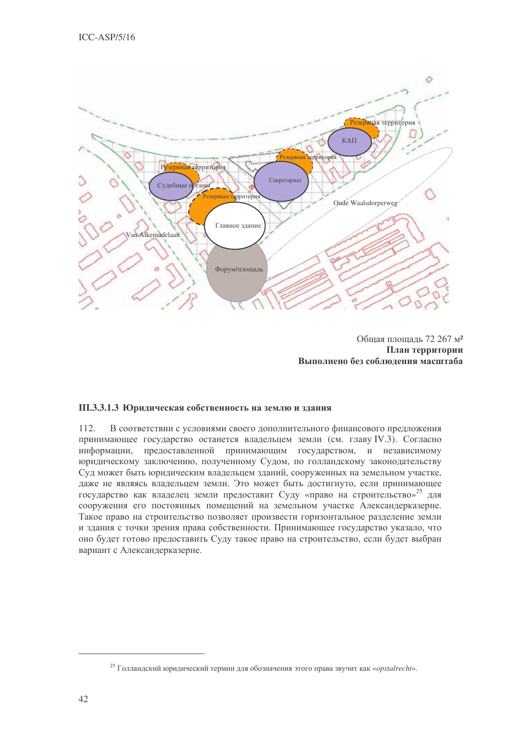

Общая площадь 72 267 м<sup>2</sup> План территории Выполнено без соблюдения масштаба

## Ш.З.3.1.3 Юридическая собственность на землю и здания

В соответствии с условиями своего дополнительного финансового предложения 112. принимающее государство останется владельцем земли (см. главу IV.3). Согласно информации, предоставленной принимающим государством, и независимому юридическому заключению, полученному Судом, по голландскому законодательству Суд может быть юридическим владельцем зданий, сооруженных на земельном участке, даже не являясь владельцем земли. Это может быть достигнуто, если принимающее государство как владелец земли предоставит Суду «право на строительство»<sup>25</sup> для сооружения его постоянных помещений на земельном участке Александерказерне. Такое право на строительство позволяет произвести горизонтальное разделение земли и здания с точки зрения права собственности. Принимающее государство указало, что оно будет готово предоставить Суду такое право на строительство, если будет выбран вариант с Александерказерне.

<sup>&</sup>lt;sup>25</sup> Голландский юридический термин для обозначения этого права звучит как «opstalrecht».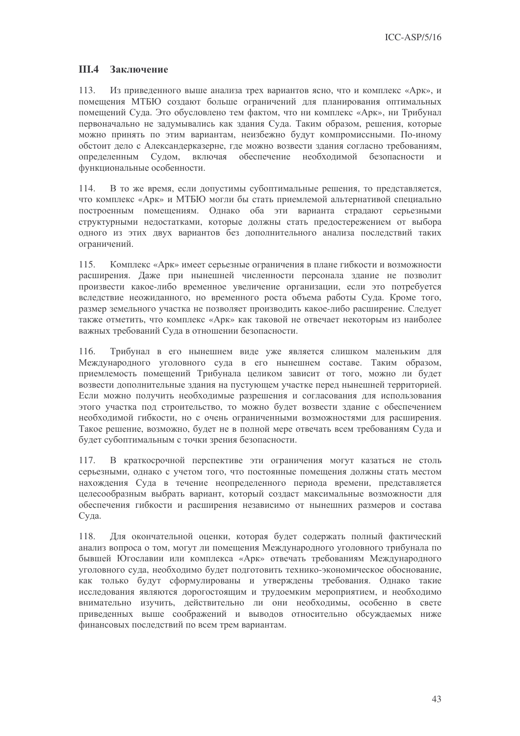# Ш.4 Заключение

Из приведенного выше анализа трех вариантов ясно, что и комплекс «Арк», и 113. помешения МТБЮ создают больше ограничений для планирования оптимальных помещений Сула. Это обусловлено тем фактом, что ни комплекс «Арк», ни Трибунал первоначально не задумывались как здания Суда. Таким образом, решения, которые можно принять по этим вариантам, неизбежно будут компромиссными. По-иному обстоит дело с Александерказерне, где можно возвести здания согласно требованиям, определенным Судом, включая обеспечение необходимой безопасности  $\overline{M}$ функциональные особенности.

114 В то же время, если допустимы субоптимальные решения, то представляется, что комплекс «Арк» и МТБЮ могли бы стать приемлемой альтернативой специально построенным помещениям. Однако оба эти варианта страдают серьезными структурными недостатками, которые должны стать предостережением от выбора одного из этих двух вариантов без дополнительного анализа последствий таких ограничений.

Комплекс «Арк» имеет серьезные ограничения в плане гибкости и возможности 115 расширения. Даже при нынешней численности персонала здание не позволит произвести какое-либо временное увеличение организации, если это потребуется вследствие неожиданного, но временного роста объема работы Суда. Кроме того, размер земельного участка не позволяет производить какое-либо расширение. Следует также отметить, что комплекс «Арк» как таковой не отвечает некоторым из наиболее важных требований Суда в отношении безопасности.

Трибунал в его нынешнем виде уже является слишком маленьким для 116. Международного уголовного суда в его нынешнем составе. Таким образом, приемлемость помещений Трибунала целиком зависит от того, можно ли будет возвести дополнительные здания на пустующем участке перед нынешней территорией. Если можно получить необходимые разрешения и согласования для использования этого участка под строительство, то можно будет возвести здание с обеспечением необходимой гибкости, но с очень ограниченными возможностями для расширения. Такое решение, возможно, будет не в полной мере отвечать всем требованиям Суда и будет субоптимальным с точки зрения безопасности.

В краткосрочной перспективе эти ограничения могут казаться не столь  $117.$ серьезными, однако с учетом того, что постоянные помещения должны стать местом нахождения Суда в течение неопределенного периода времени, представляется целесообразным выбрать вариант, который создаст максимальные возможности для обеспечения гибкости и расширения независимо от нынешних размеров и состава Суда.

Для окончательной оценки, которая будет содержать полный фактический 118 анализ вопроса о том, могут ли помещения Международного уголовного трибунала по бывшей Югославии или комплекса «Арк» отвечать требованиям Международного уголовного суда, необходимо будет подготовить технико-экономическое обоснование, как только будут сформулированы и утверждены требования. Однако такие исследования являются дорогостоящим и трудоемким мероприятием, и необходимо внимательно изучить, действительно ли они необходимы, особенно в свете приведенных выше соображений и выводов относительно обсуждаемых ниже финансовых последствий по всем трем вариантам.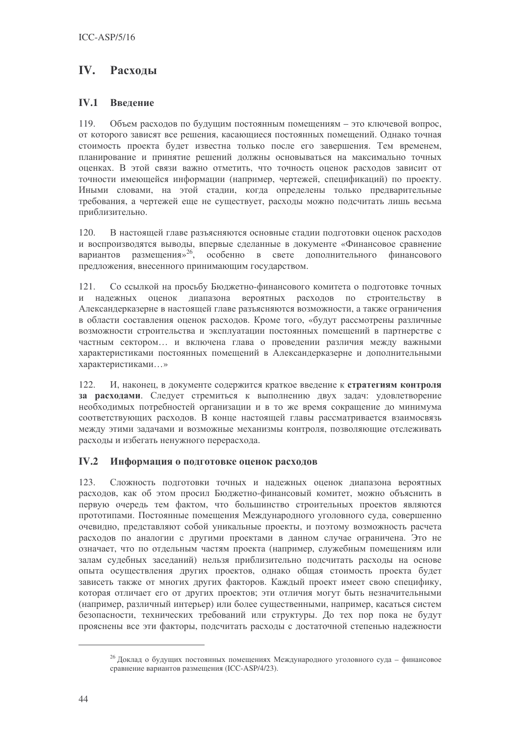#### $IV.$ Расхолы

#### $IV.1$ Ввеление

119. Объем расходов по будущим постоянным помещениям - это ключевой вопрос, от которого зависят все решения, касающиеся постоянных помещений. Однако точная стоимость проекта будет известна только после его завершения. Тем временем, планирование и принятие решений должны основываться на максимально точных оценках. В этой связи важно отметить, что точность оценок расходов зависит от точности имеющейся информации (например, чертежей, спецификаций) по проекту. Иными словами, на этой стадии, когда определены только предварительные требования, а чертежей еще не существует, расходы можно подсчитать лишь весьма приблизительно.

В настоящей главе разъясняются основные стадии подготовки оценок расходов  $120.$ и воспроизводятся выводы, впервые сделанные в документе «Финансовое сравнение вариантов размещения»<sup>26</sup>, особенно в свете дополнительного финансового предложения, внесенного принимающим государством.

Со ссылкой на просьбу Бюджетно-финансового комитета о подготовке точных 121. и надежных оценок диапазона вероятных расходов по строительству в Александерказерне в настоящей главе разъясняются возможности, а также ограничения в области составления оценок расходов. Кроме того, «будут рассмотрены различные возможности строительства и эксплуатации постоянных помещений в партнерстве с частным сектором... и включена глава о проведении различия между важными характеристиками постоянных помешений в Александерказерне и дополнительными характеристиками...»

И, наконец, в документе содержится краткое введение к стратегиям контроля 122. за расходами. Следует стремиться к выполнению двух задач: удовлетворение необходимых потребностей организации и в то же время сокращение до минимума соответствующих расходов. В конце настоящей главы рассматривается взаимосвязь между этими задачами и возможные механизмы контроля, позволяющие отслеживать расходы и избегать ненужного перерасхода.

#### $IV.2$ Информация о подготовке оценок расходов

123. Сложность подготовки точных и надежных оценок диапазона вероятных расходов, как об этом просил Бюджетно-финансовый комитет, можно объяснить в первую очередь тем фактом, что большинство строительных проектов являются прототипами. Постоянные помешения Международного уголовного суда, совершенно очевидно, представляют собой уникальные проекты, и поэтому возможность расчета расходов по аналогии с другими проектами в данном случае ограничена. Это не означает, что по отдельным частям проекта (например, служебным помещениям или залам судебных заседаний) нельзя приблизительно подсчитать расходы на основе опыта осуществления других проектов, однако общая стоимость проекта будет зависеть также от многих других факторов. Каждый проект имеет свою специфику, которая отличает его от других проектов; эти отличия могут быть незначительными (например, различный интерьер) или более существенными, например, касаться систем безопасности, технических требований или структуры. До тех пор пока не будут прояснены все эти факторы, подсчитать расходы с достаточной степенью надежности

<sup>&</sup>lt;sup>26</sup> Доклад о будущих постоянных помещениях Международного уголовного суда – финансовое сравнение вариантов размещения (ICC-ASP/4/23).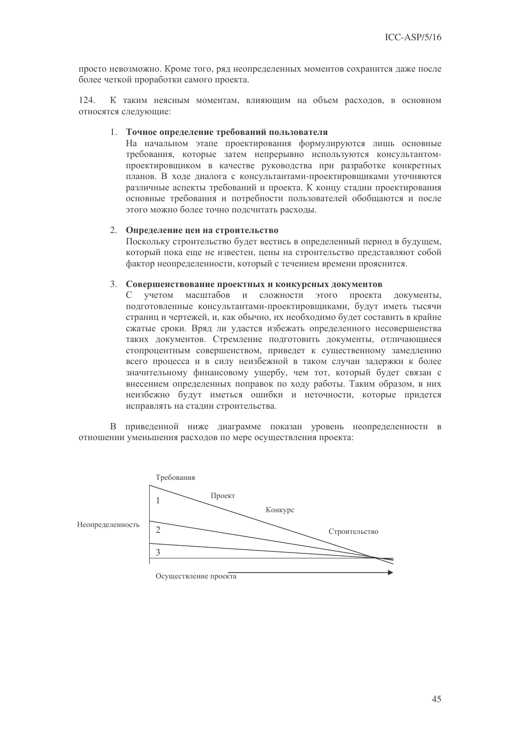просто невозможно. Кроме того, ряд неопределенных моментов сохранится даже после более четкой проработки самого проекта.

124. К таким неясным моментам, влияющим на объем расходов, в основном относятся следующие:

#### 1. Точное определение требований пользователя

На начальном этапе проектирования формулируются лишь основные требования, которые затем непрерывно используются консультантомпроектировщиком в качестве руководства при разработке конкретных планов. В ходе диалога с консультантами-проектировщиками уточняются различные аспекты требований и проекта. К концу стадии проектирования основные требования и потребности пользователей обобщаются и после этого можно более точно подсчитать расходы.

#### 2. Определение цен на строительство

Поскольку строительство будет вестись в определенный период в будущем, который пока еще не известен, цены на строительство представляют собой фактор неопределенности, который с течением времени прояснится.

#### 3. Совершенствование проектных и конкурсных документов

учетом масштабов и сложности этого проекта  $\bigcap$ документы, подготовленные консультантами-проектировщиками, будут иметь тысячи страниц и чертежей, и, как обычно, их необходимо будет составить в крайне сжатые сроки. Вряд ли удастся избежать определенного несовершенства таких документов. Стремление подготовить документы, отличающиеся стопроцентным совершенством, приведет к существенному замедлению всего процесса и в силу неизбежной в таком случаи задержки к более значительному финансовому ущербу, чем тот, который будет связан с внесением определенных поправок по ходу работы. Таким образом, в них неизбежно будут иметься ошибки и неточности, которые придется исправлять на стадии строительства.

В приведенной ниже диаграмме показан уровень неопределенности в отношении уменьшения расходов по мере осуществления проекта:

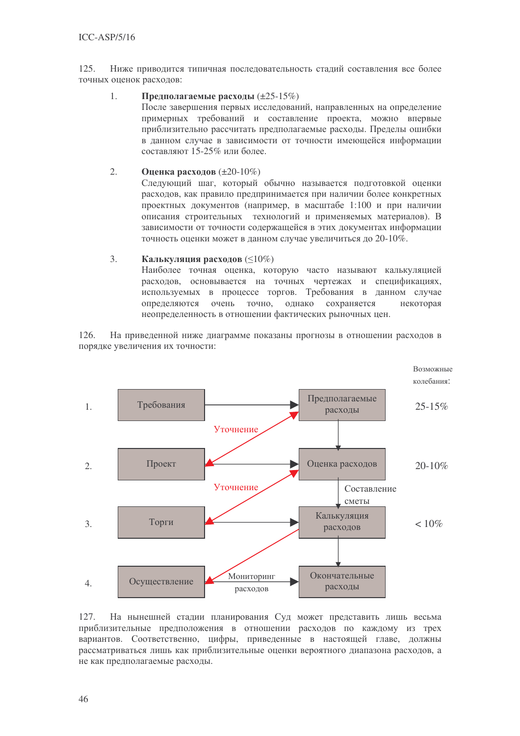125. Ниже приводится типичная последовательность стадий составления все более точных оценок расходов:

#### $\mathbf{1}$ Предполагаемые расходы  $(\pm 25-15\%)$

После завершения первых исследований, направленных на определение примерных требований и составление проекта, можно впервые приблизительно рассчитать предполагаемые расходы. Пределы ошибки в данном случае в зависимости от точности имеющейся информации составляют 15-25% или более.

#### $2.$ **Оценка расхолов**  $(\pm 20-10\%)$

Следующий шаг, который обычно называется подготовкой оценки расходов, как правило предпринимается при наличии более конкретных проектных документов (например, в масштабе 1:100 и при наличии описания строительных технологий и применяемых материалов). В зависимости от точности содержащейся в этих документах информации точность оценки может в данном случае увеличиться до 20-10%.

#### $\overline{3}$ . Калькуляция расходов (≤10%)

Наиболее точная оценка, которую часто называют калькуляцией расходов, основывается на точных чертежах и спецификациях, используемых в процессе торгов. Требования в данном случае определяются очень точно, однако сохраняется некоторая неопределенность в отношении фактических рыночных цен.

126. На приведенной ниже диаграмме показаны прогнозы в отношении расходов в порядке увеличения их точности:



На нынешней стадии планирования Суд может представить лишь весьма 127. приблизительные предположения в отношении расходов по каждому из трех вариантов. Соответственно, цифры, приведенные в настоящей главе, должны рассматриваться лишь как приблизительные оценки вероятного диапазона расходов, а не как предполагаемые расходы.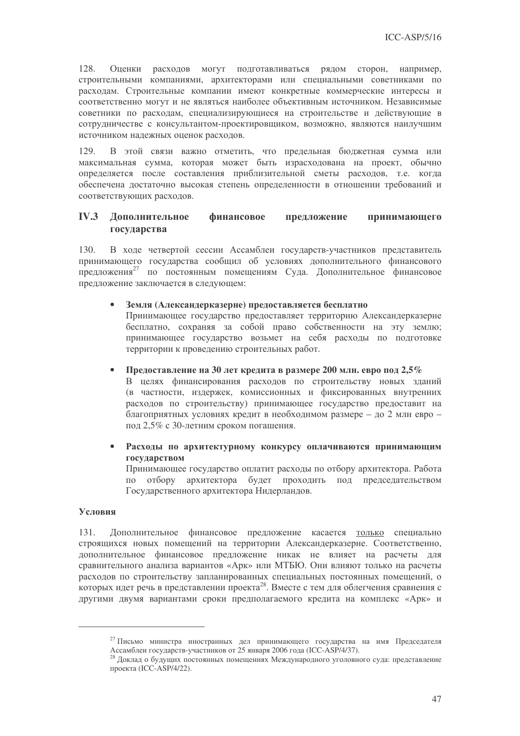128. Оценки расходов могут подготавливаться рядом сторон, например, строительными компаниями, архитекторами или специальными советниками по расходам. Строительные компании имеют конкретные коммерческие интересы и соответственно могут и не являться наиболее объективным источником. Независимые советники по расходам, специализирующиеся на строительстве и действующие в сотрудничестве с консультантом-проектировщиком, возможно, являются наилучшим источником надежных оценок расходов.

В этой связи важно отметить, что предельная бюджетная сумма или 129. максимальная сумма, которая может быть израсходована на проект, обычно определяется после составления приблизительной сметы расходов, т.е. когда обеспечена достаточно высокая степень определенности в отношении требований и соответствующих расходов.

#### $IV.3$ Дополнительное финансовое предложение принимающего государства

В ходе четвертой сессии Ассамблеи государств-участников представитель 130. принимающего государства сообщил об условиях дополнительного финансового предложения<sup>27</sup> по постоянным помещениям Суда. Дополнительное финансовое предложение заключается в следующем:

## Земля (Александерказерне) предоставляется бесплатно

Принимающее государство предоставляет территорию Александерказерне бесплатно, сохраняя за собой право собственности на эту землю; принимающее государство возьмет на себя расходы по подготовке территории к проведению строительных работ.

#### Предоставление на 30 лет кредита в размере 200 млн. евро под 2.5%

В целях финансирования расходов по строительству новых зданий (в частности, издержек, комиссионных и фиксированных внутренних расходов по строительству) принимающее государство предоставит на благоприятных условиях кредит в необходимом размере - до 2 млн евро под 2,5% с 30-летним сроком погашения.

# Расходы по архитектурному конкурсу оплачиваются принимающим государством

Принимающее государство оплатит расходы по отбору архитектора. Работа по отбору архитектора будет проходить под председательством Государственного архитектора Нидерландов.

## Условия

Дополнительное финансовое предложение касается только специально 131 строящихся новых помещений на территории Александерказерне. Соответственно, дополнительное финансовое предложение никак не влияет на расчеты для сравнительного анализа вариантов «Арк» или МТБЮ. Они влияют только на расчеты расходов по строительству запланированных специальных постоянных помещений, о которых идет речь в представлении проекта<sup>28</sup>. Вместе с тем для облегчения сравнения с другими двумя вариантами сроки предполагаемого кредита на комплекс «Арк» и

<sup>&</sup>lt;sup>27</sup> Письмо министра иностранных дел принимающего государства на имя Председателя Ассамблеи государств-участников от 25 января 2006 года (ICC-ASP/4/37).

<sup>28</sup> Доклад о будущих постоянных помещениях Международного уголовного суда: представление проекта (ICC-ASP/4/22).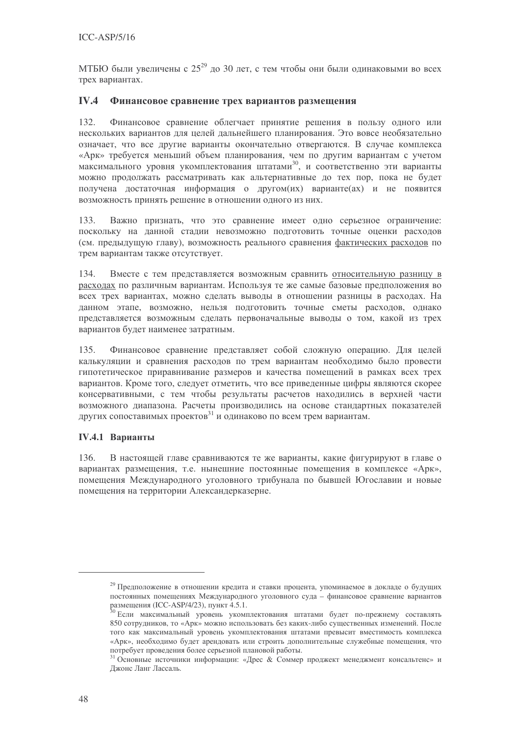МТБЮ были увеличены с 25<sup>29</sup> до 30 лет, с тем чтобы они были одинаковыми во всех трех вариантах.

#### $IV.4$ Финансовое сравнение трех вариантов размешения

132. Финансовое сравнение облегчает принятие решения в пользу одного или нескольких вариантов для целей дальнейшего планирования. Это вовсе необязательно означает, что все другие варианты окончательно отвергаются. В случае комплекса «Арк» требуется меньший объем планирования, чем по другим вариантам с учетом максимального уровня укомплектования штатами<sup>30</sup>, и соответственно эти варианты можно продолжать рассматривать как альтернативные до тех пор, пока не будет получена достаточная информация о другом(их) варианте(ах) и не появится возможность принять решение в отношении одного из них.

133. Важно признать, что это сравнение имеет одно серьезное ограничение: поскольку на данной стадии невозможно подготовить точные оценки расходов (см. предыдущую главу), возможность реального сравнения фактических расходов по трем вариантам также отсутствует.

134 Вместе с тем представляется возможным сравнить относительную разницу в расходах по различным вариантам. Используя те же самые базовые предположения во всех трех вариантах, можно сделать выводы в отношении разницы в расходах. На данном этапе, возможно, нельзя подготовить точные сметы расходов, однако представляется возможным сделать первоначальные выводы о том, какой из трех вариантов булет наименее затратным.

135. Финансовое сравнение представляет собой сложную операцию. Для целей калькуляции и сравнения расходов по трем вариантам необходимо было провести гипотетическое приравнивание размеров и качества помещений в рамках всех трех вариантов. Кроме того, следует отметить, что все приведенные цифры являются скорее консервативными, с тем чтобы результаты расчетов находились в верхней части возможного диапазона. Расчеты производились на основе стандартных показателей других сопоставимых проектов<sup>31</sup> и одинаково по всем трем вариантам.

# IV.4.1 Варианты

В настоящей главе сравниваются те же варианты, какие фигурируют в главе о 136. вариантах размещения, т.е. нынешние постоянные помещения в комплексе «Арк», помещения Международного уголовного трибунала по бывшей Югославии и новые помещения на территории Александерказерне.

<sup>&</sup>lt;sup>29</sup> Предположение в отношении кредита и ставки процента, упоминаемое в докладе о будущих постоянных помещениях Международного уголовного суда - финансовое сравнение вариантов

размещения (ICC-ASP/4/23), пункт 4.5.1.<br><sup>30</sup> Если максимальный уровень укомплектования штатами будет по-прежнему составлять 850 сотрудников, то «Арк» можно использовать без каких-либо существенных изменений. После того как максимальный уровень укомплектования штатами превысит вместимость комплекса «Арк», необходимо будет арендовать или строить дополнительные служебные помещения, что потребует проведения более серьезной плановой работы.

<sup>&</sup>lt;sup>31</sup> Основные источники информации: «Дрес & Соммер проджект менеджмент консальтенс» и Джонс Ланг Лассаль.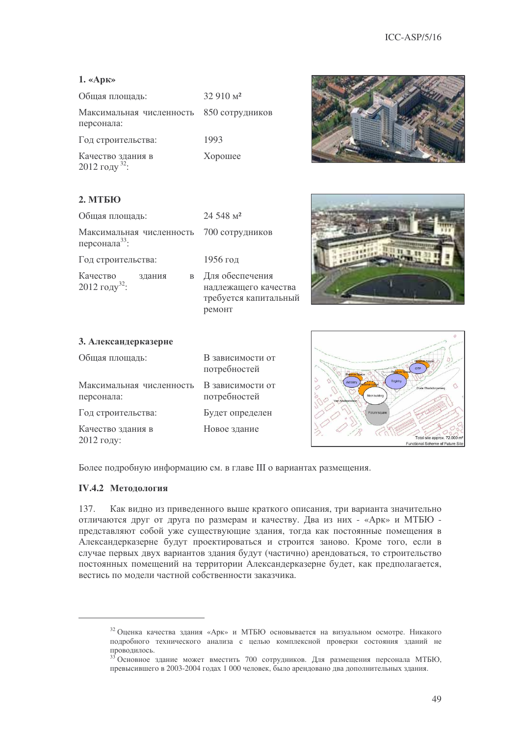# 1. «Арк»

| Общая площадь:                                 | $32910 \text{ M}^2$ |
|------------------------------------------------|---------------------|
| Максимальная численность<br>персонала:         | 850 сотрудников     |
| Год строительства:                             | 1993                |
| Качество здания в<br>2012 году <sup>32</sup> : | Хорошее             |



# $2.$  MTEIO

| Общая площадь:                                        |        |   | 24 548 M <sup>2</sup>                                                      |
|-------------------------------------------------------|--------|---|----------------------------------------------------------------------------|
| Максимальная численность<br>персонала <sup>33</sup> : |        |   | 700 сотрудников                                                            |
| Год строительства:                                    |        |   | 1956 год                                                                   |
| Качество<br>2012 году <sup>32</sup> :                 | здания | B | Для обеспечения<br>надлежащего качества<br>требуется капитальный<br>ремонт |



# 3. Александерказерне

| Общая площадь:                         | В зависимости от<br>потребностей |
|----------------------------------------|----------------------------------|
| Максимальная численность<br>персонала: | В зависимости от<br>потребностей |
| Год строительства:                     | Будет определен                  |
| Качество здания в<br>2012 году:        | Новое здание                     |



Более подробную информацию см. в главе III о вариантах размещения.

# **IV.4.2 Метолология**

Как видно из приведенного выше краткого описания, три варианта значительно 137. отличаются друг от друга по размерам и качеству. Два из них - «Арк» и МТБЮ представляют собой уже существующие здания, тогда как постоянные помещения в Александерказерне будут проектироваться и строится заново. Кроме того, если в случае первых двух вариантов здания будут (частично) арендоваться, то строительство постоянных помешений на территории Александерказерне будет, как предполагается, вестись по молели частной собственности заказчика.

<sup>&</sup>lt;sup>32</sup> Оценка качества здания «Арк» и МТБЮ основывается на визуальном осмотре. Никакого подробного технического анализа с целью комплексной проверки состояния зданий не проводилось.

<sup>33</sup> Основное здание может вместить 700 сотрудников. Для размещения персонала МТБЮ, превысившего в 2003-2004 годах 1 000 человек, было арендовано два дополнительных здания.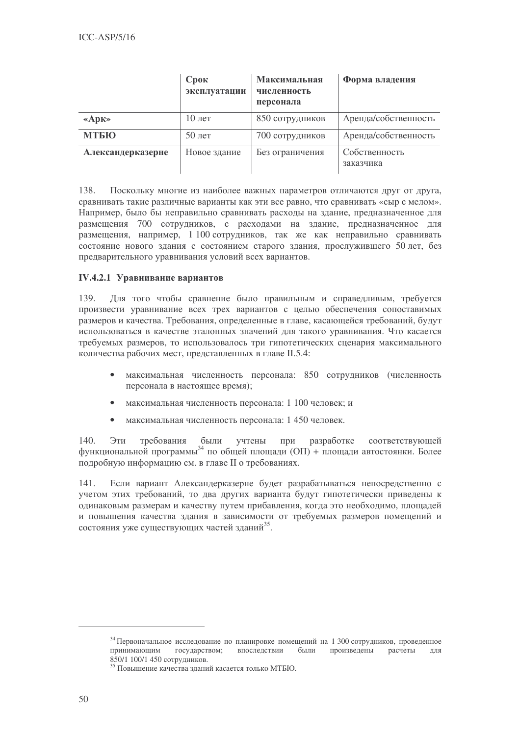|                   | Срок<br>эксплуатации | Максимальная<br>численность<br>персонала | Форма владения             |
|-------------------|----------------------|------------------------------------------|----------------------------|
| $\langle A$ pk»   | $10$ лет             | 850 сотрудников                          | Аренда/собственность       |
| <b>МТБЮ</b>       | $50$ лет             | 700 сотрудников                          | Аренда/собственность       |
| Александерказерне | Новое здание         | Без ограничения                          | Собственность<br>заказчика |

138. Поскольку многие из наиболее важных параметров отличаются друг от друга. сравнивать такие различные варианты как эти все равно, что сравнивать «сыр с мелом». Например, было бы неправильно сравнивать расходы на здание, предназначенное для размещения 700 сотрудников, с расходами на здание, предназначенное для размещения, например, 1 100 сотрудников, так же как неправильно сравнивать состояние нового здания с состоянием старого здания, прослужившего 50 лет, без предварительного уравнивания условий всех вариантов.

## **IV.4.2.1 Уравнивание вариантов**

Для того чтобы сравнение было правильным и справедливым, требуется 139. произвести уравнивание всех трех вариантов с целью обеспечения сопоставимых размеров и качества. Требования, определенные в главе, касающейся требований, будут использоваться в качестве эталонных значений для такого уравнивания. Что касается требуемых размеров, то использовалось три гипотетических сценария максимального количества рабочих мест, представленных в главе II.5.4:

- максимальная численность персонала: 850 сотрудников (численность персонала в настоящее время);
- максимальная численность персонала: 1 100 человек; и
- максимальная численность персонала: 1 450 человек.

 $140$ Эти были требования учтены при разработке соответствующей функциональной программы<sup>34</sup> по общей площади  $(O\Pi)$  + площади автостоянки. Более подробную информацию см. в главе II о требованиях.

141. Если вариант Александерказерне будет разрабатываться непосредственно с учетом этих требований, то два других варианта будут гипотетически приведены к одинаковым размерам и качеству путем прибавления, когда это необходимо, площадей и повышения качества здания в зависимости от требуемых размеров помещений и состояния уже существующих частей зданий<sup>35</sup>.

<sup>&</sup>lt;sup>34</sup> Первоначальное исследование по планировке помещений на 1 300 сотрудников, проведенное принимающим  $\rm \overline{A}$  Ли государством; впоследствии были произведены расчеты 850/1 100/1 450 сотрудников.

<sup>35</sup> Повышение качества зданий касается только МТБЮ.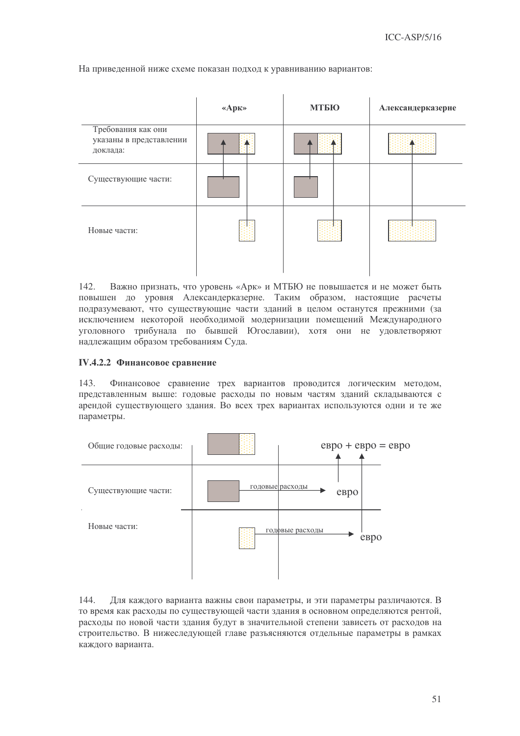На приведенной ниже схеме показан подход к уравниванию вариантов:

|                                                           | «Арк» | <b>МТБЮ</b> | Александерказерне |
|-----------------------------------------------------------|-------|-------------|-------------------|
| Требования как они<br>указаны в представлении<br>доклада: |       |             |                   |
| Существующие части:                                       |       |             |                   |
| Новые части:                                              |       |             |                   |

142. Важно признать, что уровень «Арк» и МТБЮ не повышается и не может быть повышен до уровня Александерказерне. Таким образом, настоящие расчеты подразумевают, что существующие части зданий в целом останутся прежними (за исключением некоторой необходимой модернизации помещений Международного уголовного трибунала по бывшей Югославии), хотя они не удовлетворяют надлежащим образом требованиям Суда.

## **IV.4.2.2 Финансовое сравнение**

 $143.$ Финансовое сравнение трех вариантов проводится логическим методом, представленным выше: годовые расходы по новым частям зданий складываются с арендой существующего здания. Во всех трех вариантах используются одни и те же параметры.



144. Для каждого варианта важны свои параметры, и эти параметры различаются. В то время как расходы по существующей части здания в основном определяются рентой, расходы по новой части здания будут в значительной степени зависеть от расходов на строительство. В нижеследующей главе разъясняются отдельные параметры в рамках каждого варианта.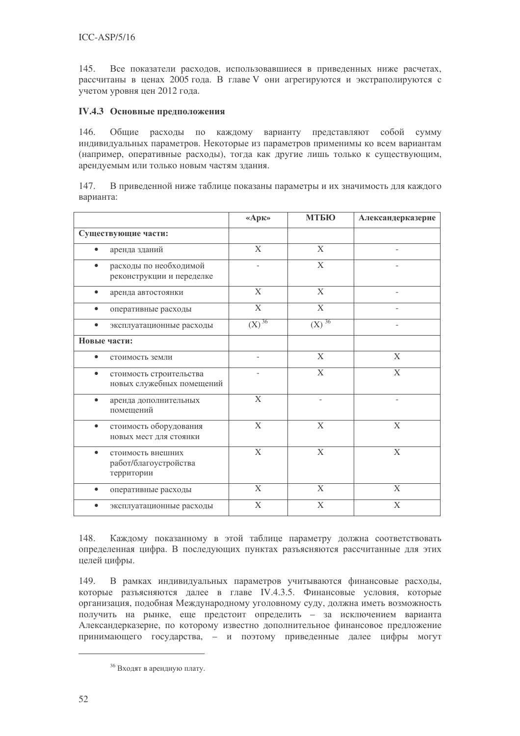145. Все показатели расходов, использовавшиеся в приведенных ниже расчетах, рассчитаны в ценах 2005 года. В главе V они агрегируются и экстраполируются с учетом уровня цен 2012 года.

## **IV.4.3 Основные предположения**

 $146.$ Общие расходы по каждому варианту представляют собой сумму индивидуальных параметров. Некоторые из параметров применимы ко всем вариантам (например, оперативные расходы), тогда как другие лишь только к существующим, арендуемым или только новым частям здания.

147. В приведенной ниже таблице показаны параметры и их значимость для каждого варианта:

|                                                                   | «Арк»       | <b>МТБЮ</b>       | Александерказерне |
|-------------------------------------------------------------------|-------------|-------------------|-------------------|
| Существующие части:                                               |             |                   |                   |
| аренда зданий                                                     | X           | X                 |                   |
| расходы по необходимой<br>реконструкции и переделке               |             | $\overline{X}$    |                   |
| $\bullet$<br>аренда автостоянки                                   | X           | $\overline{X}$    |                   |
| $\bullet$<br>оперативные расходы                                  | X           | $\overline{X}$    |                   |
| $\bullet$<br>эксплуатационные расходы                             | $(X)^{36}$  | (X) <sup>36</sup> |                   |
| Новые части:                                                      |             |                   |                   |
| $\bullet$<br>стоимость земли                                      | ÷,          | X                 | X                 |
| стоимость строительства<br>$\bullet$<br>новых служебных помещений |             | X                 | X                 |
| аренда дополнительных<br>помещений                                | X           |                   |                   |
| стоимость оборудования<br>$\bullet$<br>новых мест для стоянки     | $\mathbf X$ | $\mathbf X$       | X                 |
| стоимость внешних<br>работ/благоустройства<br>территории          | X           | X                 | $\mathbf{X}$      |
| $\bullet$<br>оперативные расходы                                  | X           | X                 | X                 |
| эксплуатационные расходы                                          | $\mathbf X$ | X                 | X                 |

148. Каждому показанному в этой таблице параметру должна соответствовать определенная цифра. В последующих пунктах разъясняются рассчитанные для этих целей цифры.

149 В рамках индивидуальных параметров учитываются финансовые расходы, которые разъясняются далее в главе IV.4.3.5. Финансовые условия, которые организация, подобная Международному уголовному суду, должна иметь возможность получить на рынке, еще предстоит определить - за исключением варианта Александерказерне, по которому известно дополнительное финансовое предложение принимающего государства, - и поэтому приведенные далее цифры могут

<sup>&</sup>lt;sup>36</sup> Входят в арендную плату.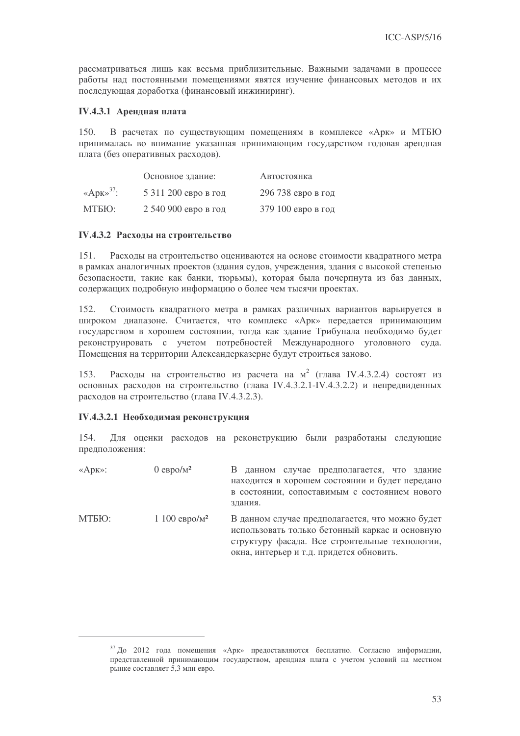рассматриваться лишь как весьма приблизительные. Важными задачами в процессе работы над постоянными помещениями явятся изучение финансовых методов и их последующая доработка (финансовый инжиниринг).

## **IV.4.3.1 Арендная плата**

В расчетах по существующим помещениям в комплексе «Арк» и МТБЮ  $150.$ принималась во внимание указанная принимающим государством годовая арендная плата (без оперативных расходов).

|                           | Основное здание:     | Автостоянка        |
|---------------------------|----------------------|--------------------|
| « $A$ pk» <sup>37</sup> : | 5 311 200 евро в год | 296 738 евро в год |
| МТБЮ:                     | 2 540 900 евро в год | 379 100 евро в год |

#### **IV.4.3.2 Расхолы на строительство**

Расходы на строительство оцениваются на основе стоимости квадратного метра 151 в рамках аналогичных проектов (здания судов, учреждения, здания с высокой степенью безопасности, такие как банки, тюрьмы), которая была почерпнута из баз данных, содержащих подробную информацию о более чем тысячи проектах.

152. Стоимость квадратного метра в рамках различных вариантов варьируется в широком диапазоне. Считается, что комплекс «Арк» передается принимающим государством в хорошем состоянии, тогда как здание Трибунала необходимо будет реконструировать с учетом потребностей Международного уголовного суда. Помещения на территории Александерказерне будут строиться заново.

Расходы на строительство из расчета на м<sup>2</sup> (глава IV.4.3.2.4) состоят из 153. основных расходов на строительство (глава IV.4.3.2.1-IV.4.3.2.2) и непредвиденных расходов на строительство (глава IV.4.3.2.3).

## **IV.4.3.2.1 Необходимая реконструкция**

154. Для оценки расходов на реконструкцию были разработаны следующие предположения:

| $\langle A \rangle$ | $0$ евро/м <sup>2</sup>   | В данном случае предполагается, что здание<br>находится в хорошем состоянии и будет передано<br>в состоянии, сопоставимым с состоянием нового<br>здания.                                        |
|---------------------|---------------------------|-------------------------------------------------------------------------------------------------------------------------------------------------------------------------------------------------|
| МТБЮ:               | 1 100 евро/м <sup>2</sup> | В данном случае предполагается, что можно будет<br>использовать только бетонный каркас и основную<br>структуру фасада. Все строительные технологии,<br>окна, интерьер и т.д. придется обновить. |

<sup>&</sup>lt;sup>37</sup> До 2012 года помещения «Арк» предоставляются бесплатно. Согласно информации, представленной принимающим государством, арендная плата с учетом условий на местном рынке составляет 5,3 млн евро.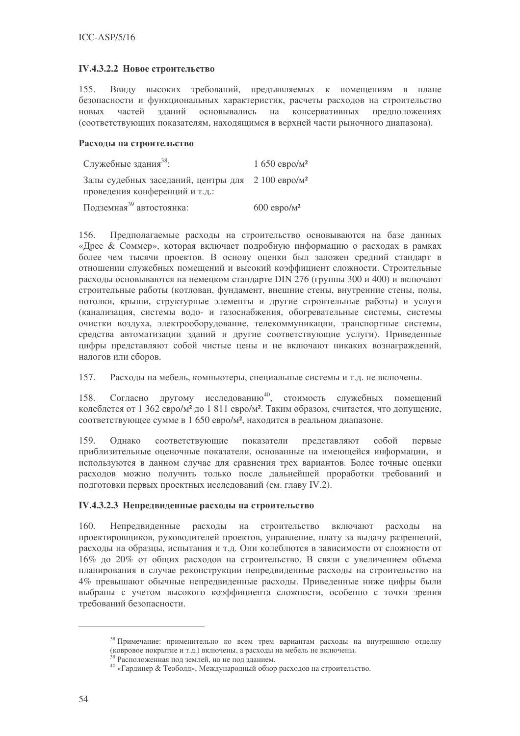## **IV.4.3.2.2 Новое строительство**

Ввиду высоких требований, предъявляемых к помещениям в плане  $155.$ безопасности и функциональных характеристик, расчеты расходов на строительство новых частей зланий основывались на консервативных предположениях (соответствующих показателям, находящимся в верхней части рыночного диапазона).

## Расхолы на строительство

| Служебные здания <sup>38</sup> :                                                                | 1 650 евро/м <sup>2</sup> |
|-------------------------------------------------------------------------------------------------|---------------------------|
| Залы судебных заседаний, центры для 2 100 евро/м <sup>2</sup><br>проведения конференций и т.д.: |                           |
| Подземная <sup>39</sup> автостоянка:                                                            | $600$ евро/м <sup>2</sup> |

Предполагаемые расходы на строительство основываются на базе данных 156 «Дрес & Соммер», которая включает подробную информацию о расходах в рамках более чем тысячи проектов. В основу оценки был заложен средний стандарт в отношении служебных помещений и высокий коэффициент сложности. Строительные расходы основываются на немецком стандарте DIN 276 (группы 300 и 400) и включают строительные работы (котлован, фундамент, внешние стены, внутренние стены, полы, потолки, крыши, структурные элементы и другие строительные работы) и услуги (канализация, системы водо- и газоснабжения, обогревательные системы, системы очистки воздуха, электрооборудование, телекоммуникации, транспортные системы, средства автоматизации зданий и другие соответствующие услуги). Приведенные цифры представляют собой чистые цены и не включают никаких вознаграждений, налогов или сборов.

157. Расходы на мебель, компьютеры, специальные системы и т.д. не включены.

Согласно другому исследованию<sup>40</sup>, стоимость служебных помещений 158. колеблется от 1 362 евро/м<sup>2</sup> до 1 811 евро/м<sup>2</sup>. Таким образом, считается, что допущение, соответствующее сумме в 1 650 евро/м<sup>2</sup>, находится в реальном диапазоне.

159. Однако соответствующие показатели представляют собой первые приблизительные оценочные показатели, основанные на имеющейся информации, и используются в данном случае для сравнения трех вариантов. Более точные оценки расходов можно получить только после дальнейшей проработки требований и подготовки первых проектных исследований (см. главу IV.2).

# IV.4.3.2.3 Непредвиденные расходы на строительство

Непредвиденные расходы на строительство включают расходы 160. на проектировшиков, руковолителей проектов, управление, плату за вылачу разрешений, расходы на образцы, испытания и т.д. Они колеблются в зависимости от сложности от 16% до 20% от общих расходов на строительство. В связи с увеличением объема планирования в случае реконструкции непредвиденные расходы на строительство на 4% превышают обычные непредвиденные расходы. Приведенные ниже цифры были выбраны с учетом высокого коэффициента сложности, особенно с точки зрения требований безопасности.

<sup>&</sup>lt;sup>38</sup> Примечание: применительно ко всем трем вариантам расходы на внутреннюю отделку (ковровое покрытие и т.д.) включены, а расходы на мебель не включены.

з<sup>9</sup> Расположенная под землей, но не под зданием.

 $^{40}$ «Гардинер & Теоболд», Международный обзор расходов на строительство.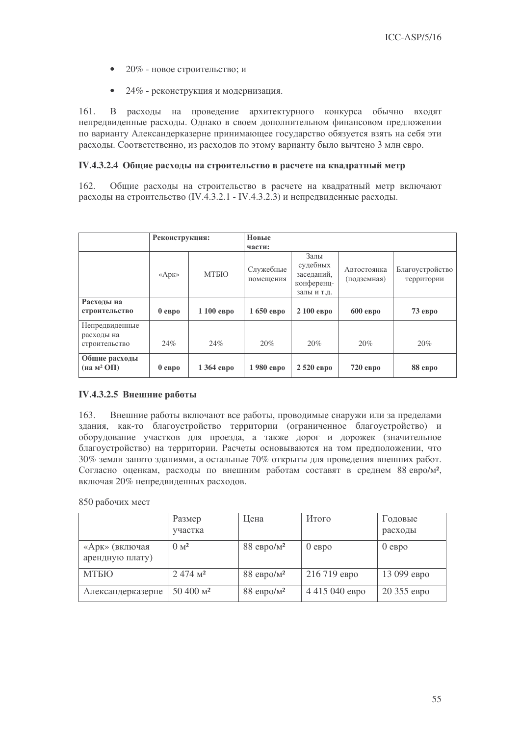- 20% новое строительство; и
- 24% реконструкция и модернизация.

 $161.$ В расходы на проведение архитектурного конкурса обычно входят непредвиденные расходы. Однако в своем дополнительном финансовом предложении по варианту Александерказерне принимающее государство обязуется взять на себя эти расходы. Соответственно, из расходов по этому варианту было вычтено 3 млн евро.

## IV.4.3.2.4 Общие расходы на строительство в расчете на квадратный метр

 $162.$ Общие расходы на строительство в расчете на квадратный метр включают расходы на строительство (IV.4.3.2.1 - IV.4.3.2.3) и непредвиденные расходы.

|                                               | Реконструкция:      |             | Новые                  |                                                             |                            |                               |
|-----------------------------------------------|---------------------|-------------|------------------------|-------------------------------------------------------------|----------------------------|-------------------------------|
|                                               |                     |             | части:                 |                                                             |                            |                               |
|                                               | $\langle A \rangle$ | МТБЮ        | Служебные<br>помещения | Залы<br>судебных<br>заседаний,<br>конференц-<br>залы и т.д. | Автостоянка<br>(подземная) | Благоустройство<br>территории |
| Расходы на<br>строительство                   | 0epo                | $1100$ евро | 1 650 евро             | $2100$ евро                                                 | $600$ евро                 | $73$ евро                     |
| Непредвиденные<br>расходы на<br>строительство | 24%                 | 24%         | 20%                    | 20%                                                         | 20%                        | 20%                           |
| Общие расходы<br>$(na M^2 O\Pi)$              | 0epo                | 1 364 евро  | 1980 евро              | $2520$ евро                                                 | $720$ евро                 | 88 eBpo                       |

# IV.4.3.2.5 Внешние работы

 $163.$ Внешние работы включают все работы, проводимые снаружи или за пределами здания, как-то благоустройство территории (ограниченное благоустройство) и оборудование участков для проезда, а также дорог и дорожек (значительное благоустройство) на территории. Расчеты основываются на том предположении, что 30% земли занято зланиями, а остальные 70% открыты для проведения внешних работ. Согласно оценкам, расходы по внешним работам составят в среднем 88 евро/м<sup>2</sup>, включая 20% непредвиденных расходов.

|                                   | Размер                  | Цена                     | Итого          | Годовые     |
|-----------------------------------|-------------------------|--------------------------|----------------|-------------|
|                                   | участка                 |                          |                | расходы     |
| «Арк» (включая<br>арендную плату) | 0 <sup>1</sup>          | $88$ евро/м <sup>2</sup> | 0eppo          | 0eppo       |
| МТБЮ                              | $2.474$ $M^2$           | $88$ евро/м <sup>2</sup> | 216 719 евро   | 13 099 евро |
| Александерказерне                 | $50\,400\,\mathrm{m}^2$ | $88$ евро/м <sup>2</sup> | 4 415 040 евро | 20 355 евро |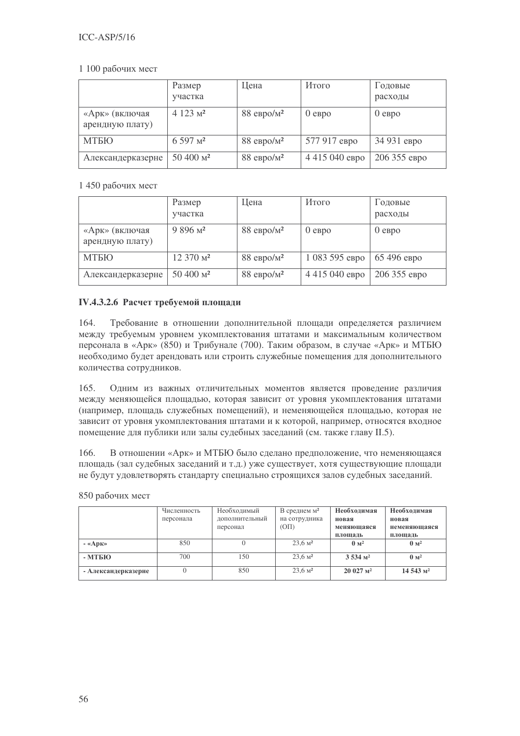|                                   | Размер<br>участка              | Цена                     | Итого          | Годовые<br>расходы |
|-----------------------------------|--------------------------------|--------------------------|----------------|--------------------|
| «Арк» (включая<br>арендную плату) | $4\,123\;{\rm m}^2$            | $88$ евро/м <sup>2</sup> | 0epo           | $0$ e Bpo          |
| МТБЮ                              | 6597 <sub>M</sub> <sup>2</sup> | $88$ евро/м <sup>2</sup> | 577 917 евро   | 34 931 евро        |
| Александерказерне                 | $50\,400\,\mathrm{M}^2$        | $88$ евро/м <sup>2</sup> | 4 415 040 евро | 206 355 евро       |

1 450 рабочих мест

|                                   | Размер<br>участка       | Цена                     | Итого          | Годовые<br>расходы |
|-----------------------------------|-------------------------|--------------------------|----------------|--------------------|
| «Арк» (включая<br>арендную плату) | $9896 \text{ M}^2$      | $88$ евро/м <sup>2</sup> | 0eppo          | 0eppo              |
| МТБЮ                              | $12370 \text{ M}^2$     | $88$ евро/м <sup>2</sup> | 1 083 595 евро | 65 496 евро        |
| Александерказерне                 | $50\,400\,\mathrm{M}^2$ | $88$ евро/м <sup>2</sup> | 4 415 040 евро | 206 355 евро       |

# IV.4.3.2.6 Расчет требуемой площади

164. Требование в отношении дополнительной площади определяется различием между требуемым уровнем укомплектования штатами и максимальным количеством персонала в «Арк» (850) и Трибунале (700). Таким образом, в случае «Арк» и МТБЮ необходимо будет арендовать или строить служебные помещения для дополнительного количества сотрудников.

165. Одним из важных отличительных моментов является проведение различия между меняющейся площадью, которая зависит от уровня укомплектования штатами (например, площадь служебных помещений), и неменяющейся площадью, которая не зависит от уровня укомплектования штатами и к которой, например, относятся входное помещение для публики или залы судебных заседаний (см. также главу II.5).

166. В отношении «Арк» и МТБЮ было сделано предположение, что неменяющаяся площадь (зал судебных заседаний и т.д.) уже существует, хотя существующие площади не будут удовлетворять стандарту специально строящихся залов судебных заседаний.

|                     | Численность<br>персонала | Необходимый<br>дополнительный | В среднем м <sup>2</sup><br>на сотрудника | Необходимая<br>новая            | Необходимая<br>новая    |
|---------------------|--------------------------|-------------------------------|-------------------------------------------|---------------------------------|-------------------------|
|                     |                          | персонал                      | (O <sub>II</sub> )                        | меняющаяся<br>площадь           | неменяющаяся<br>площадь |
| $-$ « $ApR$ »       | 850                      |                               | $23.6 \text{ M}^2$                        | 0 <sup>2</sup>                  | 0 <sup>2</sup>          |
| - МТБЮ              | 700                      | 150                           | $23.6 \text{ M}^2$                        | 3534 M <sup>2</sup>             | 0 <sup>1</sup>          |
| - Александерказерне |                          | 850                           | $23.6 \text{ M}^2$                        | 20027 <sub>M</sub> <sup>2</sup> | $14543 \text{ m}^2$     |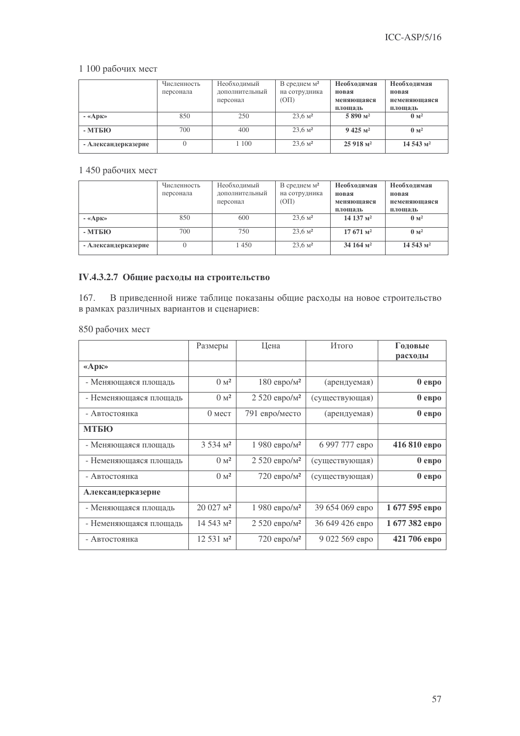|                        | Численность<br>персонала | Необходимый<br>дополнительный<br>персонал | В среднем м <sup>2</sup><br>на сотрудника<br>$(O\Pi)$ | Необходимая<br>новая<br>меняюшаяся | Необходимая<br>новая<br>неменяюшаяся |
|------------------------|--------------------------|-------------------------------------------|-------------------------------------------------------|------------------------------------|--------------------------------------|
|                        |                          |                                           |                                                       | площадь                            | площадь                              |
| $-$ «Ap <sub>K</sub> » | 850                      | 250                                       | $23.6 \text{ M}^2$                                    | $5890 \text{ m}^2$                 | 0 <sup>1</sup>                       |
| - МТБЮ                 | 700                      | 400                                       | $23.6 \text{ M}^2$                                    | $9425 \text{ m}^2$                 | 0 <sup>1</sup>                       |
| - Александерказерне    |                          | 1 100                                     | $23.6 \text{ M}^2$                                    | 25918 <sub>M</sub> <sup>2</sup>    | 14 543 M <sup>2</sup>                |

1 450 рабочих мест

|                     | Численность<br>персонала | Необходимый<br>дополнительный<br>персонал | В среднем м <sup>2</sup><br>на сотрудника<br>(O <sub>II</sub> ) | Необходимая<br>новая<br>меняющаяся<br>площадь | Необходимая<br>новая<br>неменяющаяся<br>площадь |
|---------------------|--------------------------|-------------------------------------------|-----------------------------------------------------------------|-----------------------------------------------|-------------------------------------------------|
| $-$ « $ApR$ »       | 850                      | 600                                       | $23.6 \text{ M}^2$                                              | 14137 <sub>M</sub> <sup>2</sup>               | 0 <sup>1</sup>                                  |
| - МТБЮ              | 700                      | 750                                       | $23.6 \text{ M}^2$                                              | 17671 <sub>M</sub> <sup>2</sup>               | 0 <sup>1</sup>                                  |
| - Александерказерне |                          | 1450                                      | $23.6 \text{ M}^2$                                              | 34164 <sub>M</sub> <sup>2</sup>               | $14543 \text{ m}^2$                             |

# IV.4.3.2.7 Общие расходы на строительство

В приведенной ниже таблице показаны общие расходы на новое строительство 167. в рамках различных вариантов и сценариев:

|                        | Размеры                          | Цена                       | Итого           | Годовые<br>расходы |
|------------------------|----------------------------------|----------------------------|-----------------|--------------------|
| «Арк»                  |                                  |                            |                 |                    |
| - Меняющаяся площадь   | 0 <sup>1</sup>                   | $180$ евро/м <sup>2</sup>  | (арендуемая)    | 0epo               |
| - Неменяющаяся площадь | 0 <sup>1</sup>                   | $2520$ евро/м <sup>2</sup> | (существующая)  | 0epo               |
| - Автостоянка          | $0$ Mec <sub>T</sub>             | 791 евро/место             | (арендуемая)    | 0epo               |
| <b>МТБЮ</b>            |                                  |                            |                 |                    |
| - Меняющаяся площадь   | $3.534$ $M^2$                    | 1 980 евро/м <sup>2</sup>  | 6 997 777 евро  | 416 810 евро       |
| - Неменяющаяся площадь | 0 <sub>M</sub> <sup>2</sup>      | 2 520 евро/м <sup>2</sup>  | (существующая)  | 0epo               |
| - Автостоянка          | 0 <sup>1</sup>                   | $720$ евро/м <sup>2</sup>  | (существующая)  | 0epo               |
| Александерказерне      |                                  |                            |                 |                    |
| - Меняющаяся площадь   | 20027 <sub>M</sub> <sup>2</sup>  | 1 980 евро/м <sup>2</sup>  | 39 654 069 евро | 1 677 595 евро     |
| - Неменяющаяся площадь | 14 543 M <sup>2</sup>            | 2 520 евро/м <sup>2</sup>  | 36 649 426 евро | 1 677 382 евро     |
| - Автостоянка          | 12.531 <sub>M</sub> <sup>2</sup> | $720$ евро/м <sup>2</sup>  | 9 022 569 евро  | 421 706 евро       |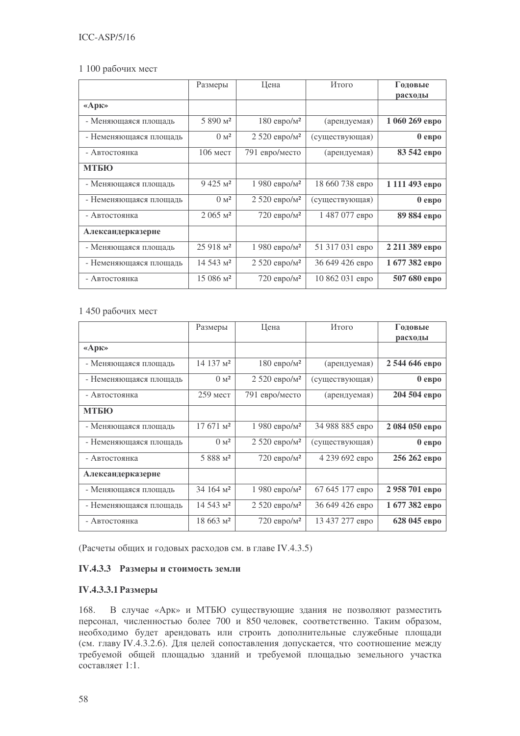|                          | Размеры                         | Цена                      | Итого           | Годовые<br>расходы |
|--------------------------|---------------------------------|---------------------------|-----------------|--------------------|
| «Арк»                    |                                 |                           |                 |                    |
| - Меняющаяся площадь     | 5890 <sub>M</sub> <sup>2</sup>  | $180$ евро/м <sup>2</sup> | (арендуемая)    | 1 060 269 евро     |
| - Неменяющаяся площадь   | 0 <sup>1</sup>                  | 2 520 евро/м <sup>2</sup> | (существующая)  | 0epo               |
| - Автостоянка            | $106$ мест                      | 791 евро/место            | (арендуемая)    | 83 542 евро        |
| <b>МТБЮ</b>              |                                 |                           |                 |                    |
| - Меняющаяся площадь     | $9425 \text{ M}^2$              | 1 980 евро/м <sup>2</sup> | 18 660 738 евро | 1 111 493 евро     |
| - Неменяющаяся площадь   | 0 <sup>1</sup>                  | 2 520 евро/м <sup>2</sup> | (существующая)  | 0epo               |
| - Автостоянка            | $2.065$ $M^2$                   | $720$ евро/м <sup>2</sup> | 1 487 077 евро  | 89 884 евро        |
| <b>Александерказерне</b> |                                 |                           |                 |                    |
| - Меняющаяся площадь     | 25918 M <sup>2</sup>            | 1 980 евро/м <sup>2</sup> | 51 317 031 евро | 2 211 389 евро     |
| - Неменяющаяся площадь   | 14 543 M <sup>2</sup>           | 2 520 евро/м <sup>2</sup> | 36 649 426 евро | 1 677 382 евро     |
| - Автостоянка            | 15086 <sub>M</sub> <sup>2</sup> | $720$ евро/м <sup>2</sup> | 10 862 031 евро | 507 680 евро       |

1 450 рабочих мест

|                        | Размеры                     | Цена                       | Итого           | Годовые<br>расходы |
|------------------------|-----------------------------|----------------------------|-----------------|--------------------|
| «Арк»                  |                             |                            |                 |                    |
| - Меняющаяся площадь   | $14.137$ $M2$               | $180$ евро/м <sup>2</sup>  | (арендуемая)    | 2 544 646 евро     |
| - Неменяющаяся площадь | 0 <sup>1</sup>              | 2 520 евро/м <sup>2</sup>  | (существующая)  | 0epo               |
| - Автостоянка          | $259$ мест                  | 791 евро/место             | (арендуемая)    | 204 504 евро       |
| <b>МТБЮ</b>            |                             |                            |                 |                    |
| - Меняющаяся площадь   | $17671$ $M^2$               | 1 980 евро/м <sup>2</sup>  | 34 988 885 евро | 2 084 050 евро     |
| - Неменяющаяся площадь | 0 <sub>M</sub> <sup>2</sup> | $2520$ евро/м <sup>2</sup> | (существующая)  | 0epo               |
| - Автостоянка          | 5 888 M <sup>2</sup>        | $720$ евро/м <sup>2</sup>  | 4 239 692 евро  | 256 262 евро       |
| Александерказерне      |                             |                            |                 |                    |
| - Меняющаяся площадь   | 34 164 M <sup>2</sup>       | 1 980 евро/м <sup>2</sup>  | 67 645 177 евро | 2 958 701 евро     |
| - Неменяющаяся площадь | $14.543$ $M2$               | $2520$ евро/м <sup>2</sup> | 36 649 426 евро | 1 677 382 евро     |
| - Автостоянка          | $18663 \text{ M}^2$         | $720$ евро/м <sup>2</sup>  | 13 437 277 евро | 628 045 евро       |

(Расчеты общих и годовых расходов см. в главе IV.4.3.5)

# IV.4.3.3 Размеры и стоимость земли

## **IV.4.3.3.1 Размеры**

168. В случае «Арк» и МТБЮ существующие здания не позволяют разместить персонал, численностью более 700 и 850 человек, соответственно. Таким образом, необходимо будет арендовать или строить дополнительные служебные площади (см. главу IV.4.3.2.6). Для целей сопоставления допускается, что соотношение между требуемой общей площадью зданий и требуемой площадью земельного участка  $\overline{\text{cocrasnser}}$  1:1.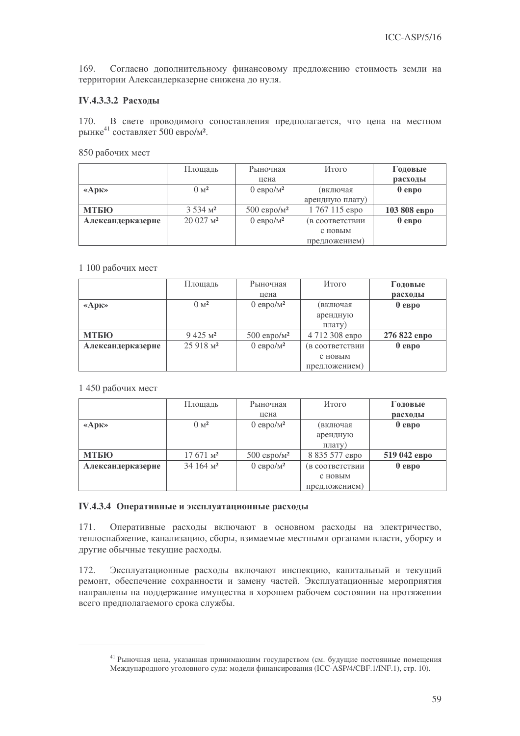169. Согласно дополнительному финансовому предложению стоимость земли на территории Александерказерне снижена до нуля.

## **IV.4.3.3.2 Расходы**

170. В свете проводимого сопоставления предполагается, что цена на местном рынке<sup>41</sup> составляет 500 евро/м<sup>2</sup>.

850 рабочих мест

|                                                          | Площадь                     | Рыночная         | Итого           | Годовые      |
|----------------------------------------------------------|-----------------------------|------------------|-----------------|--------------|
|                                                          |                             | цена             |                 | расходы      |
| $\langle A$ <sub>p<sub>K</sub><math>\rangle</math></sub> | 0 <sub>M</sub> <sup>2</sup> | $0$ eBpo/ $M^2$  | (включая        | 0epo         |
|                                                          |                             |                  | арендную плату) |              |
| МТБЮ                                                     | $3.534 \text{ M}^2$         | $500 \text{ eB}$ | 1767115 евро    | 103 808 евро |
| <b>Александерказерне</b>                                 | $20027 \text{ M}^2$         | $0$ eBpo/ $M^2$  | в соответствии  | 0epo         |
|                                                          |                             |                  | с новым         |              |
|                                                          |                             |                  | предложением)   |              |

1 100 рабочих мест

|                                                          | Площадь                         | Рыночная         | Итого          | Годовые      |
|----------------------------------------------------------|---------------------------------|------------------|----------------|--------------|
|                                                          |                                 | цена             |                | расходы      |
| $\langle A$ <sub>p<sub>K</sub><math>\rangle</math></sub> | 0 <sub>M</sub> <sup>2</sup>     | $0$ ebpo/ $M^2$  | (включая       | 0eppo        |
|                                                          |                                 |                  | арендную       |              |
|                                                          |                                 |                  | плату)         |              |
| <b>МТБЮ</b>                                              | $9425 \text{ m}^2$              | $500 \text{ eB}$ | 4 712 308 евро | 276 822 евро |
| Александерказерне                                        | 25918 <sub>M</sub> <sup>2</sup> | $0$ eBpo/ $M^2$  | в соответствии | 0epo         |
|                                                          |                                 |                  | с новым        |              |
|                                                          |                                 |                  | предложением)  |              |

1 450 рабочих мест

|                                                          | Площадь             | Рыночная              | Итого          | Годовые      |
|----------------------------------------------------------|---------------------|-----------------------|----------------|--------------|
|                                                          |                     | цена                  |                | расходы      |
| $\langle A$ <sub>p<sub>K</sub><math>\rangle</math></sub> | 0 <sup>1</sup>      | $0$ eBpo/ $M^2$       | (включая       | 0eppo        |
|                                                          |                     |                       | арендную       |              |
|                                                          |                     |                       | плату)         |              |
| <b>МТБЮ</b>                                              | $17671 \text{ M}^2$ | $500 \text{ epo/m}^2$ | 8 835 577 евро | 519 042 евро |
| <b>Александерказерне</b>                                 | 34164 <sup>2</sup>  | $0$ eBpo/ $M^2$       | в соответствии | 0epo         |
|                                                          |                     |                       | с новым        |              |
|                                                          |                     |                       | предложением)  |              |

## IV.4.3.4 Оперативные и эксплуатационные расходы

171. Оперативные расходы включают в основном расходы на электричество, теплоснабжение, канализацию, сборы, взимаемые местными органами власти, уборку и другие обычные текущие расходы.

172. Эксплуатационные расходы включают инспекцию, капитальный и текущий ремонт, обеспечение сохранности и замену частей. Эксплуатационные мероприятия направлены на поддержание имущества в хорошем рабочем состоянии на протяжении всего предполагаемого срока службы.

 $^{41}$  Рыночная цена, указанная принимающим государством (см. будущие постоянные помещения Международного уголовного суда: модели финансирования (ICC-ASP/4/CBF.1/INF.1), стр. 10).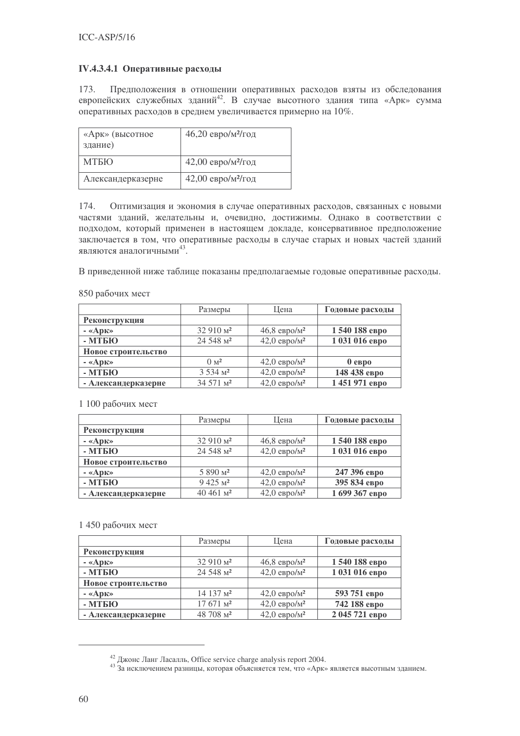## IV.4.3.4.1 Оперативные расходы

Предположения в отношении оперативных расходов взяты из обследования 173. европейских служебных зданий<sup>42</sup>. В случае высотного здания типа «Арк» сумма оперативных расходов в среднем увеличивается примерно на 10%.

| «Арк» (высотное<br>здание) | 46,20 евро/м <sup>2</sup> /год   |
|----------------------------|----------------------------------|
| <b>MTEHO</b>               | 42,00 евро/м <sup>2</sup> /год   |
| Александерказерне          | $42,00$ евро/м <sup>2</sup> /год |

174. Оптимизация и экономия в случае оперативных расходов, связанных с новыми частями зданий, желательны и, очевидно, достижимы. Однако в соответствии с подходом, который применен в настоящем докладе, консервативное предположение заключается в том, что оперативные расходы в случае старых и новых частей зданий являются аналогичными<sup>43</sup>.

В приведенной ниже таблице показаны предполагаемые годовые оперативные расходы.

850 рабочих мест

|                     | Размеры               | Цена                       | Годовые расходы |
|---------------------|-----------------------|----------------------------|-----------------|
| Реконструкция       |                       |                            |                 |
| $-$ «Apk»           | $32910 \text{ M}^2$   | $46,8$ евро/м <sup>2</sup> | 1540 188 евро   |
| - МТБЮ              | 24 548 M <sup>2</sup> | $42,0$ евро/м <sup>2</sup> | 1 031 016 евро  |
| Новое строительство |                       |                            |                 |
| $-$ «Apk»           | 0 <sup>1</sup>        | $42,0$ eBpo/ $M^2$         | 0eppo           |
| - МТБЮ              | $3.534 \text{ m}^2$   | $42,0$ евро/м <sup>2</sup> | 148 438 евро    |
| - Александерказерне | 34 571 M <sup>2</sup> | $42,0$ евро/м <sup>2</sup> | 1451971 евро    |

#### 1 100 рабочих мест

|                     | Размеры              | Цена                       | Годовые расходы |
|---------------------|----------------------|----------------------------|-----------------|
| Реконструкция       |                      |                            |                 |
| $-$ «Apk»           | $32910 \text{ M}^2$  | $46,8$ евро/м <sup>2</sup> | 1540 188 евро   |
| - МТБЮ              | $24.548$ $M^2$       | $42,0$ евро/м <sup>2</sup> | 1 031 016 евро  |
| Новое строительство |                      |                            |                 |
| $-$ «Apk»           | 5 890 M <sup>2</sup> | $42,0$ eBpo/ $M^2$         | 247 396 евро    |
| - МТБЮ              | $9425 \text{ m}^2$   | $42,0$ евро/м <sup>2</sup> | 395 834 евро    |
| - Александерказерне | $40,461$ $M^2$       | $42,0$ евро/м <sup>2</sup> | 1 699 367 евро  |

#### 1 450 рабочих мест

|                     | Размеры                         | Шена                       | Годовые расходы |
|---------------------|---------------------------------|----------------------------|-----------------|
| Реконструкция       |                                 |                            |                 |
| $-$ «Apk»           | $32910 \text{ M}^2$             | $46,8$ евро/м <sup>2</sup> | 1540 188 евро   |
| - МТБЮ              | $24.548$ $M^2$                  | $42,0$ eBpo/ $M^2$         | 1 031 016 евро  |
| Новое строительство |                                 |                            |                 |
| $-$ «Apk»           | $14.137$ $M^2$                  | $42,0$ евро/м <sup>2</sup> | 593 751 евро    |
| - МТБЮ              | 17671 <sub>M</sub> <sup>2</sup> | $42,0$ eBpo/ $M^2$         | 742 188 евро    |
| - Александерказерне | 48 708 M <sup>2</sup>           | $42,0$ евро/м <sup>2</sup> | 2 045 721 евро  |

<sup>&</sup>lt;sup>42</sup> Джонс Ланг Ласалль, Office service charge analysis report 2004.

<sup>43</sup> За исключением разницы, которая объясняется тем, что «Арк» является высотным зданием.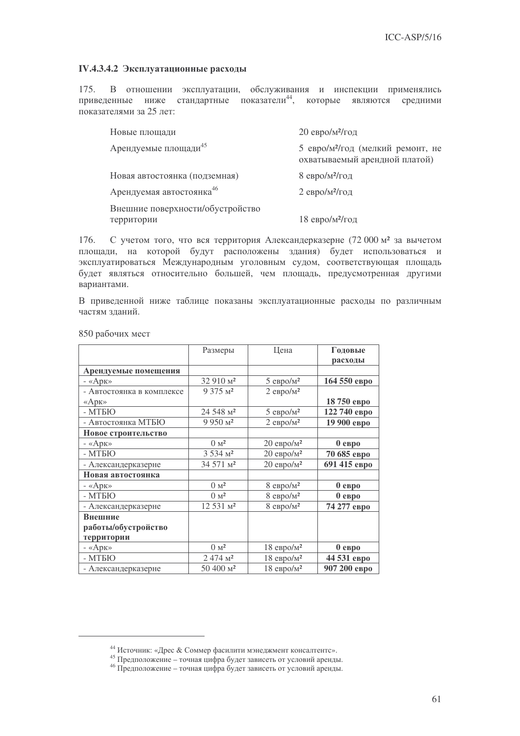## IV.4.3.4.2 Эксплуатационные расходы

В отношении эксплуатации, обслуживания и инспекции применялись 175. ниже стандартные показатели<sup>44</sup>, которые приведенные являются средними показателями за 25 лет:

| Новые площади                                  | $20 \text{ ebp}$ о/м <sup>2</sup> /год                                         |
|------------------------------------------------|--------------------------------------------------------------------------------|
| Арендуемые площади <sup>45</sup>               | 5 евро/м <sup>2</sup> /год (мелкий ремонт, не<br>охватываемый арендной платой) |
| Новая автостоянка (подземная)                  | 8 евро/м <sup>2</sup> /год                                                     |
| Арендуемая автостоянка <sup>46</sup>           | 2 евро/м <sup>2</sup> /год                                                     |
| Внешние поверхности/обустройство<br>территории | 18 евро/м <sup>2</sup> /год                                                    |

С учетом того, что вся территория Александерказерне (72 000 м<sup>2</sup> за вычетом 176. площади, на которой будут расположены здания) будет использоваться и эксплуатироваться Международным уголовным судом, соответствующая площадь будет являться относительно большей, чем площадь, предусмотренная другими вариантами.

В приведенной ниже таблице показаны эксплуатационные расходы по различным частям зланий.

|                           | Размеры                     | Цена                     | Годовые      |
|---------------------------|-----------------------------|--------------------------|--------------|
|                           |                             |                          | расходы      |
| Арендуемые помещения      |                             |                          |              |
| $-$ «Ap <sub>K</sub> »    | 32 910 M <sup>2</sup>       | $5$ евро/м <sup>2</sup>  | 164 550 евро |
| - Автостоянка в комплексе | 9 375 M <sup>2</sup>        | $2$ евро/м <sup>2</sup>  |              |
| $\langle A \rangle$       |                             |                          | 18 750 евро  |
| - МТБЮ                    | 24 548 M <sup>2</sup>       | $5$ евро/м <sup>2</sup>  | 122 740 евро |
| - Автостоянка МТБЮ        | 9 950 M <sup>2</sup>        | $2$ евро/м <sup>2</sup>  | 19 900 евро  |
| Новое строительство       |                             |                          |              |
| $-$ «Арк»                 | 0 <sub>M</sub> <sup>2</sup> | $20$ евро/м <sup>2</sup> | 0epo         |
| - МТБЮ                    | 3 534 M <sup>2</sup>        | $20$ евро/м <sup>2</sup> | 70 685 евро  |
| - Александерказерне       | 34 571 M <sup>2</sup>       | $20$ евро/м <sup>2</sup> | 691 415 евро |
| Новая автостоянка         |                             |                          |              |
| - «Арк»                   | $0 M^2$                     | $8$ евро/м <sup>2</sup>  | 0epo         |
| - МТБЮ                    | 0 <sub>M</sub> <sup>2</sup> | $8$ евро/м <sup>2</sup>  | 0epo         |
| - Александерказерне       | 12 531 M <sup>2</sup>       | $8$ евро/м <sup>2</sup>  | 74 277 евро  |
| Внешние                   |                             |                          |              |
| работы/обустройство       |                             |                          |              |
| территории                |                             |                          |              |
| $-$ «Арк»                 | $0 M^2$                     | $18$ евро/м <sup>2</sup> | 0epo         |
| - МТБЮ                    | 2474 M <sup>2</sup>         | $18$ евро/м <sup>2</sup> | 44 531 евро  |
| - Александерказерне       | 50 400 M <sup>2</sup>       | $18$ евро/м <sup>2</sup> | 907 200 евро |

<sup>&</sup>lt;sup>44</sup> Источник: «Дрес & Соммер фасилити мэнеджмент консалтентс».

<sup>45</sup> Предположение - точная цифра будет зависеть от условий аренды.

<sup>46</sup> Предположение – точная цифра будет зависеть от условий аренды.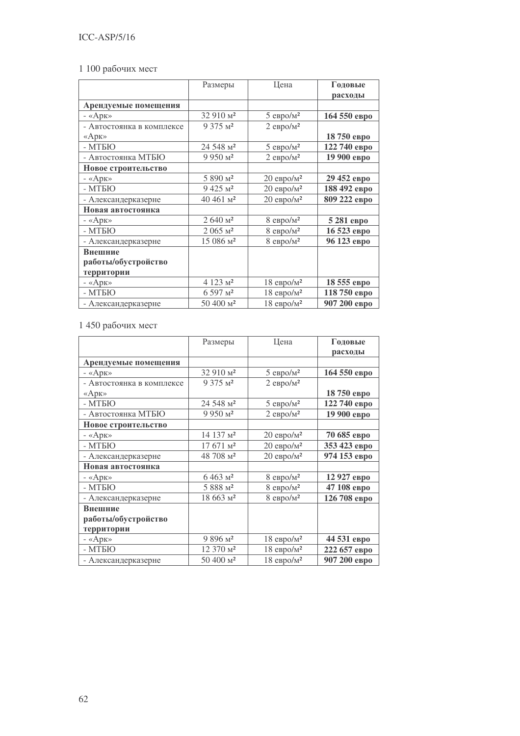|                           | Размеры                        | Цена                     | Годовые      |
|---------------------------|--------------------------------|--------------------------|--------------|
|                           |                                |                          | расходы      |
| Арендуемые помещения      |                                |                          |              |
| $-$ «Ap <sub>K</sub> »    | 32 910 M <sup>2</sup>          | $5$ евро/м <sup>2</sup>  | 164 550 евро |
| - Автостоянка в комплексе | $9375 \text{ m}^2$             | $2$ евро/м <sup>2</sup>  |              |
| $\langle A p K \rangle$   |                                |                          | 18 750 евро  |
| - МТБЮ                    | 24 548 M <sup>2</sup>          | $5$ евро/м <sup>2</sup>  | 122 740 евро |
| - Автостоянка МТБЮ        | 9950 <sub>M</sub> <sup>2</sup> | $2$ евро/м <sup>2</sup>  | 19 900 евро  |
| Новое строительство       |                                |                          |              |
| $-$ «Арк»                 | 5 890 M <sup>2</sup>           | $20$ евро/м <sup>2</sup> | 29 452 евро  |
| - МТБЮ                    | 9 425 M <sup>2</sup>           | $20$ евро/м <sup>2</sup> | 188 492 евро |
| - Александерказерне       | 40 461 M <sup>2</sup>          | $20$ евро/м <sup>2</sup> | 809 222 евро |
| Новая автостоянка         |                                |                          |              |
| $-$ «Арк»                 | 2640 <sub>M</sub> <sup>2</sup> | $8$ евро/м <sup>2</sup>  | 5 281 евро   |
| - МТБЮ                    | $2065$ $M^2$                   | $8$ евро/м <sup>2</sup>  | 16 523 евро  |
| - Александерказерне       | 15 086 м <sup>2</sup>          | $8$ евро/м <sup>2</sup>  | 96 123 евро  |
| Внешние                   |                                |                          |              |
| работы/обустройство       |                                |                          |              |
| территории                |                                |                          |              |
| $-$ «Арк»                 | $4123$ $M^2$                   | $18$ евро/м <sup>2</sup> | 18 555 евро  |
| - МТБЮ                    | 6 597 м <sup>2</sup>           | $18$ евро/м <sup>2</sup> | 118 750 евро |
| - Александерказерне       | 50 400 M <sup>2</sup>          | $18$ евро/м <sup>2</sup> | 907 200 евро |

1 450 рабочих мест

|                           | Размеры                        | Цена                     | Годовые      |
|---------------------------|--------------------------------|--------------------------|--------------|
|                           |                                |                          | расходы      |
| Арендуемые помещения      |                                |                          |              |
| $-$ «Арк»                 | 32 910 M <sup>2</sup>          | $5$ евро/м <sup>2</sup>  | 164 550 евро |
| - Автостоянка в комплексе | $9375 \text{ m}^2$             | $2$ евро/м <sup>2</sup>  |              |
| $\ll$ Ap <sub>K</sub> »   |                                |                          | 18 750 евро  |
| - МТБЮ                    | 24 548 M <sup>2</sup>          | $5$ евро/м <sup>2</sup>  | 122 740 евро |
| - Автостоянка МТБЮ        | 9950 <sub>M</sub> <sup>2</sup> | $2$ евро/м <sup>2</sup>  | 19 900 евро  |
| Новое строительство       |                                |                          |              |
| $-$ «Ap <sub>K</sub> »    | 14 137 M <sup>2</sup>          | $20$ евро/м <sup>2</sup> | 70 685 евро  |
| - МТБЮ                    | 17 671 M <sup>2</sup>          | $20$ евро/м <sup>2</sup> | 353 423 евро |
| - Александерказерне       | 48 708 M <sup>2</sup>          | $20$ евро/м <sup>2</sup> | 974 153 евро |
| Новая автостоянка         |                                |                          |              |
| $-$ «Ap <sub>K</sub> »    | $6463$ $M^2$                   | $8$ евро/м <sup>2</sup>  | 12 927 евро  |
| - МТБЮ                    | 5 888 M <sup>2</sup>           | $8$ евро/м <sup>2</sup>  | 47 108 евро  |
| - Александерказерне       | 18 663 M <sup>2</sup>          | $8$ евро/м <sup>2</sup>  | 126 708 евро |
| Внешние                   |                                |                          |              |
| работы/обустройство       |                                |                          |              |
| территории                |                                |                          |              |
| $-$ «Арк»                 | 9 896 $M^2$                    | $18$ евро/м <sup>2</sup> | 44 531 евро  |
| - МТБЮ                    | 12 370 M <sup>2</sup>          | $18$ евро/м <sup>2</sup> | 222 657 евро |
| - Александерказерне       | 50 400 M <sup>2</sup>          | $18$ евро/м <sup>2</sup> | 907 200 евро |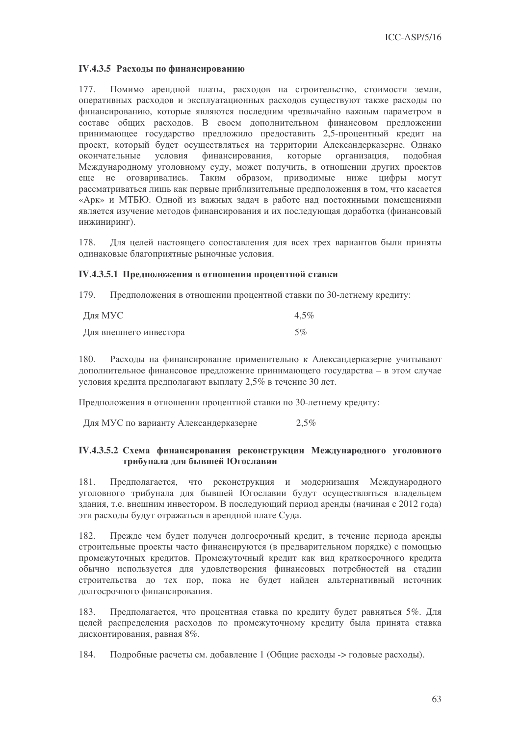## IV.4.3.5 Расходы по финансированию

Помимо арендной платы, расходов на строительство, стоимости земли, 177. оперативных расходов и эксплуатационных расходов существуют также расходы по финансированию, которые являются последним чрезвычайно важным параметром в составе общих расходов. В своем дополнительном финансовом предложении принимающее государство предложило предоставить 2,5-процентный кредит на проект, который будет осуществляться на территории Александерказерне. Однако финансирования, которые организация, окончательные условия подобная Международному уголовному суду, может получить, в отношении других проектов еще не оговаривались. Таким образом, приводимые ниже цифры могут рассматриваться лишь как первые приблизительные предположения в том, что касается «Арк» и МТБЮ. Одной из важных задач в работе над постоянными помещениями является изучение методов финансирования и их последующая доработка (финансовый инжиниринг).

178. Для целей настоящего сопоставления для всех трех вариантов были приняты одинаковые благоприятные рыночные условия.

## IV.4.3.5.1 Предположения в отношении процентной ставки

179 Предположения в отношении процентной ставки по 30-летнему кредиту:

| Для МУС                | $4.5\%$ |
|------------------------|---------|
| Для внешнего инвестора | 5%      |

Расходы на финансирование применительно к Александерказерне учитывают 180. дополнительное финансовое предложение принимающего государства - в этом случае условия кредита предполагают выплату 2.5% в течение 30 лет.

Предположения в отношении процентной ставки по 30-летнему кредиту:

Для МУС по варианту Александерказерне  $2.5%$ 

## IV.4.3.5.2 Схема финансирования реконструкции Международного уголовного трибунала для бывшей Югославии

181. Предполагается, что реконструкция и модернизация Международного vголовного трибунала для бывшей Югославии будут осуществляться владельцем здания, т.е. внешним инвестором. В последующий период аренды (начиная с 2012 года) эти расходы будут отражаться в арендной плате Суда.

182 Прежде чем будет получен долгосрочный кредит, в течение периода аренды строительные проекты часто финансируются (в предварительном порядке) с помощью промежуточных кредитов. Промежуточный кредит как вид краткосрочного кредита обычно используется для удовлетворения финансовых потребностей на стадии строительства до тех пор, пока не будет найден альтернативный источник долгосрочного финансирования.

183 Предполагается, что процентная ставка по кредиту будет равняться 5%. Для целей распределения расходов по промежуточному кредиту была принята ставка дисконтирования, равная 8%.

184. Подробные расчеты см. добавление 1 (Общие расходы -> годовые расходы).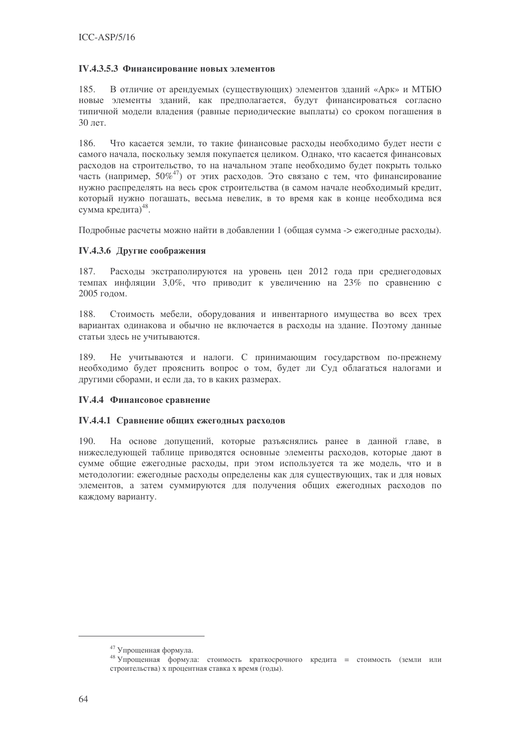## IV.4.3.5.3 Финансирование новых элементов

В отличие от арендуемых (существующих) элементов зданий «Арк» и МТБЮ 185. новые элементы зданий, как предполагается, будут финансироваться согласно типичной модели владения (равные периодические выплаты) со сроком погашения в 30 лет.

Что касается земли, то такие финансовые расходы необходимо будет нести с 186 самого начала, поскольку земля покупается целиком. Однако, что касается финансовых расходов на строительство, то на начальном этапе необходимо будет покрыть только часть (например, 50%<sup>47</sup>) от этих расходов. Это связано с тем, что финансирование нужно распределять на весь срок строительства (в самом начале необходимый кредит, который нужно погашать, весьма невелик, в то время как в конце необходима вся сумма кредита)<sup>48</sup>.

Подробные расчеты можно найти в добавлении 1 (общая сумма -> ежегодные расходы).

# IV.4.3.6 Другие соображения

187. Расходы экстраполируются на уровень цен 2012 года при среднегодовых темпах инфляции 3.0%, что приводит к увеличению на 23% по сравнению с 2005 голом.

188 Стоимость мебели, оборудования и инвентарного имущества во всех трех вариантах олинакова и обычно не включается в расхолы на злание. Поэтому ланные статьи здесь не учитываются.

189. Не учитываются и налоги. С принимающим государством по-прежнему необходимо будет прояснить вопрос о том, будет ли Суд облагаться налогами и другими сборами, и если да, то в каких размерах.

## **IV.4.4 Финансовое сравнение**

## IV.4.4.1 Сравнение общих ежегодных расходов

На основе допущений, которые разъяснялись ранее в данной главе, в  $190.$ нижеследующей таблице приводятся основные элементы расходов, которые дают в сумме общие ежегодные расходы, при этом используется та же модель, что и в методологии: ежегодные расходы определены как для существующих, так и для новых элементов, а затем суммируются для получения общих ежегодных расходов по каждому варианту.

<sup>47</sup> Упрощенная формула.

<sup>48</sup> Упрощенная формула: стоимость краткосрочного кредита = стоимость (земли или строительства) х процентная ставка х время (годы).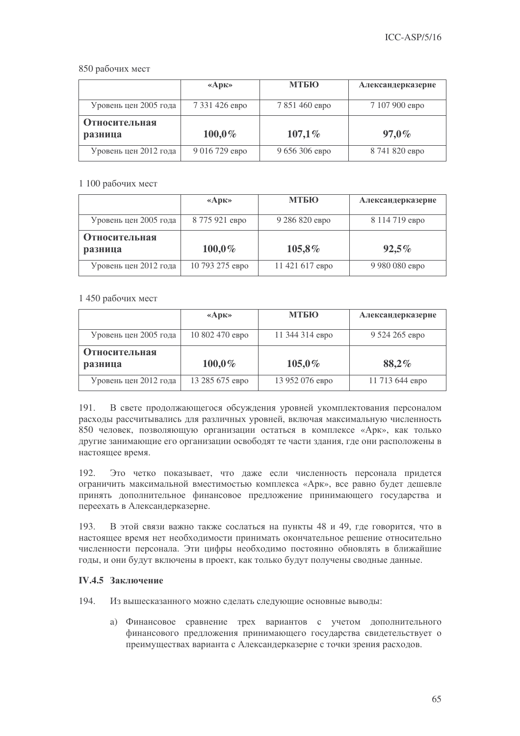## 850 рабочих мест

|                                 | $\langle A \rangle$ | <b>МТБЮ</b>    | Александерказерне |
|---------------------------------|---------------------|----------------|-------------------|
| Уровень цен 2005 года           | 7 331 426 евро      | 7 851 460 евро | 7 107 900 евро    |
| <b>Относительная</b><br>разница | $100,0\%$           | 107,1%         | $97,0\%$          |
| Уровень цен 2012 года           | 9 016 729 евро      | 9 656 306 евро | 8 741 820 евро    |

## 1 100 рабочих мест

|                                 | $\langle A \rangle$ | МТБЮ            | Александерказерне |
|---------------------------------|---------------------|-----------------|-------------------|
| Уровень цен 2005 года           | 8 775 921 евро      | 9 286 820 евро  | 8 114 719 евро    |
| <b>Относительная</b><br>разница | $100,0\%$           | 105,8%          | 92,5%             |
| Уровень цен 2012 года           | 10 793 275 евро     | 11 421 617 евро | 9 980 080 евро    |

## 1 450 рабочих мест

|                                 | $\langle A \rangle$ | МТБЮ            | Александерказерне |
|---------------------------------|---------------------|-----------------|-------------------|
| Уровень цен 2005 года           | 10 802 470 евро     | 11 344 314 евро | 9 524 265 евро    |
| <b>Относительная</b><br>разница | $100,0\%$           | $105,0\%$       | 88,2%             |
| Уровень цен 2012 года           | 13 285 675 евро     | 13 952 076 евро | 11 713 644 евро   |

191. В свете продолжающегося обсуждения уровней укомплектования персоналом расходы рассчитывались для различных уровней, включая максимальную численность 850 человек, позволяющую организации остаться в комплексе «Арк», как только другие занимающие его организации освободят те части здания, где они расположены в настоящее время.

192. Это четко показывает, что даже если численность персонала придется ограничить максимальной вместимостью комплекса «Арк», все равно будет дешевле принять дополнительное финансовое предложение принимающего государства и переехать в Александерказерне.

193. В этой связи важно также сослаться на пункты 48 и 49, где говорится, что в настоящее время нет необходимости принимать окончательное решение относительно численности персонала. Эти цифры необходимо постоянно обновлять в ближайшие годы, и они будут включены в проект, как только будут получены сводные данные.

## **IV.4.5 Заключение**

194. Из вышесказанного можно сделать следующие основные выводы:

а) Финансовое сравнение трех вариантов с учетом дополнительного финансового предложения принимающего государства свидетельствует о преимуществах варианта с Александерказерне с точки зрения расходов.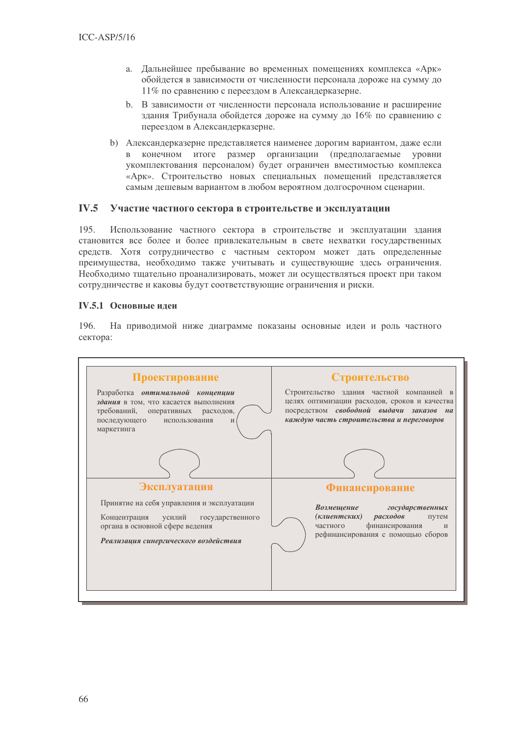- а. Дальнейшее пребывание во временных помещениях комплекса «Арк» обойдется в зависимости от численности персонала дороже на сумму до 11% по сравнению с переездом в Александерказерне.
- b. В зависимости от численности персонала использование и расширение здания Трибунала обойдется дороже на сумму до 16% по сравнению с переездом в Александерказерне.
- b) Александерказерне представляется наименее дорогим вариантом, даже если конечном итоге размер организации (предполагаемые уровни укомплектования персоналом) будет ограничен вместимостью комплекса «Арк». Строительство новых специальных помещений представляется самым дешевым вариантом в любом вероятном долгосрочном сценарии.

#### $IV.5$ Участие частного сектора в строительстве и эксплуатации

195. Использование частного сектора в строительстве и эксплуатации здания становится все более и более привлекательным в свете нехватки государственных средств. Хотя сотрудничество с частным сектором может дать определенные преимущества, необходимо также учитывать и существующие здесь ограничения. Необходимо тшательно проанализировать, может ли осуществляться проект при таком сотрудничестве и каковы будут соответствующие ограничения и риски.

## **IV.5.1 Основные идеи**

196. На приводимой ниже диаграмме показаны основные идеи и роль частного сектора:

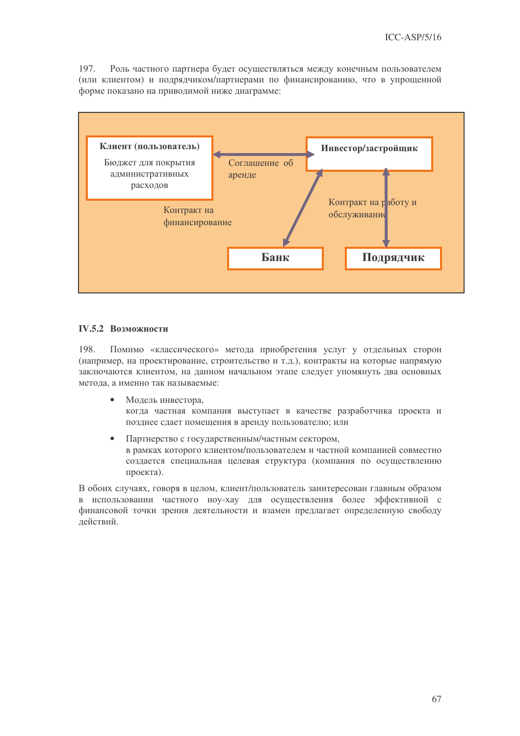197. Роль частного партнера будет осуществляться между конечным пользователем (или клиентом) и подрядчиком/партнерами по финансированию, что в упрощенной форме показано на приводимой ниже диаграмме:



## **IV.5.2 Возможности**

Помимо «классического» метода приобретения услуг у отдельных сторон 198. (например, на проектирование, строительство и т.д.), контракты на которые напрямую заключаются клиентом, на данном начальном этапе следует упомянуть два основных метода, а именно так называемые:

- $\bullet$ Молель инвестора. когда частная компания выступает в качестве разработчика проекта и позднее сдает помещения в аренду пользователю; или
- $\bullet$ Партнерство с государственным/частным сектором. в рамках которого клиентом/пользователем и частной компанией совместно создается специальная целевая структура (компания по осуществлению проекта).

В обоих случаях, говоря в целом, клиент/пользователь заинтересован главным образом в использовании частного ноу-хау для осуществления более эффективной с финансовой точки зрения деятельности и взамен предлагает определенную свободу действий.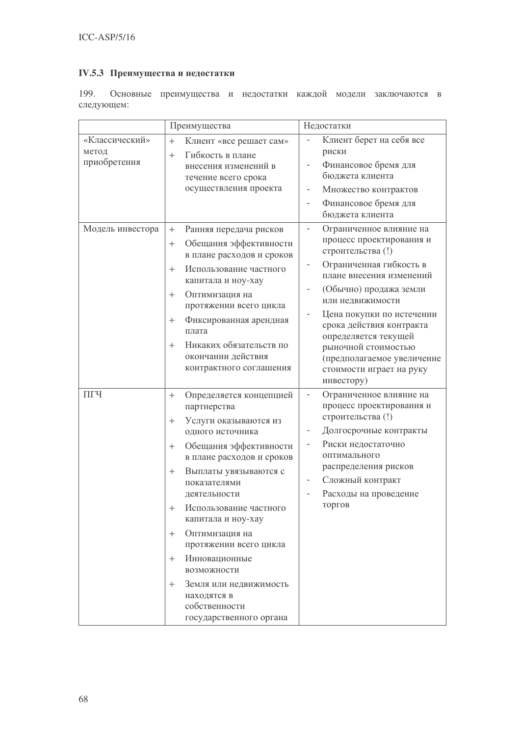# IV.5.3 Преимущества и недостатки

199. Основные преимущества и недостатки каждой модели заключаются в следующем:

|                                         | Преимущества                                                                                                                                                                                                                                                                                                                                                                                                                                                                                                   | Недостатки                                                                                                                                                                                                                                                                                                                                                    |  |  |
|-----------------------------------------|----------------------------------------------------------------------------------------------------------------------------------------------------------------------------------------------------------------------------------------------------------------------------------------------------------------------------------------------------------------------------------------------------------------------------------------------------------------------------------------------------------------|---------------------------------------------------------------------------------------------------------------------------------------------------------------------------------------------------------------------------------------------------------------------------------------------------------------------------------------------------------------|--|--|
| «Классический»<br>метод<br>приобретения | Клиент «все решает сам»<br>$+$<br>Гибкость в плане<br>$^{+}$<br>внесения изменений в<br>течение всего срока<br>осуществления проекта                                                                                                                                                                                                                                                                                                                                                                           | Клиент берет на себя все<br>риски<br>Финансовое бремя для<br>бюджета клиента<br>Множество контрактов<br>Финансовое бремя для<br>бюджета клиента                                                                                                                                                                                                               |  |  |
| Модель инвестора                        | Ранняя передача рисков<br>Обещания эффективности<br>$^{+}$<br>в плане расходов и сроков<br>Использование частного<br>$^{+}$<br>капитала и ноу-хау<br>Оптимизация на<br>$^{+}$<br>протяжении всего цикла<br>Фиксированная арендная<br>$\mathrm{+}$<br>плата<br>Никаких обязательств по<br>$^{+}$<br>окончании действия<br>контрактного соглашения                                                                                                                                                               | Ограниченное влияние на<br>процесс проектирования и<br>строительства (!)<br>Ограниченная гибкость в<br>плане внесения изменений<br>(Обычно) продажа земли<br>или недвижимости<br>Цена покупки по истечении<br>срока действия контракта<br>определяется текущей<br>рыночной стоимостью<br>(предполагаемое увеличение<br>стоимости играет на руку<br>инвестору) |  |  |
| ПГЧ                                     | Определяется концепцией<br>$^{+}$<br>партнерства<br>Услуги оказываются из<br>$^{+}$<br>одного источника<br>Обещания эффективности<br>$^+$<br>в плане расходов и сроков<br>Выплаты увязываются с<br>$^{+}$<br>показателями<br>деятельности<br>Использование частного<br>$\hspace{0.1mm} +$<br>капитала и ноу-хау<br>Оптимизация на<br>$^{+}$<br>протяжении всего цикла<br>Инновационные<br>$^{+}$<br>возможности<br>Земля или недвижимость<br>$^{+}$<br>находятся в<br>собственности<br>государственного органа | Ограниченное влияние на<br>процесс проектирования и<br>строительства (!)<br>Долгосрочные контракты<br>Риски недостаточно<br>оптимального<br>распределения рисков<br>Сложный контракт<br>Расходы на проведение<br>торгов                                                                                                                                       |  |  |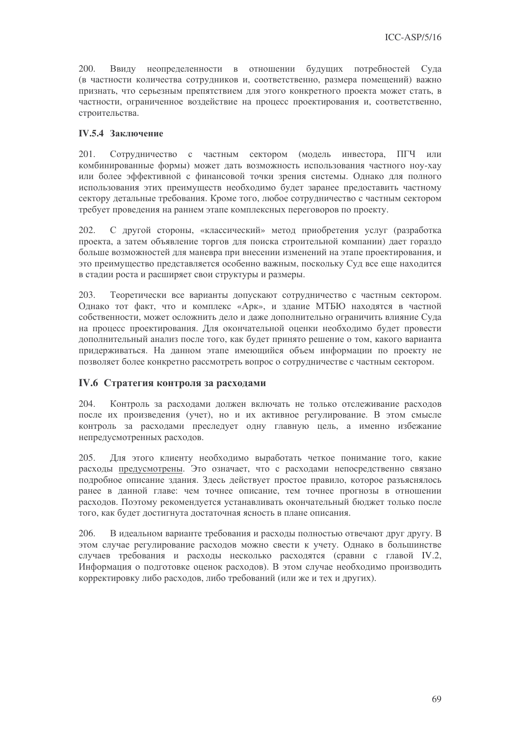200. Ввиду неопределенности в отношении будущих потребностей Суда (в частности количества сотрудников и, соответственно, размера помещений) важно признать, что серьезным препятствием для этого конкретного проекта может стать, в частности, ограниченное воздействие на процесс проектирования и, соответственно, строительства.

## **IV.5.4 Заключение**

Сотрудничество с частным сектором (модель инвестора, ПГЧ или 201. комбинированные формы) может дать возможность использования частного ноу-хау или более эффективной с финансовой точки зрения системы. Однако для полного использования этих преимуществ необходимо будет заранее предоставить частному сектору детальные требования. Кроме того, любое сотрудничество с частным сектором требует проведения на раннем этапе комплексных переговоров по проекту.

С другой стороны, «классический» метод приобретения услуг (разработка 202. проекта, а затем объявление торгов для поиска строительной компании) дает гораздо больше возможностей для маневра при внесении изменений на этапе проектирования, и это преимущество представляется особенно важным, поскольку Суд все еще находится в стадии роста и расширяет свои структуры и размеры.

203. Теоретически все варианты допускают сотрудничество с частным сектором. Однако тот факт, что и комплекс «Арк», и здание МТБЮ находятся в частной собственности, может осложнить дело и даже дополнительно ограничить влияние Суда на процесс проектирования. Для окончательной оценки необходимо будет провести дополнительный анализ после того, как будет принято решение о том, какого варианта придерживаться. На данном этапе имеющийся объем информации по проекту не позволяет более конкретно рассмотреть вопрос о сотрудничестве с частным сектором.

## **IV.6 Стратегия контроля за расходами**

204. Контроль за расходами должен включать не только отслеживание расходов после их произведения (учет), но и их активное регулирование. В этом смысле контроль за расходами преследует одну главную цель, а именно избежание непредусмотренных расходов.

 $205 -$ Для этого клиенту необходимо выработать четкое понимание того, какие расходы предусмотрены. Это означает, что с расходами непосредственно связано подробное описание здания. Здесь действует простое правило, которое разъяснялось ранее в данной главе: чем точнее описание, тем точнее прогнозы в отношении расходов. Поэтому рекомендуется устанавливать окончательный бюджет только после того, как будет достигнута достаточная ясность в плане описания.

206. В идеальном варианте требования и расходы полностью отвечают друг другу. В этом случае регулирование расходов можно свести к учету. Однако в большинстве случаев требования и расходы несколько расходятся (сравни с главой IV.2, Информация о подготовке оценок расходов). В этом случае необходимо производить корректировку либо расходов, либо требований (или же и тех и других).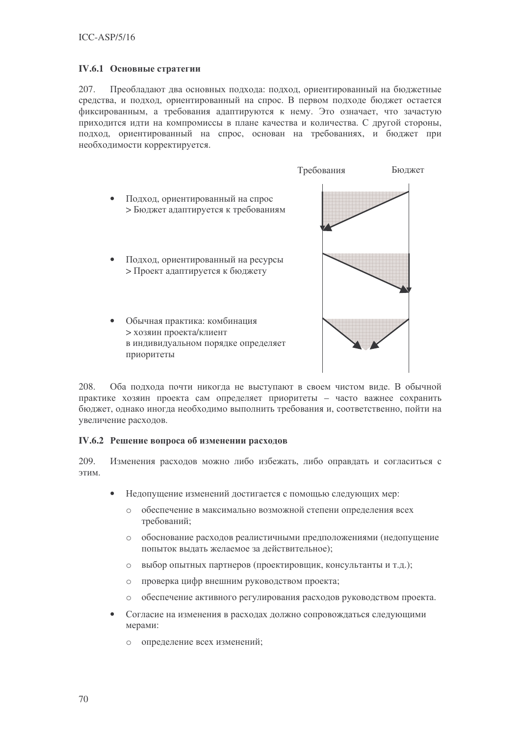## **IV.6.1 Основные стратегии**

207. Преобладают два основных подхода: подход, ориентированный на бюджетные средства, и подход, ориентированный на спрос. В первом подходе бюджет остается фиксированным, а требования адаптируются к нему. Это означает, что зачастую приходится идти на компромиссы в плане качества и количества. С другой стороны, подход, ориентированный на спрос, основан на требованиях, и бюджет при необходимости корректируется.



208. Оба подхода почти никогда не выступают в своем чистом виде. В обычной практике хозяин проекта сам определяет приоритеты - часто важнее сохранить бюджет, однако иногда необходимо выполнить требования и, соответственно, пойти на увеличение расходов.

## IV.6.2 Решение вопроса об изменении расходов

209. Изменения расходов можно либо избежать, либо оправдать и согласиться с ЭТИМ.

- Недопущение изменений достигается с помощью следующих мер:
	- $\circ$ обеспечение в максимально возможной степени определения всех требований;
	- обоснование расходов реалистичными предположениями (недопущение  $\bigcap$ попыток выдать желаемое за действительное);
	- выбор опытных партнеров (проектировщик, консультанты и т.д.);  $\cap$
	- проверка цифр внешним руководством проекта:  $\cap$
	- обеспечение активного регулирования расходов руководством проекта.  $\circ$
- Согласие на изменения в расходах должно сопровождаться следующими мерами:
	- о определение всех изменений;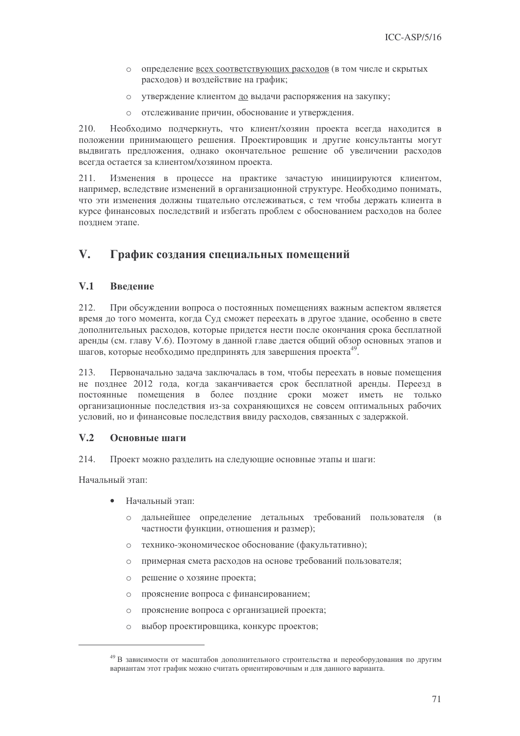- о определение всех соответствующих расходов (в том числе и скрытых расходов) и воздействие на график;
- утверждение клиентом до выдачи распоряжения на закупку;  $\cap$
- о отслеживание причин, обоснование и утверждения.

Необходимо подчеркнуть, что клиент/хозяин проекта всегда находится в  $210.$ положении принимающего решения. Проектировщик и другие консультанты могут выдвигать предложения, однако окончательное решение об увеличении расходов всегда остается за клиентом/хозяином проекта.

Изменения в процессе на практике зачастую инициируются клиентом, 211. например, вследствие изменений в организационной структуре. Необходимо понимать, что эти изменения должны тщательно отслеживаться, с тем чтобы держать клиента в курсе финансовых последствий и избегать проблем с обоснованием расходов на более позднем этапе.

#### $V_{\cdot}$ График создания специальных помещений

#### $V.1$ Ввеление

 $212$ При обсуждении вопроса о постоянных помещениях важным аспектом является время до того момента, когда Суд сможет переехать в другое здание, особенно в свете дополнительных расходов, которые придется нести после окончания срока бесплатной аренлы (см. главу V.6). Поэтому в ланной главе лается обший обзор основных этапов и шагов, которые необходимо предпринять для завершения проекта<sup>49</sup>.

213. Первоначально задача заключалась в том, чтобы переехать в новые помещения не позднее 2012 года, когда заканчивается срок бесплатной аренды. Переезд в постоянные помещения в более поздние сроки может иметь не только организационные последствия из-за сохраняющихся не совсем оптимальных рабочих условий, но и финансовые последствия ввиду расходов, связанных с задержкой.

#### $V.2$ Основные шаги

214 Проект можно разлелить на следующие основные этапы и шаги:

Начальный этап<sup>.</sup>

- Начальный этап:
	- дальнейшее определение детальных требований пользователя (в частности функции, отношения и размер);
	- технико-экономическое обоснование (факультативно);  $\cap$
	- примерная смета расходов на основе требований пользователя;  $\bigcap$
	- решение о хозяине проекта;  $\circ$
	- прояснение вопроса с финансированием;  $\bigcap$
	- прояснение вопроса с организацией проекта:  $\cap$
	- выбор проектировщика, конкурс проектов;  $\circ$

<sup>49</sup> В зависимости от масштабов дополнительного строительства и переоборудования по другим вариантам этот график можно считать ориентировочным и для данного варианта.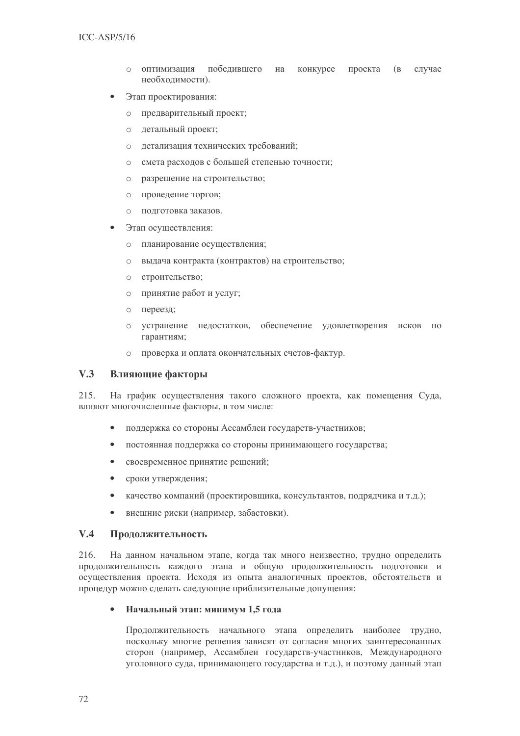## $ICC-ASP/5/16$

- победившего на о оптимизация конкурсе проекта (в случае необходимости).
- Этап проектирования:
	- предварительный проект:  $\cap$
	- детальный проект;  $\circ$
	- детализация технических требований;  $\circ$
	- смета расходов с большей степенью точности;  $\bigcap$
	- разрешение на строительство;  $\circ$
	- проведение торгов;  $\circ$
	- полготовка заказов.  $\cap$
- Этап осуществления:
	- планирование осуществления;  $\bigcirc$
	- выдача контракта (контрактов) на строительство;  $\bigcap$
	- строительство;  $\bigcap$
	- принятие работ и услуг;  $\circ$
	- переезд;  $\bigcap$
	- устранение недостатков, обеспечение удовлетворения исков по  $\bigcirc$ гарантиям:
	- проверка и оплата окончательных счетов-фактур.  $\bigcap$

#### $V.3$ Влияющие факторы

 $215.$ На график осуществления такого сложного проекта, как помещения Суда, влияют многочисленные факторы, в том числе:

- поддержка со стороны Ассамблеи государств-участников:  $\bullet$
- постоянная поддержка со стороны принимающего государства;
- $\bullet$ своевременное принятие решений;
- сроки утверждения;  $\bullet$
- качество компаний (проектировщика, консультантов, подрядчика и т.д.);  $\bullet$
- внешние риски (например, забастовки).

#### $V.4$ Продолжительность

216. На данном начальном этапе, когда так много неизвестно, трудно определить продолжительность каждого этапа и общую продолжительность подготовки и осуществления проекта. Исходя из опыта аналогичных проектов, обстоятельств и процедур можно сделать следующие приблизительные допущения:

## Начальный этап: минимум 1,5 года

Продолжительность начального этапа определить наиболее трудно. поскольку многие решения зависят от согласия многих заинтересованных сторон (например, Ассамблеи государств-участников, Международного уголовного суда, принимающего государства и т.д.), и поэтому данный этап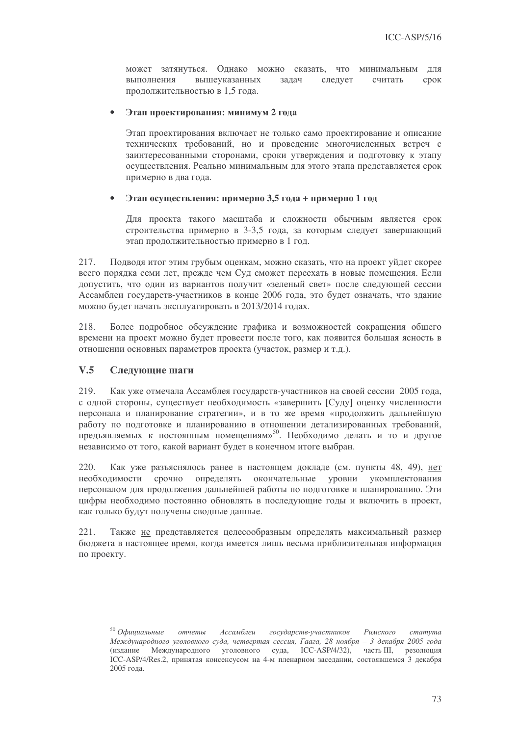может затянуться. Однако можно сказать, что минимальным для выполнения вышеуказанных залач следует считать  $CDOK$ продолжительностью в 1,5 года.

### Этап проектирования: минимум 2 года

Этап проектирования включает не только само проектирование и описание технических требований, но и проведение многочисленных встреч с заинтересованными сторонами, сроки утверждения и подготовку к этапу осуществления. Реально минимальным для этого этапа представляется срок примерно в два года.

### Этап осуществления: примерно 3,5 года + примерно 1 год

Для проекта такого масштаба и сложности обычным является срок строительства примерно в 3-3,5 года, за которым следует завершающий этап продолжительностью примерно в 1 год.

217. Подводя итог этим грубым оценкам, можно сказать, что на проект уйдет скорее всего порядка семи лет, прежде чем Суд сможет переехать в новые помещения. Если допустить, что один из вариантов получит «зеленый свет» после следующей сессии Ассамблеи государств-участников в конце 2006 года, это будет означать, что здание можно будет начать эксплуатировать в 2013/2014 годах.

Более полробное обсуждение графика и возможностей сокрашения общего 218. времени на проект можно будет провести после того, как появится большая ясность в отношении основных параметров проекта (участок, размер и т.д.).

#### $V.5$ Следующие шаги

219. Как уже отмечала Ассамблея государств-участников на своей сессии 2005 года, с одной стороны, существует необходимость «завершить [Суду] оценку численности персонала и планирование стратегии», и в то же время «продолжить дальнейшую работу по полготовке и планированию в отношении летализированных требований, предъявляемых к постоянным помещениям»<sup>50</sup>. Необходимо делать и то и другое независимо от того, какой вариант будет в конечном итоге выбран.

220. Как уже разъяснялось ранее в настоящем докладе (см. пункты 48, 49), нет необходимости срочно определять окончательные уровни укомплектования персоналом для продолжения дальнейшей работы по подготовке и планированию. Эти цифры необходимо постоянно обновлять в последующие годы и включить в проект, как только будут получены сводные данные.

221. Также не представляется целесообразным определять максимальный размер бюджета в настоящее время, когда имеется лишь весьма приблизительная информация по проекту.

 $50$  Официальные отчеты Ассамблеи государств-участников Римского cmamyma Международного уголовного суда, четвертая сессия, Гаага, 28 ноября - 3 декабря 2005 года Международного уголовного суда, ICC-ASP/4/32), часть III, резолюция (излание ICC-ASP/4/Res.2, принятая консенсусом на 4-м пленарном заседании, состоявшемся 3 декабря 2005 гола.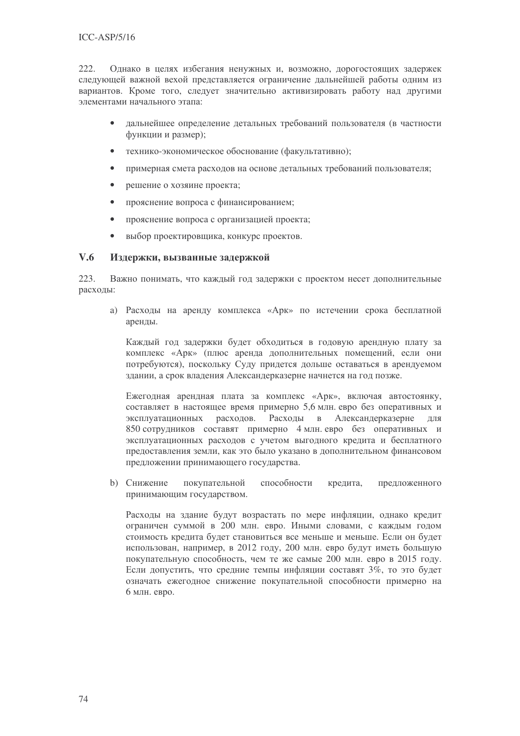### $ICC-ASP/5/16$

222. Однако в целях избегания ненужных и, возможно, дорогостоящих задержек следующей важной вехой представляется ограничение дальнейшей работы одним из вариантов. Кроме того, следует значительно активизировать работу над другими элементами начального этапа:

- $\bullet$ дальнейшее определение детальных требований пользователя (в частности функции и размер);
- технико-экономическое обоснование (факультативно);  $\bullet$
- примерная смета расходов на основе детальных требований пользователя;  $\bullet$
- решение о хозяине проекта;  $\bullet$
- прояснение вопроса с финансированием;  $\bullet$
- $\bullet$ прояснение вопроса с организацией проекта;
- $\bullet$ выбор проектировщика, конкурс проектов.

#### $V_{\cdot}6$ Издержки, вызванные задержкой

223. Важно понимать, что каждый год задержки с проектом несет дополнительные расходы:

а) Расходы на аренду комплекса «Арк» по истечении срока бесплатной аренды.

Каждый год задержки будет обходиться в годовую арендную плату за комплекс «Арк» (плюс аренда дополнительных помещений, если они потребуются), поскольку Суду придется дольше оставаться в арендуемом здании, а срок владения Александерказерне начнется на год позже.

Ежегодная арендная плата за комплекс «Арк», включая автостоянку, составляет в настоящее время примерно 5,6 млн. евро без оперативных и расходов. Расходы в Александерказерне эксплуатационных ДЛЯ 850 сотрудников составят примерно 4 млн. евро без оперативных и эксплуатационных расходов с учетом выгодного кредита и бесплатного предоставления земли, как это было указано в дополнительном финансовом предложении принимающего государства.

**b**) Снижение покупательной способности кредита, предложенного принимающим государством.

Расходы на здание будут возрастать по мере инфляции, однако кредит ограничен суммой в 200 млн. евро. Иными словами, с каждым годом стоимость кредита будет становиться все меньше и меньше. Если он будет использован, например, в 2012 году, 200 млн. евро будут иметь большую покупательную способность, чем те же самые 200 млн. евро в 2015 году. Если лопустить, что средние темпы инфляции составят 3%, то это будет означать ежегодное снижение покупательной способности примерно на 6 млн. евро.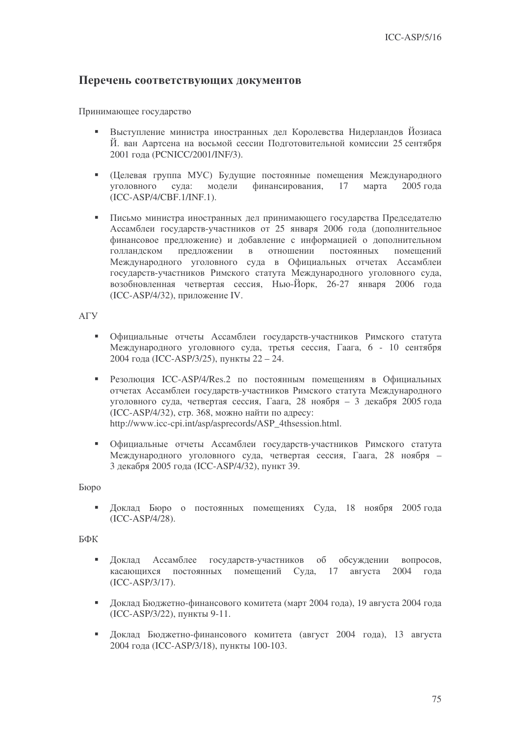# Перечень соответствующих документов

Принимающее государство

- Выступление министра иностранных дел Королевства Нидерландов Йозиаса Й. ван Аартсена на восьмой сессии Подготовительной комиссии 25 сентября 2001 года (PCNICC/2001/INF/3).
- (Целевая группа МУС) Будущие постоянные помещения Международного уголовного суда: модели финансирования, 17 ма марта  $2005$  года (ICC-ASP/4/CBF.1/INF.1).
- Письмо министра иностранных дел принимающего государства Председателю Ассамблеи государств-участников от 25 января 2006 года (дополнительное финансовое предложение) и добавление с информацией о дополнительном голландском пре предложении в отношении постоянных щений Международного уголовного суда в Официальных отчетах Ассамблеи государств-участников Римского статута Международного уголовного суда, возобновленная четвертая сессия, Нью-Йорк, 26-27 января 2006 года (ICC-ASP/4/32), приложение IV.

### $ATY$

- Официальные отчеты Ассамблеи государств-участников Римского статута Международного уголовного суда, третья сессия, Гаага, 6 - 10 сентября 2004 года (ICC-ASP/3/25), пункты 22 – 24.
- Резолюция ICC-ASP/4/Res.2 по постоянным помещениям в Официальных отчетах Ассамблеи государств-участников Римского статута Международного уголовного суда, четвертая сессия, Гаага, 28 ноября – 3 декабря 2005 года (ICC-ASP/4/32), стр. 368, можно найти по адресу: http://www.icc-cpi.int/asp/asprecords/ASP\_4thsession.html.
- Официальные отчеты Ассамблеи государств-участников Римского статута Международного уголовного суда, четвертая сессия, Гаага, 28 ноября -3 декабря 2005 года (ICC-ASP/4/32), пункт 39.

Бюро

• Доклад Бюро о постоянных помещениях Суда, 18 ноября 2005 года (ICC-ASP/4/28).

БФК

- при доклад Ассамблее государств-участников об обсужде вопросов. kaca ющихся постоянных помещений Суда, 17 августа 2004 года (ICC-ASP/3/17).
- Доклад Бюджетно-финансового комитета (март 2004 года), 19 августа 2004 года (ICC-ASP/3/22), пункты 9-11.
- Доклад Бюджетно-финансового комитета (август 2004 года), 13 августа 2004 года (ICC-ASP/3/18), пункты 100-103.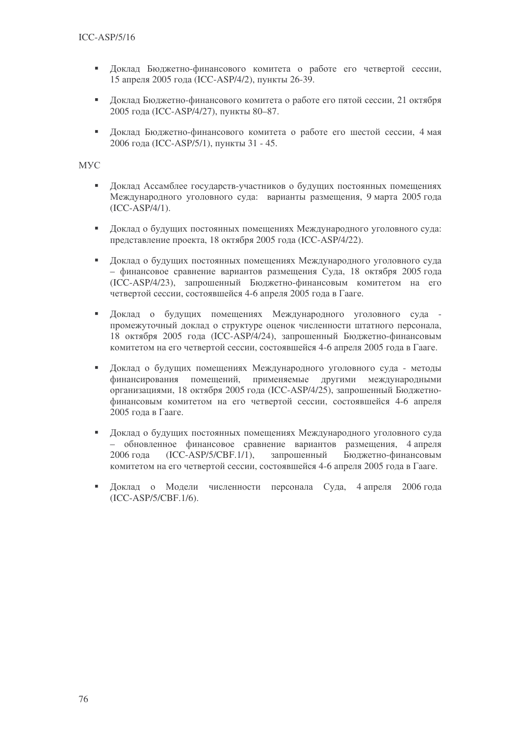- Доклад Бюджетно-финансового комитета о работе его четвертой сессии, 15 апреля 2005 года (ICC-ASP/4/2), пункты 26-39.
- Доклад Бюджетно-финансового комитета о работе его пятой сессии, 21 октября 2005 года (ICC-ASP/4/27), пункты 80-87.
- Доклад Бюджетно-финансового комитета о работе его шестой сессии, 4 мая 2006 года (ICC-ASP/5/1), пункты 31 - 45.

MVC

- Доклад Ассамблее государств-участников о будущих постоянных помещениях Международного уголовного суда: варианты размещения, 9 марта 2005 года (ICC-ASP/4/1).
- Доклад о будущих постоянных помещениях Международного уголовного суда: представление проекта, 18 октября 2005 года (ICC-ASP/4/22).
- Доклад о будущих постоянных помещениях Международного уголовного суда - финансовое сравнение вариантов размещения Суда, 18 октября 2005 года (ICC-ASP/4/23), запрошенный Бюджетно-финансовым комитетом на его четвертой сессии, состоявшейся 4-6 апреля 2005 года в Гааге.
- Доклад о будущих помещениях Международного уголовного суда промежуточный доклад о структуре оценок численности штатного персонала, 18 октября 2005 года (ICC-ASP/4/24), запрошенный Бюджетно-финансовым комитетом на его четвертой сессии, состоявшейся 4-6 апреля 2005 года в Гааге.
- Доклад о будущих помещениях Международного уголовного суда методы финансирования помещений, применяемые другими международными организациями, 18 октября 2005 года (ICC-ASP/4/25), запрошенный Бюджетнофинансовым комитетом на его четвертой сессии, состоявшейся 4-6 апреля 2005 года в Гааге.
- Доклад о будущих постоянных помещениях Международного уголовного суда - обновленное финансовое сравнение вариантов размещения, 4 апреля  $2006$  гола  $(ICC-ASP/5/CBF.1/1),$ запрошенный нный Бюджетно-финансовым комитетом на его четвертой сессии, состоявшейся 4-6 апреля 2005 года в Гааге.
- Доклад о Модели численности персонала Суда, 4 апреля 2006 года (ICC-ASP/5/CBF.1/6).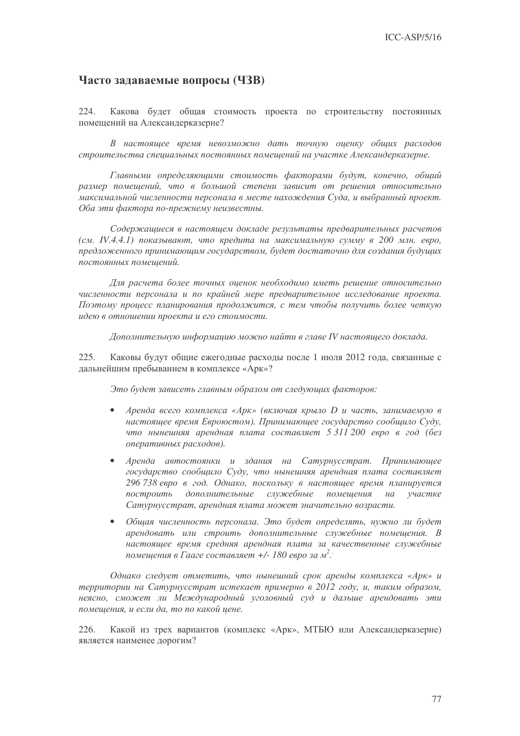## Часто задаваемые вопросы (ЧЗВ)

224. Какова будет общая стоимость проекта по строительству постоянных помещений на Александерказерне?

В настоящее время невозможно дать точную оценку общих расходов строительства специальных постоянных помещений на участке Александерказерне.

Главными определяющими стоимость факторами будут, конечно, общий размер помещений, что в большой степени зависит от решения относительно максимальной численности персонала в месте нахождения Суда, и выбранный проект. Оба эти фактора по-прежнему неизвестны.

Содержащиеся в настоящем докладе результаты предварительных расчетов (см. IV.4.4.1) показывают, что кредита на максимальную сумму в 200 млн. евро, предложенного принимающим государством, будет достаточно для создания будущих постоянных помешений.

Для расчета более точных оценок необходимо иметь решение относительно численности персонала и по крайней мере предварительное исследование проекта. Поэтому процесс планирования продолжится, с тем чтобы получить более четкую идею в отношении проекта и его стоимости.

Пополнительную информацию можно найти в главе IV настояшего доклада.

225. Каковы будут общие ежегодные расходы после 1 июля 2012 года, связанные с дальнейшим пребыванием в комплексе «Арк»?

Это будет зависеть главным образом от следующих факторов:

- Аренда всего комплекса «Арк» (включая крыло D и часть, занимаемую в настоящее время Евроюстом). Принимающее государство сообщило Суду, что нынешняя арендная плата составляет 5 311 200 евро в год (без оперативных расходов).
- Аренда автостоянки и здания на Сатурнусстрат. Принимающее государство сообщило Суду, что нынешняя арендная плата составляет 296 738 евро в год. Однако, поскольку в настоящее время планируется построить дополнительные служебные помещения на участке Сатурнусстрат, арендная плата может значительно возрасти.
- Обшая численность персонала. Это будет определять, нужно ли будет арендовать или строить дополнительные служебные помещения. В настоящее время средняя арендная плата за качественные служебные помещения в Гааге составляет +/- 180 евро за  $x^2$ .

Однако следует отметить, что нынешний срок аренды комплекса «Арк» и территории на Сатурнусстрат истекает примерно в 2012 году, и, таким образом, неясно, сможет ли Международный уголовный суд и дальше арендовать эти помещения, и если да, то по какой цене.

 $226$ Какой из трех вариантов (комплекс «Арк», МТБЮ или Александерказерне) является наименее дорогим?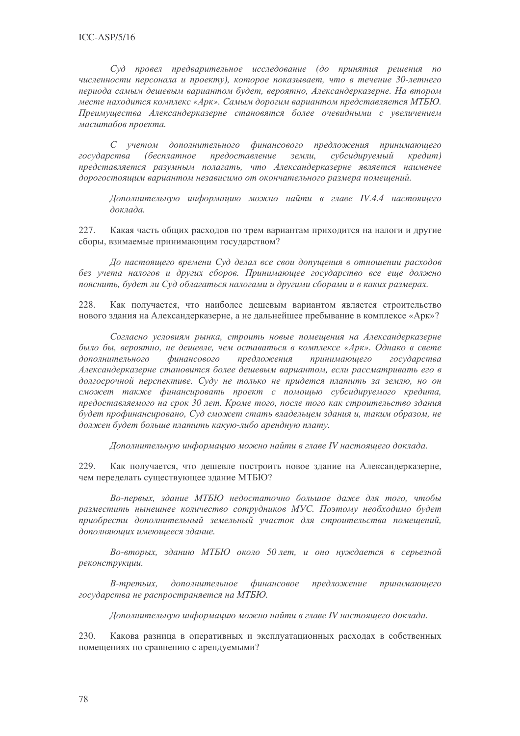Суд провел предварительное исследование (до принятия решения по численности персонала и проекту), которое показывает, что в течение 30-летнего периода самым дешевым вариантом будет, вероятно, Александерказерне. На втором месте находится комплекс «Арк». Самым дорогим вариантом представляется МТБЮ. Преимушества Александерказерне становятся более очевидными с увеличением масштабов проекта.

С учетом дополнительного финансового предложения принимающего предоставление земли, государства (бесплатное субсидируемый  $k$ pedum $)$ представляется разумным полагать, что Александерказерне является наименее дорогостояшим вариантом независимо от окончательного размера помешений.

Дополнительную информацию можно найти в главе IV.4.4 настоящего доклада.

227. Какая часть общих расходов по трем вариантам приходится на налоги и другие сборы, взимаемые принимающим государством?

До настоящего времени Суд делал все свои допущения в отношении расходов без учета налогов и других сборов. Принимающее государство все еще должно пояснить, будет ли Суд облагаться налогами и другими сборами и в каких размерах,

228. Как получается, что наиболее дешевым вариантом является строительство нового здания на Александерказерне, а не дальнейшее пребывание в комплексе «Арк»?

Согласно условиям рынка, строить новые помещения на Александерказерне было бы, вероятно, не дешевле, чем оставаться в комплексе «Арк». Однако в свете дополнительного финансового предложения принимающего государства Александерказерне становится более дешевым вариантом, если рассматривать его в долгосрочной перспективе. Суду не только не придется платить за землю, но он сможет также финансировать проект с помощью субсидируемого кредита, предоставляемого на срок 30 лет. Кроме того, после того как строительство здания будет профинансировано, Суд сможет стать владельцем здания и, таким образом, не должен будет больше платить какую-либо арендную плату.

Дополнительную информацию можно найти в главе IV настояшего доклада.

229. Как получается, что дешевле построить новое здание на Александерказерне, чем переделать существующее здание МТБЮ?

Во-первых, здание МТБЮ недостаточно большое даже для того, чтобы разместить нынешнее количество сотрудников МУС. Поэтому необходимо будет приобрести дополнительный земельный участок для строительства помещений, дополняющих имеющееся здание.

Во-вторых, зданию МТБЮ около 50лет, и оно нуждается в серьезной реконструкции.

дополнительное В-третьих, финансовое предложение принимающего государства не распространяется на МТБЮ.

Дополнительную информацию можно найти в главе IV настоящего доклада.

230. Какова разница в оперативных и эксплуатационных расходах в собственных помещениях по сравнению с арендуемыми?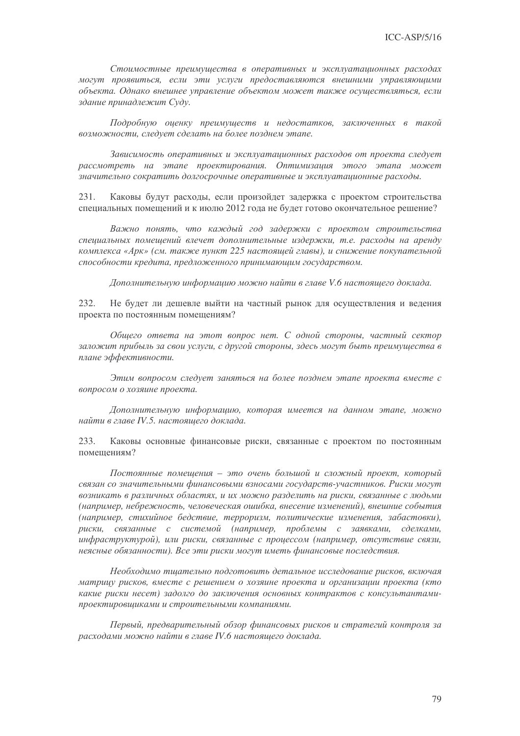Стоимостные преимущества в оперативных и эксплуатационных расходах могут проявиться, если эти услуги предоставляются внешними управляющими объекта. Однако внешнее управление объектом может также осуществляться, если здание принадлежит Суду.

Подробную оценку преимуществ и недостатков, заключенных в такой возможности, следует сделать на более позднем этапе.

Зависимость оперативных и эксплуатационных расходов от проекта следует рассмотреть на этапе проектирования. Оптимизация этого этапа может значительно сократить долгосрочные оперативные и эксплуатационные расходы.

 $231.$ Каковы будут расходы, если произойдет задержка с проектом строительства специальных помещений и к июлю 2012 года не будет готово окончательное решение?

Важно понять, что каждый год задержки с проектом строительства специальных помешений влечет дополнительные издержки, т.е. расходы на аренду комплекса «Арк» (см. также пункт 225 настоящей главы), и снижение покупательной способности кредита, предложенного принимающим государством.

Дополнительную информацию можно найти в главе V.6 настоящего доклада.

 $232$ Не будет ли дешевле выйти на частный рынок для осуществления и ведения проекта по постоянным помешениям?

Общего ответа на этот вопрос нет. С одной стороны, частный сектор заложит прибыль за свои услуги, с другой стороны, здесь могут быть преимущества в плане эффективности.

Этим вопросом следует заняться на более позднем этапе проекта вместе с вопросом о хозяине проекта.

Дополнительную информацию, которая имеется на данном этапе, можно найти в главе IV.5. настоящего доклада.

233. Каковы основные финансовые риски, связанные с проектом по постоянным помешениям?

Постоянные помещения - это очень большой и сложный проект, который связан со значительными финансовыми взносами государств-участников. Риски могут возникать в различных областях, и их можно разделить на риски, связанные с людьми (например, небрежность, человеческая ошибка, внесение изменений), внешние события (например, стихийное бедствие, терроризм, политические изменения, забастовки), риски, связанные с системой (например, проблемы с заявками, сделками, инфраструктурой), или риски, связанные с процессом (например, отсутствие связи, неясные обязанности). Все эти риски могут иметь финансовые последствия.

Необходимо тшательно подготовить детальное исследование рисков, включая матрицу рисков, вместе с решением о хозяине проекта и организации проекта (кто какие риски несет) задолго до заключения основных контрактов с консультантамипроектировщиками и строительными компаниями.

Первый, предварительный обзор финансовых рисков и стратегий контроля за расходами можно найти в главе IV.6 настоящего доклада.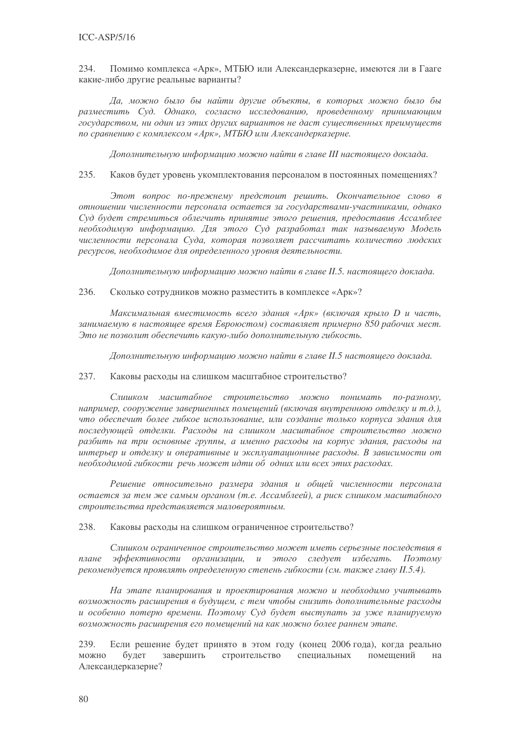234. Помимо комплекса «Арк», МТБЮ или Александерказерне, имеются ли в Гааге какие-либо другие реальные варианты?

Да, можно было бы найти другие объекты, в которых можно было бы разместить Суд. Однако, согласно исследованию, проведенному принимающим государством, ни один из этих других вариантов не даст существенных преимуществ по сравнению с комплексом «Арк», МТБЮ или Александерказерне.

Пополнительную информацию можно найти в главе III настояшего доклада.

235. Каков будет уровень укомплектования персоналом в постоянных помещениях?

Этот вопрос по-прежнему предстоит решить. Окончательное слово в отношении численности персонала остается за государствами-участниками, однако Суд будет стремиться облегчить принятие этого решения, предоставив Ассамблее необходимую информацию. Для этого Суд разработал так называемую Модель численности персонала Суда, которая позволяет рассчитать количество людских ресурсов, необходимое для определенного уровня деятельности.

Дополнительную информацию можно найти в главе II.5. настоящего доклада.

236. Сколько сотрудников можно разместить в комплексе «Арк»?

Максимальная вместимость всего здания «Арк» (включая крыло D и часть, занимаемую в настояшее время Евроюстом) составляет примерно 850 рабочих мест. Это не позволит обеспечить какую-либо дополнительную гибкость.

Дополнительную информацию можно найти в главе II.5 настоящего доклада.

237. Каковы расходы на слишком масштабное строительство?

Слишком масштабное строительство можно понимать по-разному, например, сооружение завершенных помешений (включая внутреннюю отделку и т.д.), что обеспечит более гибкое использование, или создание только корпуса здания для последующей отделки. Расходы на слишком масштабное строительство можно разбить на три основные группы, а именно расходы на корпус здания, расходы на интерьер и отделку и оперативные и эксплуатационные расходы. В зависимости от необходимой гибкости речь может идти об одних или всех этих расходах.

Решение относительно размера здания и общей численности персонала остается за тем же самым органом (т.е. Ассамблеей), а риск слишком масштабного строительства представляется маловероятным.

238. Каковы расходы на слишком ограниченное строительство?

Слишком ограниченное строительство может иметь серьезные последствия в эффективности организации, и этого следует избегать. Поэтому плане рекомендуется проявлять определенную степень гибкости (см. также главу II.5.4).

На этапе планирования и проектирования можно и необходимо учитывать возможность расширения в будушем, с тем чтобы снизить дополнительные расходы и особенно потерю времени. Поэтому Суд будет выступать за уже планируемую возможность расширения его помещений на как можно более раннем этапе.

239. Если решение будет принято в этом году (конец 2006 года), когда реально можно будет завершить строительство специальных помешений на Александерказерне?